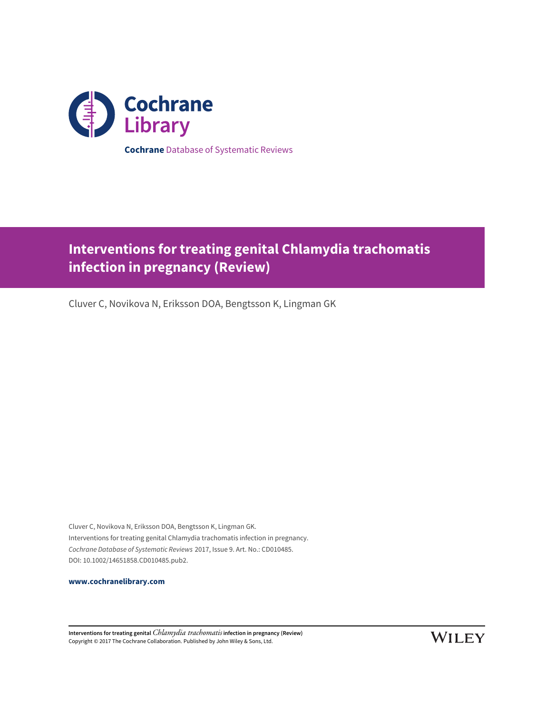

**Interventions for treating genital Chlamydia trachomatis infection in pregnancy (Review)**

Cluver C, Novikova N, Eriksson DOA, Bengtsson K, Lingman GK

Cluver C, Novikova N, Eriksson DOA, Bengtsson K, Lingman GK. Interventions for treating genital Chlamydia trachomatis infection in pregnancy. Cochrane Database of Systematic Reviews 2017, Issue 9. Art. No.: CD010485. DOI: 10.1002/14651858.CD010485.pub2.

**[www.cochranelibrary.com](http://www.cochranelibrary.com)**

**Interventions for treating genital***Chlamydia trachomatis* **infection in pregnancy (Review)** Copyright © 2017 The Cochrane Collaboration. Published by John Wiley & Sons, Ltd.

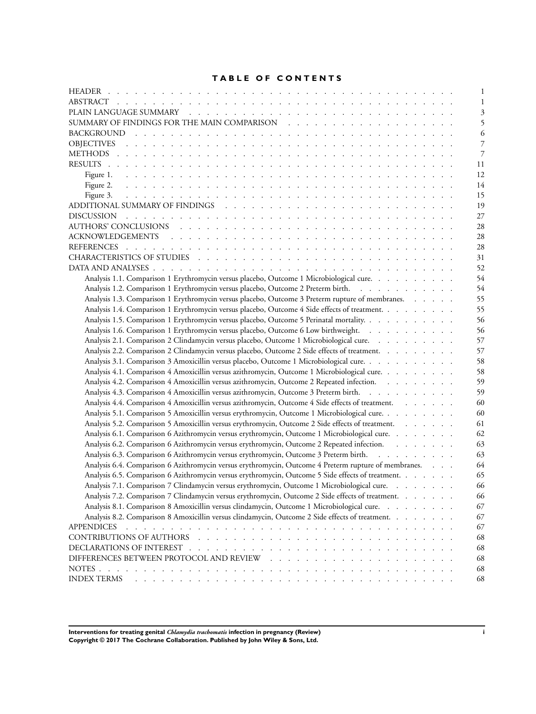## **TABLE OF CONTENTS**

|                                                                                                                                                                                                                                                            | 1              |
|------------------------------------------------------------------------------------------------------------------------------------------------------------------------------------------------------------------------------------------------------------|----------------|
|                                                                                                                                                                                                                                                            | 1              |
|                                                                                                                                                                                                                                                            | 3              |
|                                                                                                                                                                                                                                                            | 5              |
|                                                                                                                                                                                                                                                            | 6              |
|                                                                                                                                                                                                                                                            | 7              |
|                                                                                                                                                                                                                                                            | $\overline{7}$ |
|                                                                                                                                                                                                                                                            | 11             |
|                                                                                                                                                                                                                                                            | 12             |
|                                                                                                                                                                                                                                                            | 14             |
| Figure 3. The contract of the contract of the contract of the contract of the contract of the contract of the contract of the contract of the contract of the contract of the contract of the contract of the contract of the                              | 15             |
|                                                                                                                                                                                                                                                            | 19             |
|                                                                                                                                                                                                                                                            | 27             |
|                                                                                                                                                                                                                                                            | 28             |
|                                                                                                                                                                                                                                                            | 28             |
|                                                                                                                                                                                                                                                            | 28             |
|                                                                                                                                                                                                                                                            | 31             |
|                                                                                                                                                                                                                                                            | 52             |
|                                                                                                                                                                                                                                                            | 54             |
| Analysis 1.1. Comparison 1 Erythromycin versus placebo, Outcome 1 Microbiological cure.                                                                                                                                                                    | 54             |
| Analysis 1.2. Comparison 1 Erythromycin versus placebo, Outcome 2 Preterm birth.                                                                                                                                                                           |                |
| Analysis 1.3. Comparison 1 Erythromycin versus placebo, Outcome 3 Preterm rupture of membranes.                                                                                                                                                            | 55             |
| Analysis 1.4. Comparison 1 Erythromycin versus placebo, Outcome 4 Side effects of treatment.                                                                                                                                                               | 55             |
| Analysis 1.5. Comparison 1 Erythromycin versus placebo, Outcome 5 Perinatal mortality.                                                                                                                                                                     | 56             |
| Analysis 1.6. Comparison 1 Erythromycin versus placebo, Outcome 6 Low birthweight.                                                                                                                                                                         | 56             |
| Analysis 2.1. Comparison 2 Clindamycin versus placebo, Outcome 1 Microbiological cure.                                                                                                                                                                     | 57             |
| Analysis 2.2. Comparison 2 Clindamycin versus placebo, Outcome 2 Side effects of treatment.                                                                                                                                                                | 57             |
| Analysis 3.1. Comparison 3 Amoxicillin versus placebo, Outcome 1 Microbiological cure.                                                                                                                                                                     | 58             |
| Analysis 4.1. Comparison 4 Amoxicillin versus azithromycin, Outcome 1 Microbiological cure.                                                                                                                                                                | 58             |
| Analysis 4.2. Comparison 4 Amoxicillin versus azithromycin, Outcome 2 Repeated infection.                                                                                                                                                                  | 59             |
| Analysis 4.3. Comparison 4 Amoxicillin versus azithromycin, Outcome 3 Preterm birth.                                                                                                                                                                       | 59             |
| Analysis 4.4. Comparison 4 Amoxicillin versus azithromycin, Outcome 4 Side effects of treatment.                                                                                                                                                           | 60             |
| Analysis 5.1. Comparison 5 Amoxicillin versus erythromycin, Outcome 1 Microbiological cure.                                                                                                                                                                | 60             |
| Analysis 5.2. Comparison 5 Amoxicillin versus erythromycin, Outcome 2 Side effects of treatment.                                                                                                                                                           | 61             |
| Analysis 6.1. Comparison 6 Azithromycin versus erythromycin, Outcome 1 Microbiological cure.                                                                                                                                                               | 62             |
| Analysis 6.2. Comparison 6 Azithromycin versus erythromycin, Outcome 2 Repeated infection.                                                                                                                                                                 | 63             |
| Analysis 6.3. Comparison 6 Azithromycin versus erythromycin, Outcome 3 Preterm birth.                                                                                                                                                                      | 63             |
| Analysis 6.4. Comparison 6 Azithromycin versus erythromycin, Outcome 4 Preterm rupture of membranes.                                                                                                                                                       | 64             |
| Analysis 6.5. Comparison 6 Azithromycin versus erythromycin, Outcome 5 Side effects of treatment.                                                                                                                                                          | 65             |
| Analysis 7.1. Comparison 7 Clindamycin versus erythromycin, Outcome 1 Microbiological cure.                                                                                                                                                                | 66             |
| Analysis 7.2. Comparison 7 Clindamycin versus erythromycin, Outcome 2 Side effects of treatment.                                                                                                                                                           | 66             |
| Analysis 8.1. Comparison 8 Amoxicillin versus clindamycin, Outcome 1 Microbiological cure.                                                                                                                                                                 | 67             |
| Analysis 8.2. Comparison 8 Amoxicillin versus clindamycin, Outcome 2 Side effects of treatment.                                                                                                                                                            | 67             |
| <b>APPENDICES</b><br>a de la caractería de la caractería de la caractería de la caractería de la caractería de la caractería                                                                                                                               | 67             |
| CONTRIBUTIONS OF AUTHORS<br>the contract of the contract of the contract of the contract of the contract of the contract of the contract of the contract of the contract of the contract of the contract of the contract of the contract of the contract o | 68             |
|                                                                                                                                                                                                                                                            | 68             |
|                                                                                                                                                                                                                                                            | 68             |
|                                                                                                                                                                                                                                                            | 68             |
| <b>INDEX TERMS</b><br>and the contract of the contract of the contract of the contract of the contract of the contract of the contract of the contract of the contract of the contract of the contract of the contract of the contract of the contra       | 68             |
|                                                                                                                                                                                                                                                            |                |

**Interventions for treating genital** *Chlamydia trachomatis* **infection in pregnancy (Review) i Copyright © 2017 The Cochrane Collaboration. Published by John Wiley & Sons, Ltd.**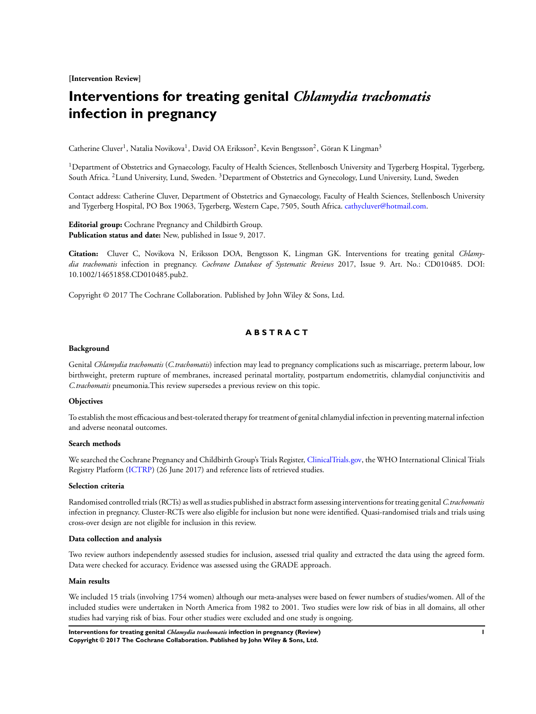**[Intervention Review]**

# **Interventions for treating genital** *Chlamydia trachomatis* **infection in pregnancy**

Catherine Cluver<sup>1</sup>, Natalia Novikova<sup>1</sup>, David OA Eriksson<sup>2</sup>, Kevin Bengtsson<sup>2</sup>, Göran K Lingman<sup>3</sup>

<sup>1</sup>Department of Obstetrics and Gynaecology, Faculty of Health Sciences, Stellenbosch University and Tygerberg Hospital, Tygerberg, South Africa. <sup>2</sup>Lund University, Lund, Sweden. <sup>3</sup>Department of Obstetrics and Gynecology, Lund University, Lund, Sweden

Contact address: Catherine Cluver, Department of Obstetrics and Gynaecology, Faculty of Health Sciences, Stellenbosch University and Tygerberg Hospital, PO Box 19063, Tygerberg, Western Cape, 7505, South Africa. [cathycluver@hotmail.com](mailto:cathycluver@hotmail.com).

**Editorial group:** Cochrane Pregnancy and Childbirth Group. **Publication status and date:** New, published in Issue 9, 2017.

**Citation:** Cluver C, Novikova N, Eriksson DOA, Bengtsson K, Lingman GK. Interventions for treating genital *Chlamydia trachomatis* infection in pregnancy. *Cochrane Database of Systematic Reviews* 2017, Issue 9. Art. No.: CD010485. DOI: 10.1002/14651858.CD010485.pub2.

Copyright © 2017 The Cochrane Collaboration. Published by John Wiley & Sons, Ltd.

## **A B S T R A C T**

#### **Background**

Genital *Chlamydia trachomatis* (*C.trachomatis*) infection may lead to pregnancy complications such as miscarriage, preterm labour, low birthweight, preterm rupture of membranes, increased perinatal mortality, postpartum endometritis, chlamydial conjunctivitis and *C.trachomatis* pneumonia.This review supersedes a previous review on this topic.

#### **Objectives**

To establish the most efficacious and best-tolerated therapy for treatment of genital chlamydial infection in preventing maternal infection and adverse neonatal outcomes.

### **Search methods**

We searched the Cochrane Pregnancy and Childbirth Group's Trials Register, [ClinicalTrials.gov,](http://clinicaltrials.gov/) the WHO International Clinical Trials Registry Platform ([ICTRP\)](http://apps.who.int/trialsearch/) (26 June 2017) and reference lists of retrieved studies.

#### **Selection criteria**

Randomised controlled trials (RCTs) as well as studies published in abstract form assessing interventions for treating genital *C.trachomatis* infection in pregnancy. Cluster-RCTs were also eligible for inclusion but none were identified. Quasi-randomised trials and trials using cross-over design are not eligible for inclusion in this review.

#### **Data collection and analysis**

Two review authors independently assessed studies for inclusion, assessed trial quality and extracted the data using the agreed form. Data were checked for accuracy. Evidence was assessed using the GRADE approach.

#### **Main results**

We included 15 trials (involving 1754 women) although our meta-analyses were based on fewer numbers of studies/women. All of the included studies were undertaken in North America from 1982 to 2001. Two studies were low risk of bias in all domains, all other studies had varying risk of bias. Four other studies were excluded and one study is ongoing.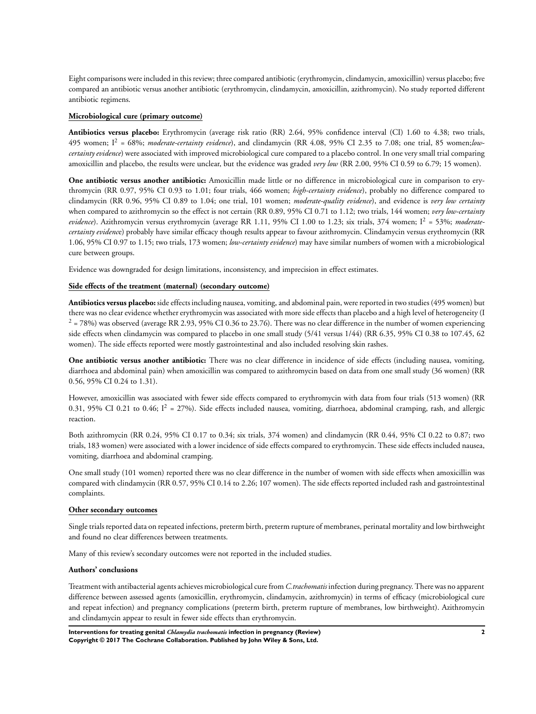Eight comparisons were included in this review; three compared antibiotic (erythromycin, clindamycin, amoxicillin) versus placebo; five compared an antibiotic versus another antibiotic (erythromycin, clindamycin, amoxicillin, azithromycin). No study reported different antibiotic regimens.

#### **Microbiological cure (primary outcome)**

**Antibiotics versus placebo:** Erythromycin (average risk ratio (RR) 2.64, 95% confidence interval (CI) 1.60 to 4.38; two trials, 495 women; I<sup>2</sup> = 68%; *moderate-certainty evidence*), and clindamycin (RR 4.08, 95% CI 2.35 to 7.08; one trial, 85 women;*lowcertainty evidence*) were associated with improved microbiological cure compared to a placebo control. In one very small trial comparing amoxicillin and placebo, the results were unclear, but the evidence was graded *very low* (RR 2.00, 95% CI 0.59 to 6.79; 15 women).

**One antibiotic versus another antibiotic:** Amoxicillin made little or no difference in microbiological cure in comparison to erythromycin (RR 0.97, 95% CI 0.93 to 1.01; four trials, 466 women; *high-certainty evidence*), probably no difference compared to clindamycin (RR 0.96, 95% CI 0.89 to 1.04; one trial, 101 women; *moderate-quality evidence*), and evidence is *very low certainty* when compared to azithromycin so the effect is not certain (RR 0.89, 95% CI 0.71 to 1.12; two trials, 144 women; *very low-certainty evidence*). Azithromycin versus erythromycin (average RR 1.11, 95% CI 1.00 to 1.23; six trials, 374 women; I<sup>2</sup> = 53%; *moderatecertainty evidenc*e) probably have similar efficacy though results appear to favour azithromycin. Clindamycin versus erythromycin (RR 1.06, 95% CI 0.97 to 1.15; two trials, 173 women; *low-certainty evidence*) may have similar numbers of women with a microbiological cure between groups.

Evidence was downgraded for design limitations, inconsistency, and imprecision in effect estimates.

#### **Side effects of the treatment (maternal) (secondary outcome)**

**Antibiotics versus placebo:** side effects including nausea, vomiting, and abdominal pain, were reported in two studies (495 women) but there was no clear evidence whether erythromycin was associated with more side effects than placebo and a high level of heterogeneity (I  $^{2}$  = 78%) was observed (average RR 2.93, 95% CI 0.36 to 23.76). There was no clear difference in the number of women experiencing side effects when clindamycin was compared to placebo in one small study (5/41 versus 1/44) (RR 6.35, 95% CI 0.38 to 107.45, 62 women). The side effects reported were mostly gastrointestinal and also included resolving skin rashes.

**One antibiotic versus another antibiotic:** There was no clear difference in incidence of side effects (including nausea, vomiting, diarrhoea and abdominal pain) when amoxicillin was compared to azithromycin based on data from one small study (36 women) (RR 0.56, 95% CI 0.24 to 1.31).

However, amoxicillin was associated with fewer side effects compared to erythromycin with data from four trials (513 women) (RR 0.31, 95% CI 0.21 to 0.46;  $I^2 = 27$ %). Side effects included nausea, vomiting, diarrhoea, abdominal cramping, rash, and allergic reaction.

Both azithromycin (RR 0.24, 95% CI 0.17 to 0.34; six trials, 374 women) and clindamycin (RR 0.44, 95% CI 0.22 to 0.87; two trials, 183 women) were associated with a lower incidence of side effects compared to erythromycin. These side effects included nausea, vomiting, diarrhoea and abdominal cramping.

One small study (101 women) reported there was no clear difference in the number of women with side effects when amoxicillin was compared with clindamycin (RR 0.57, 95% CI 0.14 to 2.26; 107 women). The side effects reported included rash and gastrointestinal complaints.

#### **Other secondary outcomes**

Single trials reported data on repeated infections, preterm birth, preterm rupture of membranes, perinatal mortality and low birthweight and found no clear differences between treatments.

Many of this review's secondary outcomes were not reported in the included studies.

#### **Authors' conclusions**

Treatment with antibacterial agents achieves microbiological cure from *C.trachomatis* infection during pregnancy. There was no apparent difference between assessed agents (amoxicillin, erythromycin, clindamycin, azithromycin) in terms of efficacy (microbiological cure and repeat infection) and pregnancy complications (preterm birth, preterm rupture of membranes, low birthweight). Azithromycin and clindamycin appear to result in fewer side effects than erythromycin.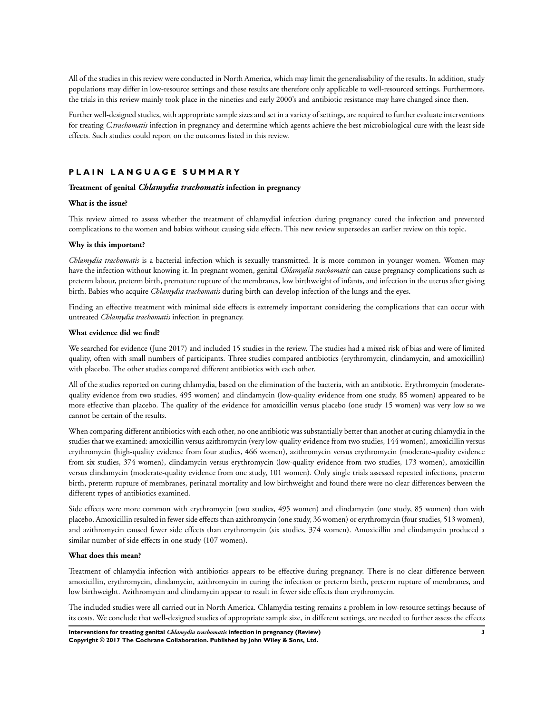All of the studies in this review were conducted in North America, which may limit the generalisability of the results. In addition, study populations may differ in low-resource settings and these results are therefore only applicable to well-resourced settings. Furthermore, the trials in this review mainly took place in the nineties and early 2000's and antibiotic resistance may have changed since then.

Further well-designed studies, with appropriate sample sizes and set in a variety of settings, are required to further evaluate interventions for treating *C.trachomatis* infection in pregnancy and determine which agents achieve the best microbiological cure with the least side effects. Such studies could report on the outcomes listed in this review.

## **P L A I N L A N G U A G E S U M M A R Y**

## **Treatment of genital** *Chlamydia trachomatis* **infection in pregnancy**

#### **What is the issue?**

This review aimed to assess whether the treatment of chlamydial infection during pregnancy cured the infection and prevented complications to the women and babies without causing side effects. This new review supersedes an earlier review on this topic.

#### **Why is this important?**

*Chlamydia trachomatis* is a bacterial infection which is sexually transmitted. It is more common in younger women. Women may have the infection without knowing it. In pregnant women, genital *Chlamydia trachomatis* can cause pregnancy complications such as preterm labour, preterm birth, premature rupture of the membranes, low birthweight of infants, and infection in the uterus after giving birth. Babies who acquire *Chlamydia trachomatis* during birth can develop infection of the lungs and the eyes.

Finding an effective treatment with minimal side effects is extremely important considering the complications that can occur with untreated *Chlamydia trachomatis* infection in pregnancy.

#### **What evidence did we find?**

We searched for evidence (June 2017) and included 15 studies in the review. The studies had a mixed risk of bias and were of limited quality, often with small numbers of participants. Three studies compared antibiotics (erythromycin, clindamycin, and amoxicillin) with placebo. The other studies compared different antibiotics with each other.

All of the studies reported on curing chlamydia, based on the elimination of the bacteria, with an antibiotic. Erythromycin (moderatequality evidence from two studies, 495 women) and clindamycin (low-quality evidence from one study, 85 women) appeared to be more effective than placebo. The quality of the evidence for amoxicillin versus placebo (one study 15 women) was very low so we cannot be certain of the results.

When comparing different antibiotics with each other, no one antibiotic was substantially better than another at curing chlamydia in the studies that we examined: amoxicillin versus azithromycin (very low-quality evidence from two studies, 144 women), amoxicillin versus erythromycin (high-quality evidence from four studies, 466 women), azithromycin versus erythromycin (moderate-quality evidence from six studies, 374 women), clindamycin versus erythromycin (low-quality evidence from two studies, 173 women), amoxicillin versus clindamycin (moderate-quality evidence from one study, 101 women). Only single trials assessed repeated infections, preterm birth, preterm rupture of membranes, perinatal mortality and low birthweight and found there were no clear differences between the different types of antibiotics examined.

Side effects were more common with erythromycin (two studies, 495 women) and clindamycin (one study, 85 women) than with placebo. Amoxicillin resulted in fewer side effects than azithromycin (one study, 36 women) or erythromycin (four studies, 513 women), and azithromycin caused fewer side effects than erythromycin (six studies, 374 women). Amoxicillin and clindamycin produced a similar number of side effects in one study (107 women).

#### **What does this mean?**

Treatment of chlamydia infection with antibiotics appears to be effective during pregnancy. There is no clear difference between amoxicillin, erythromycin, clindamycin, azithromycin in curing the infection or preterm birth, preterm rupture of membranes, and low birthweight. Azithromycin and clindamycin appear to result in fewer side effects than erythromycin.

The included studies were all carried out in North America. Chlamydia testing remains a problem in low-resource settings because of its costs. We conclude that well-designed studies of appropriate sample size, in different settings, are needed to further assess the effects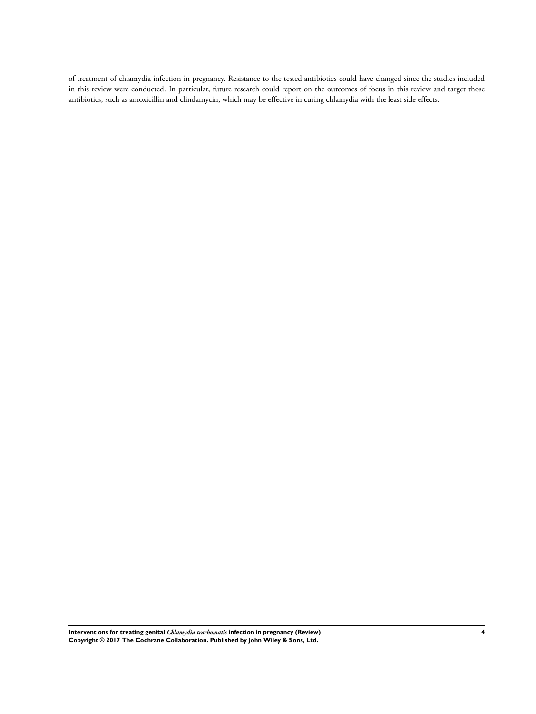of treatment of chlamydia infection in pregnancy. Resistance to the tested antibiotics could have changed since the studies included in this review were conducted. In particular, future research could report on the outcomes of focus in this review and target those antibiotics, such as amoxicillin and clindamycin, which may be effective in curing chlamydia with the least side effects.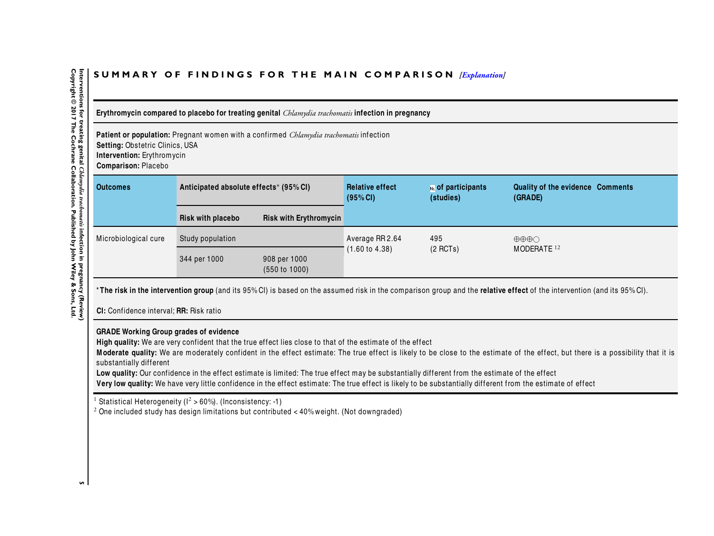# <span id="page-6-0"></span>SUMMARY OF FINDINGS FOR THE MAIN COMPARISON *[\[Explanation\]](http://www.thecochranelibrary.com/view/0/SummaryFindings.html)*

Erythromycin compared to placebo for treating genital Chlamydia trachomatis infection in pregnancy

**Patient or population:** Pregnant women with a confirmed *Chlamydia trachomatis* infection **Setting:** Obstetric Clinics, USA**Intervention:** Erythrom ycin

**Comparison:** Placebo

| <b>Outcomes</b>      | Anticipated absolute effects* (95% CI) |                               | <b>Relative effect</b><br>(95% CI) | $\mathbb{R}$ of participants<br>(studies) | Quality of the evidence Comments<br>(GRADE) |
|----------------------|----------------------------------------|-------------------------------|------------------------------------|-------------------------------------------|---------------------------------------------|
|                      | <b>Risk with placebo</b>               | <b>Risk with Erythromycin</b> |                                    |                                           |                                             |
| Microbiological cure | Study population                       |                               | Average RR 2.64                    | 495                                       | $\oplus \oplus \oplus \bigcirc$             |
|                      | 344 per 1000                           | 908 per 1000<br>(550 to 1000) | $(1.60 \text{ to } 4.38)$          | $(2$ RCTs)                                | MODERATE <sup>12</sup>                      |

\***The risk in the intervention group** (and its 95%Cl) is based on the assumed risk in the comparison group and the **relative effect** of the intervention (and its 95%Cl).<br>

**CI:** Conf idence interval; **RR:** Risk ratio

**GRADE Working Group grades of evidence High quality:** We are very confident that the true effect lies close to that of the estimate of the effect<br>Moderate quality: We are moderately confident in the effect estimate: The true effect is likely to b

**Moderate quality:** We are moderately confident in the effect estimate: The true effect is likely to be close to the estimate of the effect, but there is a possibility that it is<br>substantially different substantially different

Low quality: Our confidence in the effect estimate is limited: The true effect may be substantially different from the estimate of the effect

**Very low quality:** We have very little confidence in the effect estimate: The true effect is likely to be substantially different from the estimate of effect

 $\frac{1}{2}$  Statistical Heterogeneity (I $^2$  > 60%). (Inconsistency: -1)

 $^2$  One included study has design limitations but contributed  $<$  40% weight. (Not downgraded)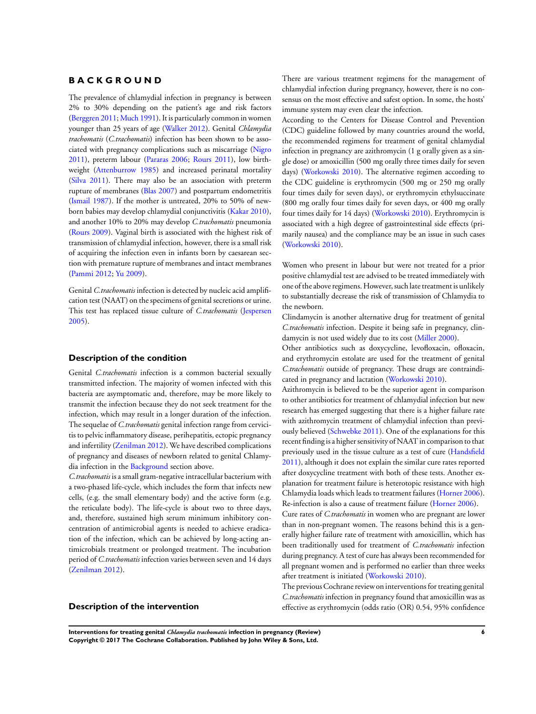## <span id="page-7-0"></span>**B A C K G R O U N D**

The prevalence of chlamydial infection in pregnancy is between 2% to 30% depending on the patient's age and risk factors [\(Berggren 2011;](#page-29-0) [Much 1991](#page-29-0)). It is particularly common in women younger than 25 years of age ([Walker 2012](#page-29-0)). Genital *Chlamydia trachomatis* (*C.trachomatis*) infection has been shown to be associated with pregnancy complications such as miscarriage ([Nigro](#page-29-0) [2011](#page-29-0)), preterm labour ([Pararas 2006](#page-29-0); [Rours 2011](#page-29-0)), low birthweight ([Attenburrow 1985\)](#page-29-0) and increased perinatal mortality [\(Silva 2011](#page-29-0)). There may also be an association with preterm rupture of membranes [\(Blas 2007\)](#page-29-0) and postpartum endometritis [\(Ismail 1987\)](#page-29-0). If the mother is untreated, 20% to 50% of newborn babies may develop chlamydial conjunctivitis [\(Kakar 2010](#page-29-0)), and another 10% to 20% may develop *C.trachomatis* pneumonia [\(Rours 2009](#page-29-0)). Vaginal birth is associated with the highest risk of transmission of chlamydial infection, however, there is a small risk of acquiring the infection even in infants born by caesarean section with premature rupture of membranes and intact membranes [\(Pammi 2012;](#page-29-0) [Yu 2009\)](#page-29-0).

Genital *C.trachomatis* infection is detected by nucleic acid amplification test (NAAT) on the specimens of genital secretions or urine. This test has replaced tissue culture of *C.trachomatis* ([Jespersen](#page-29-0) [2005](#page-29-0)).

#### **Description of the condition**

Genital *C.trachomatis* infection is a common bacterial sexually transmitted infection. The majority of women infected with this bacteria are asymptomatic and, therefore, may be more likely to transmit the infection because they do not seek treatment for the infection, which may result in a longer duration of the infection. The sequelae of *C.trachomatis* genital infection range from cervicitis to pelvic inflammatory disease, perihepatitis, ectopic pregnancy and infertility ([Zenilman 2012](#page-29-0)). We have described complications of pregnancy and diseases of newborn related to genital Chlamydia infection in the Background section above.

*C.trachomatis* is a small gram-negative intracellular bacterium with a two-phased life-cycle, which includes the form that infects new cells, (e.g. the small elementary body) and the active form (e.g. the reticulate body). The life-cycle is about two to three days, and, therefore, sustained high serum minimum inhibitory concentration of antimicrobial agents is needed to achieve eradication of the infection, which can be achieved by long-acting antimicrobials treatment or prolonged treatment. The incubation period of *C.trachomatis* infection varies between seven and 14 days [\(Zenilman 2012](#page-29-0)).

#### **Description of the intervention**

There are various treatment regimens for the management of chlamydial infection during pregnancy, however, there is no consensus on the most effective and safest option. In some, the hosts' immune system may even clear the infection.

According to the Centers for Disease Control and Prevention (CDC) guideline followed by many countries around the world, the recommended regimens for treatment of genital chlamydial infection in pregnancy are azithromycin (1 g orally given as a single dose) or amoxicillin (500 mg orally three times daily for seven days) [\(Workowski 2010\)](#page-29-0). The alternative regimen according to the CDC guideline is erythromycin (500 mg or 250 mg orally four times daily for seven days), or erythromycin ethylsuccinate (800 mg orally four times daily for seven days, or 400 mg orally four times daily for 14 days) ([Workowski 2010](#page-29-0)). Erythromycin is associated with a high degree of gastrointestinal side effects (primarily nausea) and the compliance may be an issue in such cases [\(Workowski 2010\)](#page-29-0).

Women who present in labour but were not treated for a prior positive chlamydial test are advised to be treated immediately with one of the above regimens. However, such late treatment is unlikely to substantially decrease the risk of transmission of Chlamydia to the newborn.

Clindamycin is another alternative drug for treatment of genital *C.trachomatis* infection. Despite it being safe in pregnancy, clindamycin is not used widely due to its cost ([Miller 2000\)](#page-29-0).

Other antibiotics such as doxycycline, levofloxacin, ofloxacin, and erythromycin estolate are used for the treatment of genital *C.trachomatis* outside of pregnancy. These drugs are contraindicated in pregnancy and lactation [\(Workowski 2010\)](#page-29-0).

Azithromycin is believed to be the superior agent in comparison to other antibiotics for treatment of chlamydial infection but new research has emerged suggesting that there is a higher failure rate with azithromycin treatment of chlamydial infection than previously believed [\(Schwebke 2011](#page-29-0)). One of the explanations for this recent finding is a higher sensitivity of NAAT in comparison to that previously used in the tissue culture as a test of cure [\(Handsfield](#page-29-0) [2011](#page-29-0)), although it does not explain the similar cure rates reported after doxycycline treatment with both of these tests. Another explanation for treatment failure is heterotopic resistance with high Chlamydia loads which leads to treatment failures ([Horner 2006](#page-29-0)). Re-infection is also a cause of treatment failure [\(Horner 2006](#page-29-0)).

Cure rates of *C.trachomatis* in women who are pregnant are lower than in non-pregnant women. The reasons behind this is a generally higher failure rate of treatment with amoxicillin, which has been traditionally used for treatment of *C.trachomatis* infection during pregnancy. A test of cure has always been recommended for all pregnant women and is performed no earlier than three weeks after treatment is initiated ([Workowski 2010](#page-29-0)).

The previous Cochrane review on interventions for treating genital *C.trachomatis* infection in pregnancy found that amoxicillin was as effective as erythromycin (odds ratio (OR) 0.54, 95% confidence

**Interventions for treating genital** *Chlamydia trachomatis* **infection in pregnancy (Review) 6 Copyright © 2017 The Cochrane Collaboration. Published by John Wiley & Sons, Ltd.**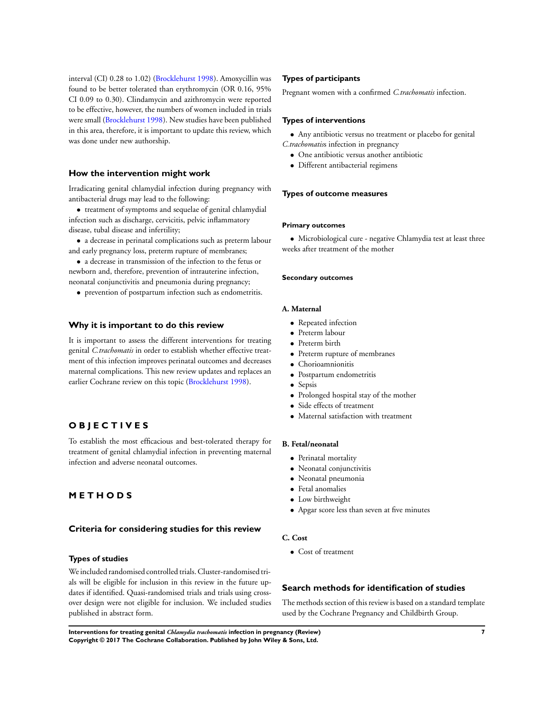interval (CI) 0.28 to 1.02) ([Brocklehurst 1998](#page-29-0)). Amoxycillin was found to be better tolerated than erythromycin (OR 0.16, 95% CI 0.09 to 0.30). Clindamycin and azithromycin were reported to be effective, however, the numbers of women included in trials were small ([Brocklehurst 1998\)](#page-29-0). New studies have been published in this area, therefore, it is important to update this review, which was done under new authorship.

#### **How the intervention might work**

Irradicating genital chlamydial infection during pregnancy with antibacterial drugs may lead to the following:

• treatment of symptoms and sequelae of genital chlamydial infection such as discharge, cervicitis, pelvic inflammatory disease, tubal disease and infertility;

• a decrease in perinatal complications such as preterm labour and early pregnancy loss, preterm rupture of membranes;

• a decrease in transmission of the infection to the fetus or newborn and, therefore, prevention of intrauterine infection, neonatal conjunctivitis and pneumonia during pregnancy;

• prevention of postpartum infection such as endometritis.

#### **Why it is important to do this review**

It is important to assess the different interventions for treating genital *C.trachomatis* in order to establish whether effective treatment of this infection improves perinatal outcomes and decreases maternal complications. This new review updates and replaces an earlier Cochrane review on this topic [\(Brocklehurst 1998\)](#page-29-0).

## **O B J E C T I V E S**

To establish the most efficacious and best-tolerated therapy for treatment of genital chlamydial infection in preventing maternal infection and adverse neonatal outcomes.

## **M E T H O D S**

## **Criteria for considering studies for this review**

#### **Types of studies**

We included randomised controlled trials. Cluster-randomised trials will be eligible for inclusion in this review in the future updates if identified. Quasi-randomised trials and trials using crossover design were not eligible for inclusion. We included studies published in abstract form.

#### **Types of participants**

Pregnant women with a confirmed *C.trachomatis* infection.

#### **Types of interventions**

• Any antibiotic versus no treatment or placebo for genital

- *C.trachomatis*s infection in pregnancy • One antibiotic versus another antibiotic
	- Different antibacterial regimens
	-

## **Types of outcome measures**

#### **Primary outcomes**

• Microbiological cure - negative Chlamydia test at least three weeks after treatment of the mother

#### **Secondary outcomes**

#### **A. Maternal**

- Repeated infection
- Preterm labour
- Preterm birth
- Preterm rupture of membranes
- Chorioamnionitis
- Postpartum endometritis
- Sepsis
- Prolonged hospital stay of the mother
- Side effects of treatment
- Maternal satisfaction with treatment

#### **B. Fetal/neonatal**

- Perinatal mortality
- Neonatal conjunctivitis
- Neonatal pneumonia
- Fetal anomalies
- Low birthweight
- Apgar score less than seven at five minutes

#### **C. Cost**

• Cost of treatment

## **Search methods for identification of studies**

The methods section of this review is based on a standard template used by the Cochrane Pregnancy and Childbirth Group.

**Interventions for treating genital** *Chlamydia trachomatis* **infection in pregnancy (Review) 7 Copyright © 2017 The Cochrane Collaboration. Published by John Wiley & Sons, Ltd.**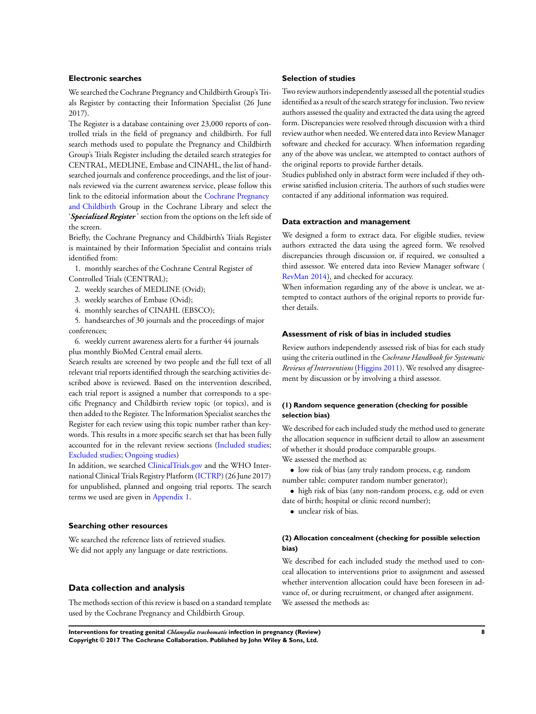#### **Electronic searches**

We searched the Cochrane Pregnancy and Childbirth Group's Trials Register by contacting their Information Specialist (26 June 2017).

The Register is a database containing over 23,000 reports of controlled trials in the field of pregnancy and childbirth. For full search methods used to populate the Pregnancy and Childbirth Group's Trials Register including the detailed search strategies for CENTRAL, MEDLINE, Embase and CINAHL, the list of handsearched journals and conference proceedings, and the list of journals reviewed via the current awareness service, please follow this link to the editorial information about the [Cochrane Pregnancy](http://www.mrw.interscience.wiley.com/cochrane/clabout/articles/PREG/frame.html) [and Childbirth](http://www.mrw.interscience.wiley.com/cochrane/clabout/articles/PREG/frame.html) Group in the Cochrane Library and select the '*Specialized Register* ' section from the options on the left side of the screen.

Briefly, the Cochrane Pregnancy and Childbirth's Trials Register is maintained by their Information Specialist and contains trials identified from:

1. monthly searches of the Cochrane Central Register of Controlled Trials (CENTRAL);

- 2. weekly searches of MEDLINE (Ovid);
- 3. weekly searches of Embase (Ovid);
- 4. monthly searches of CINAHL (EBSCO);

5. handsearches of 30 journals and the proceedings of major conferences;

6. weekly current awareness alerts for a further 44 journals plus monthly BioMed Central email alerts.

Search results are screened by two people and the full text of all relevant trial reports identified through the searching activities described above is reviewed. Based on the intervention described, each trial report is assigned a number that corresponds to a specific Pregnancy and Childbirth review topic (or topics), and is then added to the Register. The Information Specialist searches the Register for each review using this topic number rather than keywords. This results in a more specific search set that has been fully accounted for in the relevant review sections [\(Included studies;](#page-29-0) [Excluded studies](#page-29-0); [Ongoing studies\)](#page-29-0)

In addition, we searched [ClinicalTrials.gov](http://clinicaltrials.gov/) and the WHO International Clinical Trials Registry Platform [\(ICTRP](http://apps.who.int/trialsearch/)) (26 June 2017) for unpublished, planned and ongoing trial reports. The search terms we used are given in [Appendix 1](#page-69-0).

#### **Searching other resources**

We searched the reference lists of retrieved studies. We did not apply any language or date restrictions.

#### **Data collection and analysis**

The methods section of this review is based on a standard template used by the Cochrane Pregnancy and Childbirth Group.

#### **Selection of studies**

Two review authors independently assessed all the potential studies identified as a result of the search strategy for inclusion. Two review authors assessed the quality and extracted the data using the agreed form. Discrepancies were resolved through discussion with a third review author when needed. We entered data into Review Manager software and checked for accuracy. When information regarding any of the above was unclear, we attempted to contact authors of the original reports to provide further details.

Studies published only in abstract form were included if they otherwise satisfied inclusion criteria. The authors of such studies were contacted if any additional information was required.

#### **Data extraction and management**

We designed a form to extract data. For eligible studies, review authors extracted the data using the agreed form. We resolved discrepancies through discussion or, if required, we consulted a third assessor. We entered data into Review Manager software ( [RevMan 2014](#page-29-0)), and checked for accuracy.

When information regarding any of the above is unclear, we attempted to contact authors of the original reports to provide further details.

#### **Assessment of risk of bias in included studies**

Review authors independently assessed risk of bias for each study using the criteria outlined in the *Cochrane Handbook for Systematic Reviews of Interventions* ([Higgins 2011\)](#page-29-0). We resolved any disagreement by discussion or by involving a third assessor.

### **(1) Random sequence generation (checking for possible selection bias)**

We described for each included study the method used to generate the allocation sequence in sufficient detail to allow an assessment of whether it should produce comparable groups. We assessed the method as:

- low risk of bias (any truly random process, e.g. random number table; computer random number generator);
- high risk of bias (any non-random process, e.g. odd or even date of birth; hospital or clinic record number);
	- unclear risk of bias.

## **(2) Allocation concealment (checking for possible selection bias)**

We described for each included study the method used to conceal allocation to interventions prior to assignment and assessed whether intervention allocation could have been foreseen in advance of, or during recruitment, or changed after assignment. We assessed the methods as:

**Interventions for treating genital** *Chlamydia trachomatis* **infection in pregnancy (Review) 8 Copyright © 2017 The Cochrane Collaboration. Published by John Wiley & Sons, Ltd.**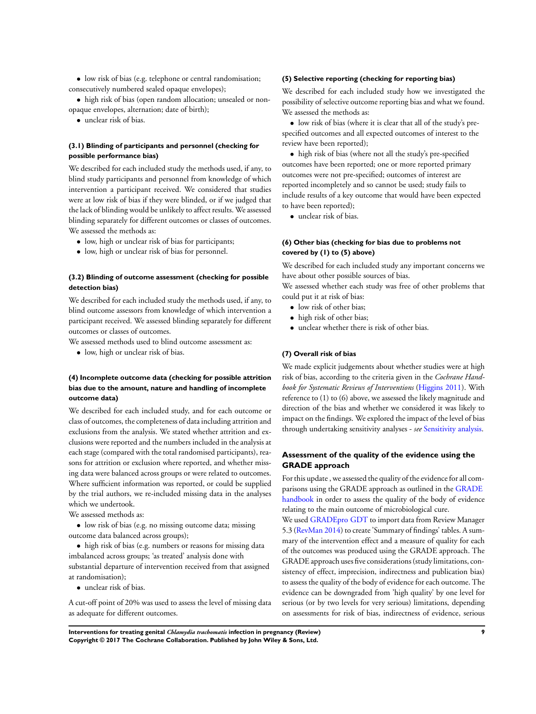• low risk of bias (e.g. telephone or central randomisation; consecutively numbered sealed opaque envelopes);

• high risk of bias (open random allocation; unsealed or nonopaque envelopes, alternation; date of birth);

• unclear risk of bias.

#### **(3.1) Blinding of participants and personnel (checking for possible performance bias)**

We described for each included study the methods used, if any, to blind study participants and personnel from knowledge of which intervention a participant received. We considered that studies were at low risk of bias if they were blinded, or if we judged that the lack of blinding would be unlikely to affect results. We assessed blinding separately for different outcomes or classes of outcomes. We assessed the methods as:

- low, high or unclear risk of bias for participants;
- low, high or unclear risk of bias for personnel.

### **(3.2) Blinding of outcome assessment (checking for possible detection bias)**

We described for each included study the methods used, if any, to blind outcome assessors from knowledge of which intervention a participant received. We assessed blinding separately for different outcomes or classes of outcomes.

We assessed methods used to blind outcome assessment as:

• low, high or unclear risk of bias.

## **(4) Incomplete outcome data (checking for possible attrition bias due to the amount, nature and handling of incomplete outcome data)**

We described for each included study, and for each outcome or class of outcomes, the completeness of data including attrition and exclusions from the analysis. We stated whether attrition and exclusions were reported and the numbers included in the analysis at each stage (compared with the total randomised participants), reasons for attrition or exclusion where reported, and whether missing data were balanced across groups or were related to outcomes. Where sufficient information was reported, or could be supplied by the trial authors, we re-included missing data in the analyses which we undertook.

We assessed methods as:

• low risk of bias (e.g. no missing outcome data; missing outcome data balanced across groups);

• high risk of bias (e.g. numbers or reasons for missing data imbalanced across groups; 'as treated' analysis done with substantial departure of intervention received from that assigned at randomisation);

• unclear risk of bias.

A cut-off point of 20% was used to assess the level of missing data as adequate for different outcomes.

#### **(5) Selective reporting (checking for reporting bias)**

We described for each included study how we investigated the possibility of selective outcome reporting bias and what we found. We assessed the methods as:

• low risk of bias (where it is clear that all of the study's prespecified outcomes and all expected outcomes of interest to the review have been reported);

• high risk of bias (where not all the study's pre-specified outcomes have been reported; one or more reported primary outcomes were not pre-specified; outcomes of interest are reported incompletely and so cannot be used; study fails to include results of a key outcome that would have been expected to have been reported);

• unclear risk of bias.

### **(6) Other bias (checking for bias due to problems not covered by (1) to (5) above)**

We described for each included study any important concerns we have about other possible sources of bias.

We assessed whether each study was free of other problems that could put it at risk of bias:

- low risk of other bias;
- high risk of other bias;
- unclear whether there is risk of other bias.

#### **(7) Overall risk of bias**

We made explicit judgements about whether studies were at high risk of bias, according to the criteria given in the *Cochrane Handbook for Systematic Reviews of Interventions* ([Higgins 2011](#page-29-0)). With reference to (1) to (6) above, we assessed the likely magnitude and direction of the bias and whether we considered it was likely to impact on the findings. We explored the impact of the level of bias through undertaking sensitivity analyses - *see* [Sensitivity analysis.](#page-7-0)

### **Assessment of the quality of the evidence using the GRADE approach**

For this update , we assessed the quality of the evidence for all comparisons using the GRADE approach as outlined in the [GRADE](http://gdt.guidelinedevelopment.org/centralchar "A8penalty z@ prod/char "A8penalty z@ design/client/handbook/handbook.html) [handbook](http://gdt.guidelinedevelopment.org/centralchar "A8penalty z@ prod/char "A8penalty z@ design/client/handbook/handbook.html) in order to assess the quality of the body of evidence relating to the main outcome of microbiological cure.

We used [GRADEpro GDT](http://www.guidelinedevelopment.org/) to import data from Review Manager 5.3 ([RevMan 2014](#page-29-0)) to create 'Summary of findings' tables. A summary of the intervention effect and a measure of quality for each of the outcomes was produced using the GRADE approach. The GRADE approach uses five considerations (study limitations, consistency of effect, imprecision, indirectness and publication bias) to assess the quality of the body of evidence for each outcome. The evidence can be downgraded from 'high quality' by one level for serious (or by two levels for very serious) limitations, depending on assessments for risk of bias, indirectness of evidence, serious

**Interventions for treating genital** *Chlamydia trachomatis* **infection in pregnancy (Review) 9 Copyright © 2017 The Cochrane Collaboration. Published by John Wiley & Sons, Ltd.**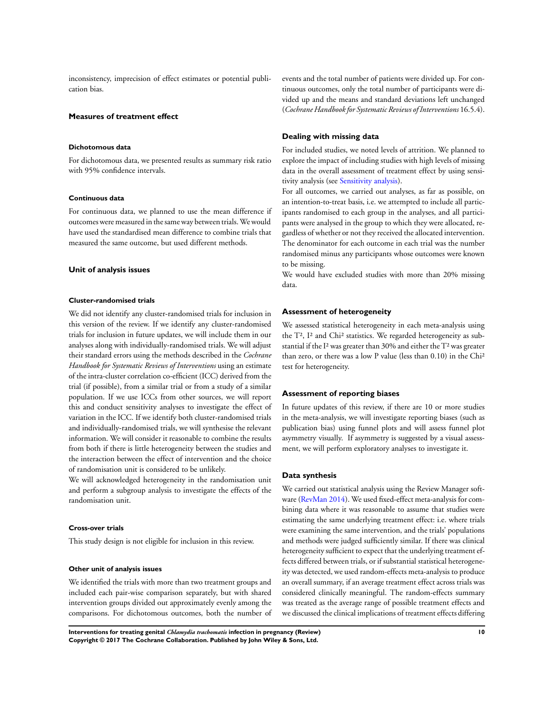inconsistency, imprecision of effect estimates or potential publication bias.

#### **Measures of treatment effect**

#### **Dichotomous data**

For dichotomous data, we presented results as summary risk ratio with 95% confidence intervals.

#### **Continuous data**

For continuous data, we planned to use the mean difference if outcomes were measured in the same way between trials.We would have used the standardised mean difference to combine trials that measured the same outcome, but used different methods.

#### **Unit of analysis issues**

#### **Cluster-randomised trials**

We did not identify any cluster-randomised trials for inclusion in this version of the review. If we identify any cluster-randomised trials for inclusion in future updates, we will include them in our analyses along with individually-randomised trials. We will adjust their standard errors using the methods described in the *Cochrane Handbook for Systematic Reviews of Interventions* using an estimate of the intra-cluster correlation co-efficient (ICC) derived from the trial (if possible), from a similar trial or from a study of a similar population. If we use ICCs from other sources, we will report this and conduct sensitivity analyses to investigate the effect of variation in the ICC. If we identify both cluster-randomised trials and individually-randomised trials, we will synthesise the relevant information. We will consider it reasonable to combine the results from both if there is little heterogeneity between the studies and the interaction between the effect of intervention and the choice of randomisation unit is considered to be unlikely.

We will acknowledged heterogeneity in the randomisation unit and perform a subgroup analysis to investigate the effects of the randomisation unit.

#### **Cross-over trials**

This study design is not eligible for inclusion in this review.

#### **Other unit of analysis issues**

We identified the trials with more than two treatment groups and included each pair-wise comparison separately, but with shared intervention groups divided out approximately evenly among the comparisons. For dichotomous outcomes, both the number of events and the total number of patients were divided up. For continuous outcomes, only the total number of participants were divided up and the means and standard deviations left unchanged (*Cochrane Handbook for Systematic Reviews of Interventions* 16.5.4).

#### **Dealing with missing data**

For included studies, we noted levels of attrition. We planned to explore the impact of including studies with high levels of missing data in the overall assessment of treatment effect by using sensitivity analysis (see [Sensitivity analysis](#page-7-0)).

For all outcomes, we carried out analyses, as far as possible, on an intention-to-treat basis, i.e. we attempted to include all participants randomised to each group in the analyses, and all participants were analysed in the group to which they were allocated, regardless of whether or not they received the allocated intervention. The denominator for each outcome in each trial was the number randomised minus any participants whose outcomes were known to be missing.

We would have excluded studies with more than 20% missing data.

#### **Assessment of heterogeneity**

We assessed statistical heterogeneity in each meta-analysis using the T², I² and Chi² statistics. We regarded heterogeneity as substantial if the I² was greater than 30% and either the T² was greater than zero, or there was a low P value (less than 0.10) in the Chi² test for heterogeneity.

#### **Assessment of reporting biases**

In future updates of this review, if there are 10 or more studies in the meta-analysis, we will investigate reporting biases (such as publication bias) using funnel plots and will assess funnel plot asymmetry visually. If asymmetry is suggested by a visual assessment, we will perform exploratory analyses to investigate it.

#### **Data synthesis**

We carried out statistical analysis using the Review Manager software ([RevMan 2014](#page-29-0)). We used fixed-effect meta-analysis for combining data where it was reasonable to assume that studies were estimating the same underlying treatment effect: i.e. where trials were examining the same intervention, and the trials' populations and methods were judged sufficiently similar. If there was clinical heterogeneity sufficient to expect that the underlying treatment effects differed between trials, or if substantial statistical heterogeneity was detected, we used random-effects meta-analysis to produce an overall summary, if an average treatment effect across trials was considered clinically meaningful. The random-effects summary was treated as the average range of possible treatment effects and we discussed the clinical implications of treatment effects differing

**Interventions for treating genital** *Chlamydia trachomatis* **infection in pregnancy (Review) 10 Copyright © 2017 The Cochrane Collaboration. Published by John Wiley & Sons, Ltd.**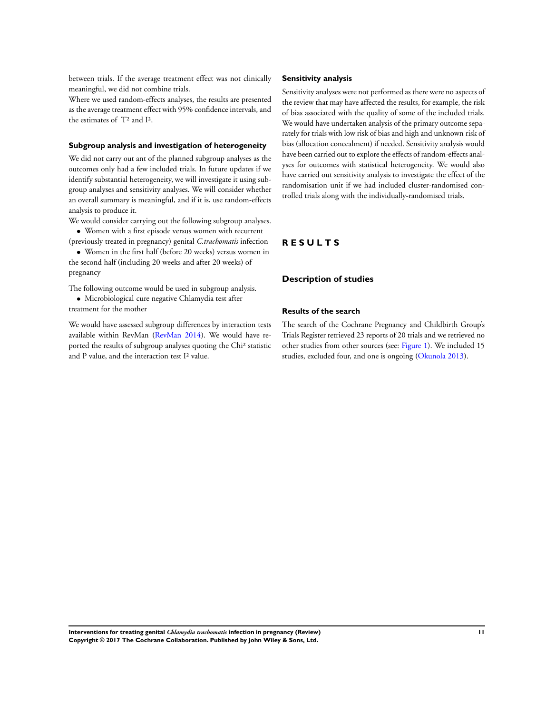between trials. If the average treatment effect was not clinically meaningful, we did not combine trials.

Where we used random-effects analyses, the results are presented as the average treatment effect with 95% confidence intervals, and the estimates of T² and I².

#### **Subgroup analysis and investigation of heterogeneity**

We did not carry out ant of the planned subgroup analyses as the outcomes only had a few included trials. In future updates if we identify substantial heterogeneity, we will investigate it using subgroup analyses and sensitivity analyses. We will consider whether an overall summary is meaningful, and if it is, use random-effects analysis to produce it.

We would consider carrying out the following subgroup analyses.

• Women with a first episode versus women with recurrent (previously treated in pregnancy) genital *C.trachomatis* infection

• Women in the first half (before 20 weeks) versus women in the second half (including 20 weeks and after 20 weeks) of pregnancy

The following outcome would be used in subgroup analysis.

• Microbiological cure negative Chlamydia test after treatment for the mother

We would have assessed subgroup differences by interaction tests available within RevMan ([RevMan 2014](#page-29-0)). We would have reported the results of subgroup analyses quoting the Chi² statistic and P value, and the interaction test I² value.

#### **Sensitivity analysis**

Sensitivity analyses were not performed as there were no aspects of the review that may have affected the results, for example, the risk of bias associated with the quality of some of the included trials. We would have undertaken analysis of the primary outcome separately for trials with low risk of bias and high and unknown risk of bias (allocation concealment) if needed. Sensitivity analysis would have been carried out to explore the effects of random-effects analyses for outcomes with statistical heterogeneity. We would also have carried out sensitivity analysis to investigate the effect of the randomisation unit if we had included cluster-randomised controlled trials along with the individually-randomised trials.

## **R E S U L T S**

### **Description of studies**

#### **Results of the search**

The search of the Cochrane Pregnancy and Childbirth Group's Trials Register retrieved 23 reports of 20 trials and we retrieved no other studies from other sources (see: [Figure 1\)](#page-13-0). We included 15 studies, excluded four, and one is ongoing ([Okunola 2013](#page-29-0)).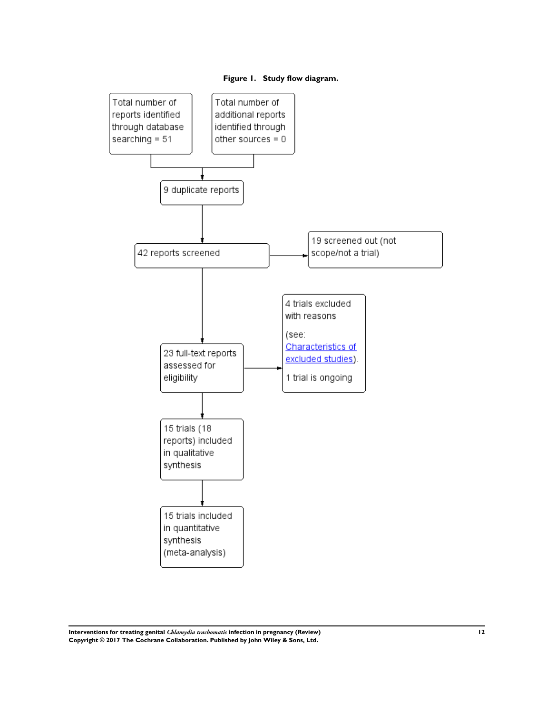

<span id="page-13-0"></span>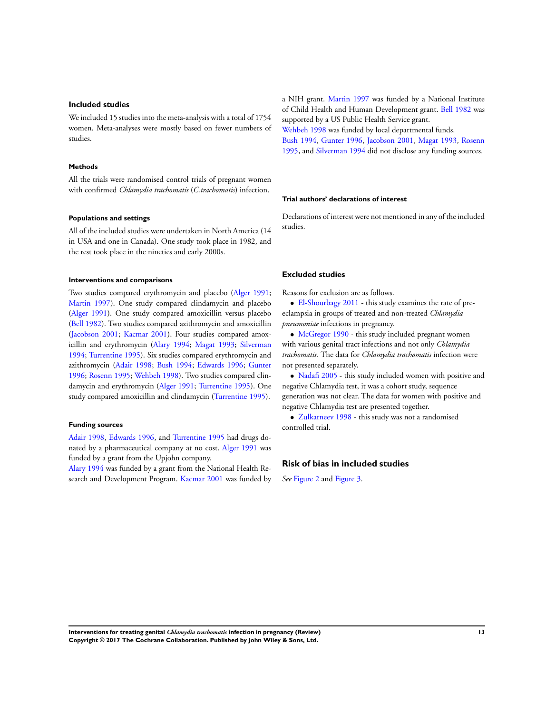### **Included studies**

We included 15 studies into the meta-analysis with a total of 1754 women. Meta-analyses were mostly based on fewer numbers of studies.

#### **Methods**

All the trials were randomised control trials of pregnant women with confirmed *Chlamydia trachomatis* (*C.trachomatis*) infection.

#### **Populations and settings**

All of the included studies were undertaken in North America (14 in USA and one in Canada). One study took place in 1982, and the rest took place in the nineties and early 2000s.

#### **Interventions and comparisons**

Two studies compared erythromycin and placebo [\(Alger 1991;](#page-29-0) [Martin 1997\)](#page-29-0). One study compared clindamycin and placebo [\(Alger 1991](#page-29-0)). One study compared amoxicillin versus placebo [\(Bell 1982\)](#page-29-0). Two studies compared azithromycin and amoxicillin [\(Jacobson 2001;](#page-29-0) [Kacmar 2001\)](#page-29-0). Four studies compared amoxicillin and erythromycin [\(Alary 1994](#page-29-0); [Magat 1993;](#page-29-0) [Silverman](#page-29-0) [1994](#page-29-0); [Turrentine 1995](#page-29-0)). Six studies compared erythromycin and azithromycin [\(Adair 1998;](#page-29-0) [Bush 1994](#page-29-0); [Edwards 1996](#page-29-0); [Gunter](#page-29-0) [1996](#page-29-0); [Rosenn 1995;](#page-29-0) [Wehbeh 1998](#page-29-0)). Two studies compared clindamycin and erythromycin ([Alger 1991;](#page-29-0) [Turrentine 1995](#page-29-0)). One study compared amoxicillin and clindamycin ([Turrentine 1995\)](#page-29-0).

#### **Funding sources**

[Adair 1998,](#page-29-0) [Edwards 1996](#page-29-0), and [Turrentine 1995](#page-29-0) had drugs donated by a pharmaceutical company at no cost. [Alger 1991](#page-29-0) was funded by a grant from the Upjohn company.

[Alary 1994](#page-29-0) was funded by a grant from the National Health Research and Development Program. [Kacmar 2001](#page-29-0) was funded by a NIH grant. [Martin 1997](#page-29-0) was funded by a National Institute of Child Health and Human Development grant. [Bell 1982](#page-29-0) was supported by a US Public Health Service grant.

[Wehbeh 1998](#page-29-0) was funded by local departmental funds. [Bush 1994](#page-29-0), [Gunter 1996](#page-29-0), [Jacobson 2001](#page-29-0), [Magat 1993](#page-29-0), [Rosenn](#page-29-0) [1995](#page-29-0), and [Silverman 1994](#page-29-0) did not disclose any funding sources.

#### **Trial authors' declarations of interest**

Declarations of interest were not mentioned in any of the included studies.

#### **Excluded studies**

Reasons for exclusion are as follows.

• [El-Shourbagy 2011](#page-29-0) - this study examines the rate of preeclampsia in groups of treated and non-treated *Chlamydia pneumoniae* infections in pregnancy.

• [McGregor 1990](#page-29-0) - this study included pregnant women with various genital tract infections and not only *Chlamydia trachomatis.* The data for *Chlamydia trachomatis* infection were not presented separately.

• [Nadafi 2005](#page-29-0) - this study included women with positive and negative Chlamydia test, it was a cohort study, sequence generation was not clear. The data for women with positive and negative Chlamydia test are presented together.

• [Zulkarneev 1998](#page-29-0) - this study was not a randomised controlled trial.

#### **Risk of bias in included studies**

*See* [Figure 2](#page-15-0) and [Figure 3.](#page-16-0)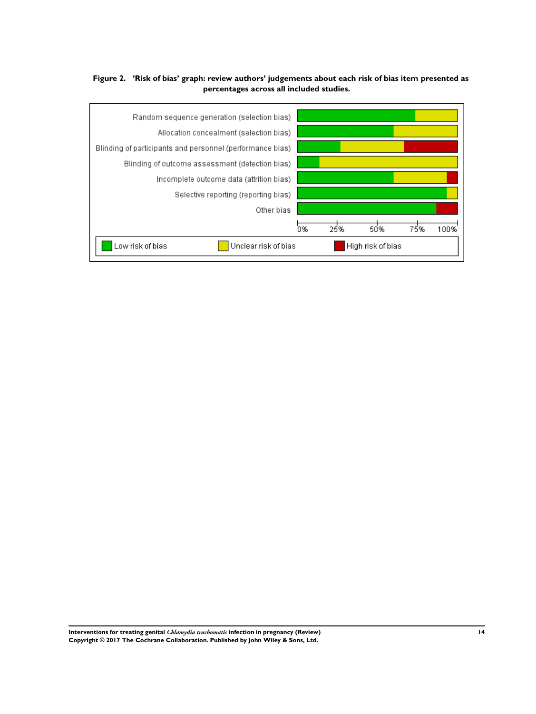## <span id="page-15-0"></span>**Figure 2. 'Risk of bias' graph: review authors' judgements about each risk of bias item presented as percentages across all included studies.**



**Interventions for treating genital** *Chlamydia trachomatis* **infection in pregnancy (Review) 14 Copyright © 2017 The Cochrane Collaboration. Published by John Wiley & Sons, Ltd.**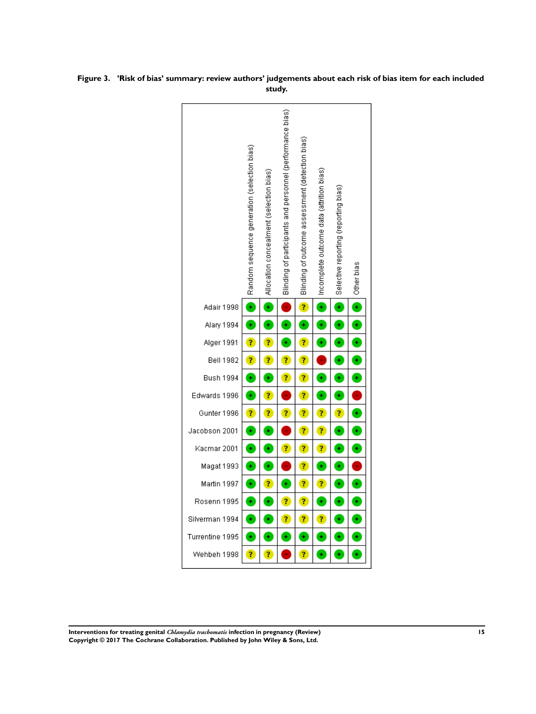

<span id="page-16-0"></span>**Figure 3. 'Risk of bias' summary: review authors' judgements about each risk of bias item for each included study.**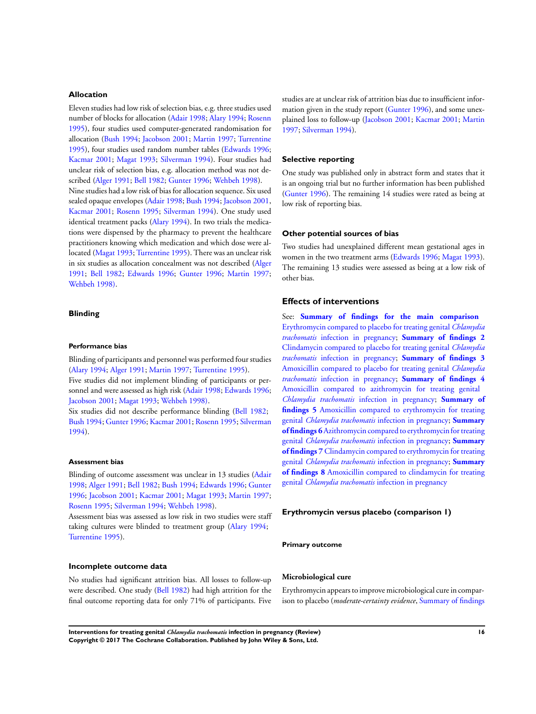#### **Allocation**

Eleven studies had low risk of selection bias, e.g. three studies used number of blocks for allocation [\(Adair 1998](#page-29-0); [Alary 1994;](#page-29-0) [Rosenn](#page-29-0) [1995](#page-29-0)), four studies used computer-generated randomisation for allocation [\(Bush 1994](#page-29-0); [Jacobson 2001;](#page-29-0) [Martin 1997;](#page-29-0) [Turrentine](#page-29-0) [1995](#page-29-0)), four studies used random number tables ([Edwards 1996;](#page-29-0) [Kacmar 2001](#page-29-0); [Magat 1993;](#page-29-0) [Silverman 1994\)](#page-29-0). Four studies had unclear risk of selection bias, e.g. allocation method was not described ([Alger 1991](#page-29-0); [Bell 1982;](#page-29-0) [Gunter 1996;](#page-29-0) [Wehbeh 1998](#page-29-0)). Nine studies had a low risk of bias for allocation sequence. Six used sealed opaque envelopes ([Adair 1998;](#page-29-0) [Bush 1994](#page-29-0); [Jacobson 2001,](#page-29-0) [Kacmar 2001](#page-29-0); [Rosenn 1995](#page-29-0); [Silverman 1994](#page-29-0)). One study used identical treatment packs ([Alary 1994\)](#page-29-0). In two trials the medications were dispensed by the pharmacy to prevent the healthcare practitioners knowing which medication and which dose were allocated ([Magat 1993](#page-29-0); [Turrentine 1995](#page-29-0)). There was an unclear risk in six studies as allocation concealment was not described ([Alger](#page-29-0) [1991](#page-29-0); [Bell 1982;](#page-29-0) [Edwards 1996](#page-29-0); [Gunter 1996](#page-29-0); [Martin 1997;](#page-29-0) [Wehbeh 1998\)](#page-29-0).

#### **Blinding**

#### **Performance bias**

Blinding of participants and personnel was performed four studies [\(Alary 1994;](#page-29-0) [Alger 1991](#page-29-0); [Martin 1997](#page-29-0); [Turrentine 1995](#page-29-0)).

Five studies did not implement blinding of participants or personnel and were assessed as high risk [\(Adair 1998](#page-29-0); [Edwards 1996;](#page-29-0) [Jacobson 2001](#page-29-0); [Magat 1993](#page-29-0); [Wehbeh 1998\).](#page-29-0)

Six studies did not describe performance blinding ([Bell 1982;](#page-29-0) [Bush 1994](#page-29-0); [Gunter 1996](#page-29-0); [Kacmar 2001](#page-29-0); [Rosenn 1995;](#page-29-0) [Silverman](#page-29-0) [1994](#page-29-0)).

## **Assessment bias**

Blinding of outcome assessment was unclear in 13 studies [\(Adair](#page-29-0) [1998](#page-29-0); [Alger 1991](#page-29-0); [Bell 1982](#page-29-0); [Bush 1994](#page-29-0); [Edwards 1996;](#page-29-0) [Gunter](#page-29-0) [1996](#page-29-0); [Jacobson 2001](#page-29-0); [Kacmar 2001](#page-29-0); [Magat 1993](#page-29-0); [Martin 1997;](#page-29-0) [Rosenn 1995](#page-29-0); [Silverman 1994;](#page-29-0) [Wehbeh 1998](#page-29-0)).

Assessment bias was assessed as low risk in two studies were staff taking cultures were blinded to treatment group ([Alary 1994;](#page-29-0) [Turrentine 1995](#page-29-0)).

#### **Incomplete outcome data**

No studies had significant attrition bias. All losses to follow-up were described. One study [\(Bell 1982\)](#page-29-0) had high attrition for the final outcome reporting data for only 71% of participants. Five studies are at unclear risk of attrition bias due to insufficient information given in the study report ([Gunter 1996](#page-29-0)), and some unexplained loss to follow-up ([Jacobson 2001](#page-29-0); [Kacmar 2001;](#page-29-0) [Martin](#page-29-0) [1997](#page-29-0); [Silverman 1994\)](#page-29-0).

#### **Selective reporting**

One study was published only in abstract form and states that it is an ongoing trial but no further information has been published [\(Gunter 1996\)](#page-29-0). The remaining 14 studies were rated as being at low risk of reporting bias.

#### **Other potential sources of bias**

Two studies had unexplained different mean gestational ages in women in the two treatment arms [\(Edwards 1996](#page-29-0); [Magat 1993](#page-29-0)). The remaining 13 studies were assessed as being at a low risk of other bias.

### **Effects of interventions**

See: **[Summary of findings for the main comparison](#page-6-0)** [Erythromycin compared to placebo for treating genital](#page-6-0) *[Chlamydia](#page-6-0) [trachomatis](#page-6-0)* [infection in pregnancy](#page-6-0); **[Summary of findings 2](#page-21-0)** [Clindamycin compared to placebo for treating genital](#page-21-0) *[Chlamydia](#page-21-0) [trachomatis](#page-21-0)* [infection in pregnancy](#page-21-0); **[Summary of findings 3](#page-22-0)** [Amoxicillin compared to placebo for treating genital](#page-22-0) *[Chlamydia](#page-22-0) [trachomatis](#page-22-0)* [infection in pregnancy](#page-22-0); **[Summary of findings 4](#page-23-0)** [Amoxicillin compared to azithromycin for treating genital](#page-23-0) *[Chlamydia trachomatis](#page-23-0)* [infection in pregnancy;](#page-23-0) **[Summary of](#page-24-0) [findings 5](#page-24-0)** [Amoxicillin compared to erythromycin for treating](#page-24-0) [genital](#page-24-0) *[Chlamydia trachomatis](#page-24-0)* [infection in pregnancy;](#page-24-0) **[Summary](#page-25-0) [of findings 6](#page-25-0)** Azithromycin compared to erythromycin for treating [genital](#page-25-0) *[Chlamydia trachomatis](#page-25-0)* [infection in pregnancy;](#page-25-0) **[Summary](#page-26-0) [of findings 7](#page-26-0)**[Clindamycin compared to erythromycin for treating](#page-26-0) [genital](#page-26-0) *[Chlamydia trachomatis](#page-26-0)* [infection in pregnancy;](#page-26-0) **[Summary](#page-27-0) [of findings 8](#page-27-0)** [Amoxicillin compared to clindamycin for treating](#page-27-0) [genital](#page-27-0) *[Chlamydia trachomatis](#page-27-0)* [infection in pregnancy](#page-27-0)

#### **Erythromycin versus placebo (comparison 1)**

**Primary outcome**

#### **Microbiological cure**

Erythromycin appears to improve microbiological cure in comparison to placebo (*moderate-certainty evidence*, [Summary of findings](#page-6-0)

**Interventions for treating genital** *Chlamydia trachomatis* **infection in pregnancy (Review) 16 Copyright © 2017 The Cochrane Collaboration. Published by John Wiley & Sons, Ltd.**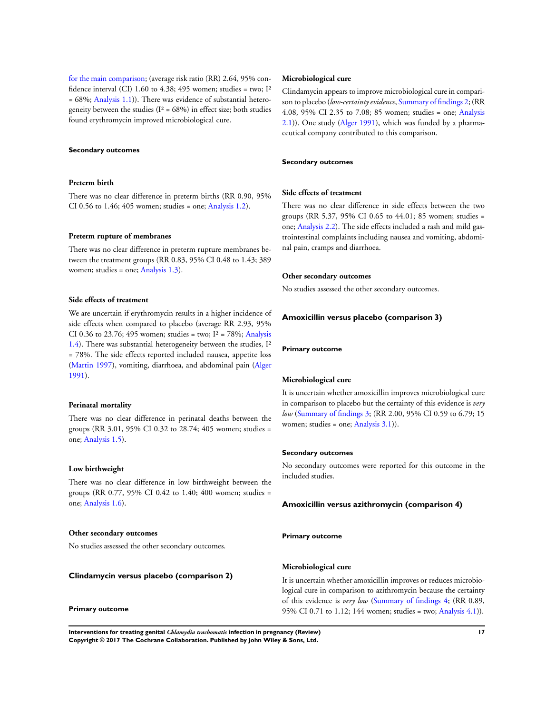[for the main comparison](#page-6-0); (average risk ratio (RR) 2.64, 95% confidence interval (CI) 1.60 to 4.38; 495 women; studies = two;  $I<sup>2</sup>$ = 68%; [Analysis 1.1\)](#page-55-0)). There was evidence of substantial heterogeneity between the studies ( $I^2 = 68\%$ ) in effect size; both studies found erythromycin improved microbiological cure.

#### **Secondary outcomes**

#### **Preterm birth**

There was no clear difference in preterm births (RR 0.90, 95% CI 0.56 to 1.46; 405 women; studies = one; [Analysis 1.2\)](#page-55-0).

#### **Preterm rupture of membranes**

There was no clear difference in preterm rupture membranes between the treatment groups (RR 0.83, 95% CI 0.48 to 1.43; 389 women; studies = one; [Analysis 1.3](#page-55-0)).

#### **Side effects of treatment**

We are uncertain if erythromycin results in a higher incidence of side effects when compared to placebo (average RR 2.93, 95% CI 0.36 to 23.76; 495 women; studies = two;  $I^2 = 78\%$ ; [Analysis](#page-56-0) [1.4](#page-56-0)). There was substantial heterogeneity between the studies, I² = 78%. The side effects reported included nausea, appetite loss [\(Martin 1997](#page-29-0)), vomiting, diarrhoea, and abdominal pain ([Alger](#page-29-0) [1991](#page-29-0)).

#### **Perinatal mortality**

There was no clear difference in perinatal deaths between the groups (RR 3.01, 95% CI 0.32 to 28.74; 405 women; studies = one; [Analysis 1.5](#page-56-0)).

#### **Low birthweight**

There was no clear difference in low birthweight between the groups (RR 0.77, 95% CI 0.42 to 1.40; 400 women; studies = one; [Analysis 1.6](#page-57-0)).

#### **Other secondary outcomes**

No studies assessed the other secondary outcomes.

#### **Clindamycin versus placebo (comparison 2)**

#### **Primary outcome**

#### **Microbiological cure**

Clindamycin appears to improve microbiological cure in comparison to placebo (*low-certainty evidence*, [Summary of findings 2;](#page-21-0) (RR 4.08, 95% CI 2.35 to 7.08; 85 women; studies = one; [Analysis](#page-57-0) [2.1](#page-57-0))). One study ([Alger 1991\)](#page-29-0), which was funded by a pharmaceutical company contributed to this comparison.

#### **Secondary outcomes**

#### **Side effects of treatment**

There was no clear difference in side effects between the two groups (RR 5.37, 95% CI 0.65 to 44.01; 85 women; studies = one; [Analysis 2.2](#page-58-0)). The side effects included a rash and mild gastrointestinal complaints including nausea and vomiting, abdominal pain, cramps and diarrhoea.

#### **Other secondary outcomes**

No studies assessed the other secondary outcomes.

#### **Amoxicillin versus placebo (comparison 3)**

#### **Primary outcome**

#### **Microbiological cure**

It is uncertain whether amoxicillin improves microbiological cure in comparison to placebo but the certainty of this evidence is *very low* ([Summary of findings 3;](#page-22-0) (RR 2.00, 95% CI 0.59 to 6.79; 15 women; studies = one; [Analysis 3.1](#page-58-0))).

#### **Secondary outcomes**

No secondary outcomes were reported for this outcome in the included studies.

#### **Amoxicillin versus azithromycin (comparison 4)**

#### **Primary outcome**

#### **Microbiological cure**

It is uncertain whether amoxicillin improves or reduces microbiological cure in comparison to azithromycin because the certainty of this evidence is *very low* ([Summary of findings 4](#page-23-0); (RR 0.89, 95% CI 0.71 to 1.12; 144 women; studies = two; [Analysis 4.1](#page-59-0))).

**Interventions for treating genital** *Chlamydia trachomatis* **infection in pregnancy (Review) 17 Copyright © 2017 The Cochrane Collaboration. Published by John Wiley & Sons, Ltd.**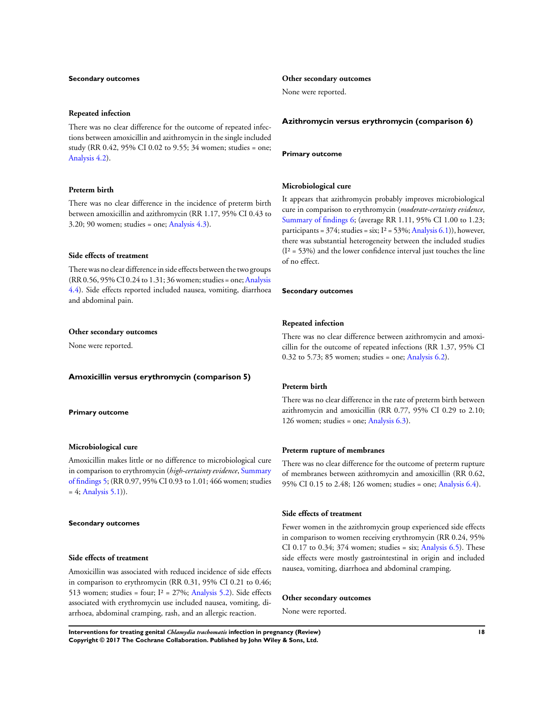#### **Secondary outcomes**

#### **Repeated infection**

There was no clear difference for the outcome of repeated infections between amoxicillin and azithromycin in the single included study (RR 0.42, 95% CI 0.02 to 9.55; 34 women; studies = one; [Analysis 4.2\)](#page-59-0).

#### **Preterm birth**

There was no clear difference in the incidence of preterm birth between amoxicillin and azithromycin (RR 1.17, 95% CI 0.43 to 3.20; 90 women; studies = one; [Analysis 4.3](#page-60-0)).

#### **Side effects of treatment**

There was no clear difference in side effects between the two groups (RR 0.56, 95% CI 0.24 to 1.31; 36 women; studies = one; [Analysis](#page-60-0) [4.4](#page-60-0)). Side effects reported included nausea, vomiting, diarrhoea and abdominal pain.

#### **Other secondary outcomes**

None were reported.

#### **Amoxicillin versus erythromycin (comparison 5)**

**Primary outcome**

#### **Microbiological cure**

Amoxicillin makes little or no difference to microbiological cure in comparison to erythromycin (*high-certainty evidence*, [Summary](#page-24-0) [of findings 5;](#page-24-0) (RR 0.97, 95% CI 0.93 to 1.01; 466 women; studies  $= 4$ ; [Analysis 5.1\)](#page-61-0)).

#### **Secondary outcomes**

#### **Side effects of treatment**

Amoxicillin was associated with reduced incidence of side effects in comparison to erythromycin (RR 0.31, 95% CI 0.21 to 0.46; 513 women; studies = four;  $I^2 = 27\%$ ; [Analysis 5.2\)](#page-62-0). Side effects associated with erythromycin use included nausea, vomiting, diarrhoea, abdominal cramping, rash, and an allergic reaction.

#### **Other secondary outcomes**

None were reported.

#### **Azithromycin versus erythromycin (comparison 6)**

#### **Primary outcome**

#### **Microbiological cure**

It appears that azithromycin probably improves microbiological cure in comparison to erythromycin (*moderate-certainty evidence*, [Summary of findings 6](#page-25-0); (average RR 1.11, 95% CI 1.00 to 1.23; participants =  $374$ ; studies = six;  $I^2 = 53\%$ ; [Analysis 6.1](#page-63-0))), however, there was substantial heterogeneity between the included studies  $(I<sup>2</sup> = 53%)$  and the lower confidence interval just touches the line of no effect.

#### **Secondary outcomes**

#### **Repeated infection**

There was no clear difference between azithromycin and amoxicillin for the outcome of repeated infections (RR 1.37, 95% CI 0.32 to 5.73; 85 women; studies = one; [Analysis 6.2\)](#page-64-0).

#### **Preterm birth**

There was no clear difference in the rate of preterm birth between azithromycin and amoxicillin (RR 0.77, 95% CI 0.29 to 2.10; 126 women; studies = one; [Analysis 6.3\)](#page-64-0).

#### **Preterm rupture of membranes**

There was no clear difference for the outcome of preterm rupture of membranes between azithromycin and amoxicillin (RR 0.62, 95% CI 0.15 to 2.48; 126 women; studies = one; [Analysis 6.4\)](#page-64-0).

#### **Side effects of treatment**

Fewer women in the azithromycin group experienced side effects in comparison to women receiving erythromycin (RR 0.24, 95% CI 0.17 to 0.34;  $374$  women; studies = six; [Analysis 6.5\)](#page-66-0). These side effects were mostly gastrointestinal in origin and included nausea, vomiting, diarrhoea and abdominal cramping.

#### **Other secondary outcomes**

None were reported.

**Interventions for treating genital** *Chlamydia trachomatis* **infection in pregnancy (Review) 18 Copyright © 2017 The Cochrane Collaboration. Published by John Wiley & Sons, Ltd.**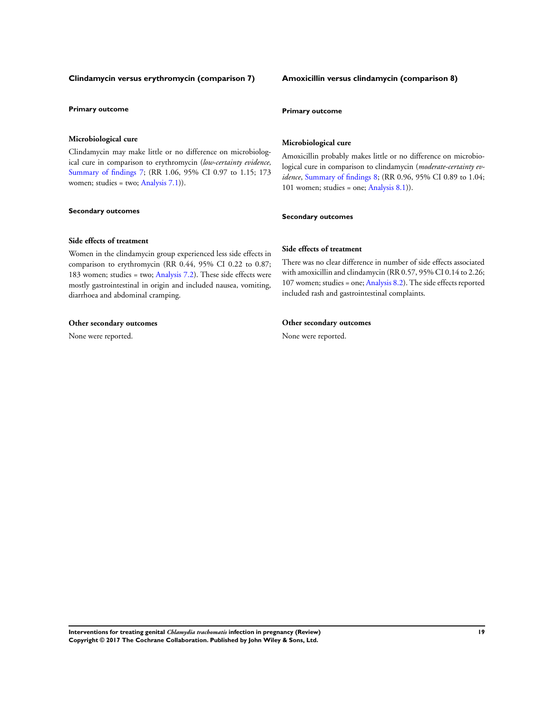#### **Clindamycin versus erythromycin (comparison 7)**

#### **Primary outcome**

#### **Microbiological cure**

Clindamycin may make little or no difference on microbiological cure in comparison to erythromycin (*low-certainty evidence,* [Summary of findings 7](#page-26-0); (RR 1.06, 95% CI 0.97 to 1.15; 173 women; studies = two; [Analysis 7.1](#page-67-0))).

#### **Secondary outcomes**

#### **Side effects of treatment**

Women in the clindamycin group experienced less side effects in comparison to erythromycin (RR 0.44, 95% CI 0.22 to 0.87; 183 women; studies = two; [Analysis 7.2](#page-67-0)). These side effects were mostly gastrointestinal in origin and included nausea, vomiting, diarrhoea and abdominal cramping.

#### **Other secondary outcomes**

None were reported.

#### **Amoxicillin versus clindamycin (comparison 8)**

#### **Primary outcome**

#### **Microbiological cure**

Amoxicillin probably makes little or no difference on microbiological cure in comparison to clindamycin (*moderate-certainty evidence*, [Summary of findings 8](#page-27-0); (RR 0.96, 95% CI 0.89 to 1.04; 101 women; studies = one; [Analysis 8.1\)](#page-67-0)).

#### **Secondary outcomes**

#### **Side effects of treatment**

There was no clear difference in number of side effects associated with amoxicillin and clindamycin (RR 0.57, 95% CI 0.14 to 2.26; 107 women; studies = one; [Analysis 8.2\)](#page-68-0). The side effects reported included rash and gastrointestinal complaints.

#### **Other secondary outcomes**

None were reported.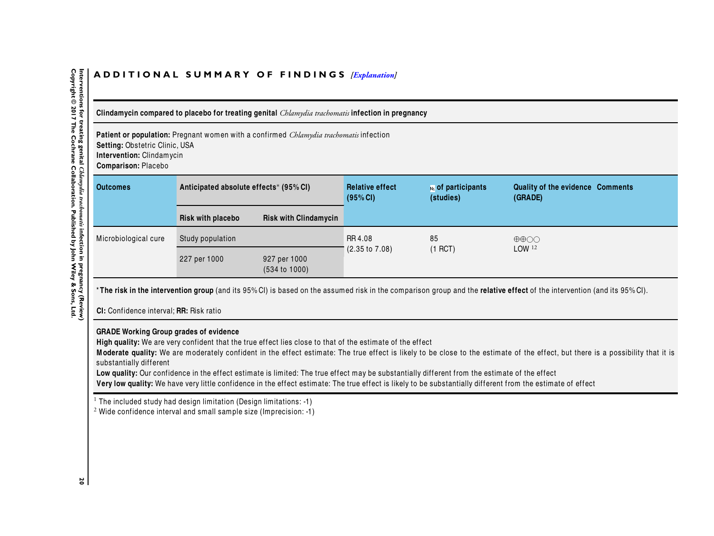# <span id="page-21-0"></span>ADDITIONAL SUMMARY OF FINDINGS *[\[Explanation\]](http://www.thecochranelibrary.com/view/0/SummaryFindings.html)*

Clindamycin compared to placebo for treating genital Chlamydia trachomatis infection in pregnancy

**Patient or population:** Pregnant women with a confirmed *Chlamydia trachomatis* infection **Setting:** Obstetric Clinic, USA

**Intervention:** Clindam ycin

**Comparison:** Placebo

| <b>Outcomes</b>      | Anticipated absolute effects* (95% CI) |                               | <b>Relative effect</b><br>(95% CI) | $N2$ of participants<br>(studies) | Quality of the evidence Comments<br>(GRADE) |  |
|----------------------|----------------------------------------|-------------------------------|------------------------------------|-----------------------------------|---------------------------------------------|--|
|                      | <b>Risk with placebo</b>               | <b>Risk with Clindamycin</b>  |                                    |                                   |                                             |  |
| Microbiological cure | Study population                       |                               | RR 4.08                            | 85                                | $\oplus$ $\oplus$                           |  |
|                      | 227 per 1000                           | 927 per 1000<br>(534 to 1000) | $(2.35 \text{ to } 7.08)$          | $(1$ RCT)                         | LOW <sup>12</sup>                           |  |

\***The risk in the intervention group** (and its 95%Cl) is based on the assumed risk in the comparison group and the **relative effect** of the intervention (and its 95%Cl).<br>

**CI:** Conf idence interval; **RR:** Risk ratio

**GRADE Working Group grades of evidence High quality:** We are very confident that the true effect lies close to that of the estimate of the effect<br>Moderate quality: We are moderately confident in the effect estimate: The true effect is likely to b

**Moderate quality:** We are moderately confident in the effect estimate: The true effect is likely to be close to the estimate of the effect, but there is a possibility that it is<br>substantially different substantially different

Low quality: Our confidence in the effect estimate is limited: The true effect may be substantially different from the estimate of the effect **Very low quality:** We have very little confidence in the effect estimate: The true effect is likely to be substantially different from the estimate of effect

 $^{\rm 1}$  The included study had design limitation (Design limitations: -1)

 $^2$  Wide confidence interval and small sample size (Imprecision: -1)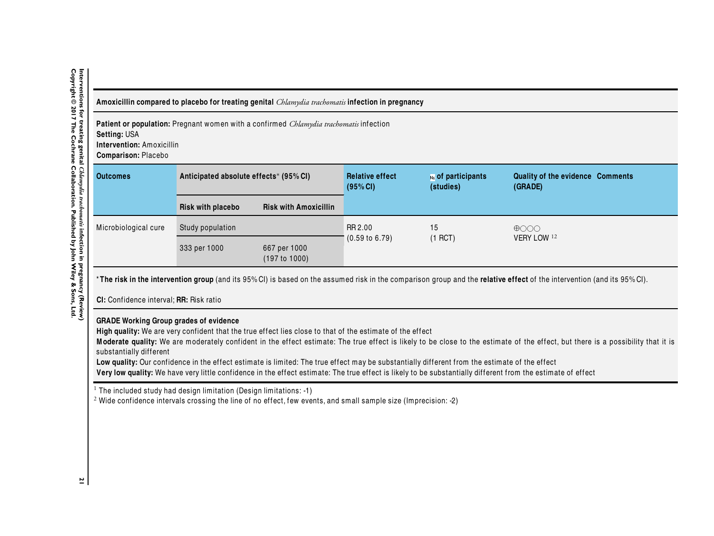<span id="page-22-0"></span>

|                                                                                                                                                                   |                                        | Amoxicillin compared to placebo for treating genital Chlamydia trachomatis infection in pregnancy |                                    |                                |                                             |
|-------------------------------------------------------------------------------------------------------------------------------------------------------------------|----------------------------------------|---------------------------------------------------------------------------------------------------|------------------------------------|--------------------------------|---------------------------------------------|
| Patient or population: Pregnant women with a confirmed Chlamydia trachomatis infection<br>Setting: USA<br>Intervention: Amoxicillin<br><b>Comparison: Placebo</b> |                                        |                                                                                                   |                                    |                                |                                             |
| <b>Outcomes</b>                                                                                                                                                   | Anticipated absolute effects* (95% CI) |                                                                                                   | <b>Relative effect</b><br>(95% CI) | № of participants<br>(studies) | Quality of the evidence Comments<br>(GRADE) |
|                                                                                                                                                                   | Risk with placebo                      | <b>Risk with Amoxicillin</b>                                                                      |                                    |                                |                                             |
| Microbiological cure                                                                                                                                              | Study population                       |                                                                                                   | RR 2.00                            | 15                             | $\bigoplus$ $\bigcirc$ $\bigcirc$           |
|                                                                                                                                                                   | 333 per 1000                           | 667 per 1000<br>(197 t0 1000)                                                                     | $(0.59 \text{ to } 6.79)$          | $(1$ RCT)                      | VERY LOW 12                                 |

\***The risk in the intervention group** (and its 95%Cl) is based on the assumed risk in the comparison group and the **relative effect** of the intervention (and its 95%Cl).<br>

**CI:** Conf idence interval; **RR:** Risk ratio

## **GRADE Working Group grades of evidence**

High quality: We are very confident that the true effect lies close to that of the estimate of the effect

Moderate quality: We are moderately confident in the effect estimate: The true effect is likely to be close to the estimate of the effect, but there is a possibility that it is substantially different

Low quality: Our confidence in the effect estimate is limited: The true effect may be substantially different from the estimate of the effect **Very low quality:** We have very little confidence in the effect estimate: The true effect is likely to be substantially different from the estimate of effect

 $^{\rm 1}$  The included study had design limitation (Design limitations: -1)

 $^2$  Wide confidence intervals crossing the line of no effect, few events, and small sample size (Imprecision: -2)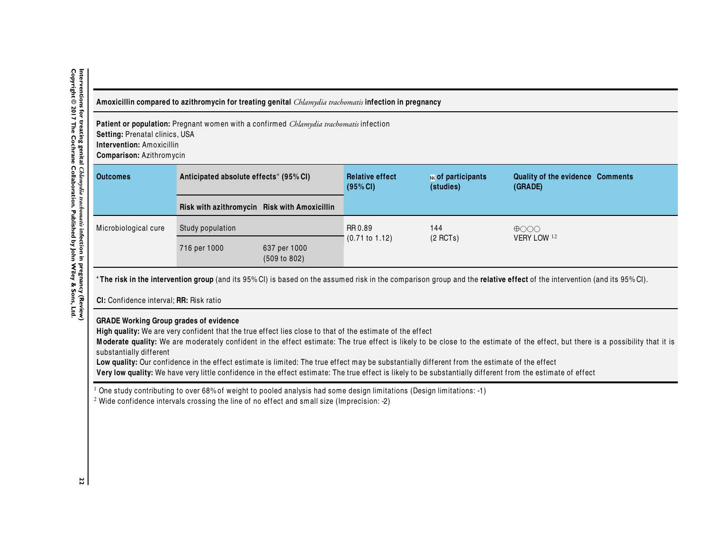<span id="page-23-0"></span>

| Amoxicillin compared to azithromycin for treating genital $\it Chlamydia\; {\it rachomatis}$ infection in pregnancy |  |  |  |
|---------------------------------------------------------------------------------------------------------------------|--|--|--|
|                                                                                                                     |  |  |  |

**Patient or population:** Pregnant women with a confirmed *Chlamydia trachomatis* infection

**Setting:** Prenatal clinics, USA

**Intervention:** Amoxicillin

**Comparison:** Azithrom ycin

| <b>Outcomes</b>      | Anticipated absolute effects* (95% CI)       |                              | <b>Relative effect</b><br>(95% CI) | No of participants<br>(studies) | Quality of the evidence Comments<br>(GRADE) |  |
|----------------------|----------------------------------------------|------------------------------|------------------------------------|---------------------------------|---------------------------------------------|--|
|                      | Risk with azithromycin Risk with Amoxicillin |                              |                                    |                                 |                                             |  |
| Microbiological cure | Study population                             |                              | RR 0.89                            | 144                             | $\bigoplus$ OOO                             |  |
|                      | 716 per 1000                                 | 637 per 1000<br>(509 to 802) | $(0.71 \text{ to } 1.12)$          | $(2$ RCTs)                      | VERY LOW 12                                 |  |

\***The risk in the intervention group** (and its 95%Cl) is based on the assumed risk in the comparison group and the **relative effect** of the intervention (and its 95%Cl).<br>

**CI:** Conf idence interval; **RR:** Risk ratio

**GRADE Working Group grades of evidence High quality:** We are very confident that the true effect lies close to that of the estimate of the effect<br>Moderate quality: We are moderately confident in the effect estimate: The true effect is likely to b

**Moderate quality:** We are moderately confident in the effect estimate: The true effect is likely to be close to the estimate of the effect, but there is a possibility that it is<br>substantially different substantially different

Low quality: Our confidence in the effect estimate is limited: The true effect may be substantially different from the estimate of the effect Very low quality: We have very little confidence in the effect estimate: The true effect is likely to be substantially different from the estimate of effect

 $^{\rm 1}$  One study contributing to over 68% of weight to pooled analysis had some design limitations (Design limitations: -1)<br>-

 $^2$  Wide confidence intervals crossing the line of no effect and small size (Imprecision: -2)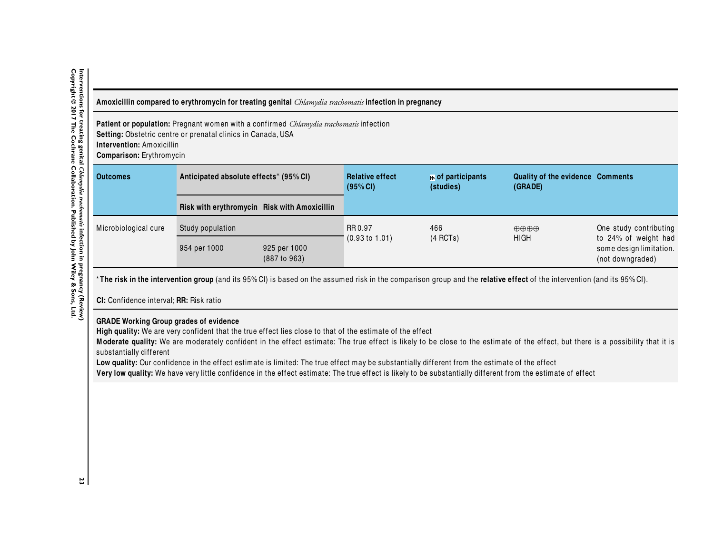<span id="page-24-0"></span>Amoxicillin compared to ervthromycin for treating genital Chlamydia trachomatis infection in pregnancy

**Patient or population:** Pregnant women with a confirmed *Chlamydia trachomatis* infection

**Setting:** Obstetric centre or prenatal clinics in Canada, USA

**Intervention:** Amoxicillin

**Comparison:** Erythrom ycin

| <b>Outcomes</b>      | Anticipated absolute effects* (95% CI)       |                              | <b>Relative effect</b><br>(95% CI)   | No of participants<br>(studies) | <b>Quality of the evidence Comments</b><br>(GRADE) |                                                                                               |
|----------------------|----------------------------------------------|------------------------------|--------------------------------------|---------------------------------|----------------------------------------------------|-----------------------------------------------------------------------------------------------|
|                      | Risk with erythromycin Risk with Amoxicillin |                              |                                      |                                 |                                                    |                                                                                               |
| Microbiological cure | Study population<br>954 per 1000             | 925 per 1000<br>(887 to 963) | RR 0.97<br>$(0.93 \text{ to } 1.01)$ | 466<br>$(4$ RCTs)               | $\oplus \oplus \oplus \oplus$<br><b>HIGH</b>       | One study contributing<br>to 24% of weight had<br>some design limitation.<br>(not downgraded) |

\***The risk in the intervention group** (and its 95%Cl) is based on the assumed risk in the comparison group and the **relative effect** of the intervention (and its 95%Cl).<br>

**CI:** Conf idence interval; **RR:** Risk ratio

# **GRADE Working Group grades of evidence**

**High quality:** We are very confident that the true effect lies close to that of the estimate of the effect<br>Moderate quality: We are moderately confident in the effect estimate: The true effect is likely to b

Moderate quality: We are moderately confident in the effect estimate: The true effect is likely to be close to the estimate of the effect, but there is a possibility that it is substantially different

Low quality: Our confidence in the effect estimate is limited: The true effect may be substantially different from the estimate of the effect

**Very low quality:** We have very little confidence in the effect estimate: The true effect is likely to be substantially different from the estimate of effect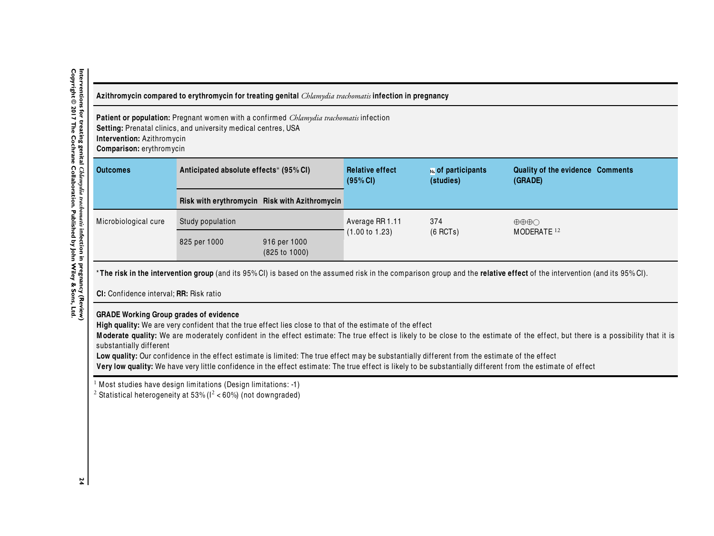<span id="page-25-0"></span>Azithromycin compared to erythromycin for treating genital Chlamydia trachomatis infection in pregnancy

**Patient or population:** Pregnant women with a confirmed *Chlamydia trachomatis* infection

**Setting:** Prenatal clinics, and university medical centres, USA

**Intervention:** Azithrom ycin

**Comparison:** erythrom ycin

| <b>Outcomes</b>      | Anticipated absolute effects* (95% CI) |                                               | <b>Relative effect</b><br>(95% CI)           | $\mathbb{R}^n$ of participants<br>(studies) | <b>Quality of the evidence Comments</b><br>(GRADE)    |
|----------------------|----------------------------------------|-----------------------------------------------|----------------------------------------------|---------------------------------------------|-------------------------------------------------------|
|                      |                                        | Risk with erythromycin Risk with Azithromycin |                                              |                                             |                                                       |
| Microbiological cure | Study population<br>825 per 1000       | 916 per 1000<br>(825 to 1000)                 | Average RR 1.11<br>$(1.00 \text{ to } 1.23)$ | 374<br>$(6$ RCTs)                           | $\oplus \oplus \oplus \cap$<br>MODERATE <sup>12</sup> |

\***The risk in the intervention group** (and its 95%Cl) is based on the assumed risk in the comparison group and the **relative effect** of the intervention (and its 95%Cl).<br>

**CI:** Conf idence interval; **RR:** Risk ratio

# **GRADE Working Group grades of evidence**

**High quality:** We are very confident that the true effect lies close to that of the estimate of the effect<br>Moderate quality: We are moderately confident in the effect estimate: The true effect is likely to b

Moderate quality: We are moderately confident in the effect estimate: The true effect is likely to be close to the estimate of the effect, but there is a possibility that it is substantially different

Low quality: Our confidence in the effect estimate is limited: The true effect may be substantially different from the estimate of the effect Very low quality: We have very little confidence in the effect estimate: The true effect is likely to be substantially different from the estimate of effect

 $<sup>1</sup>$  Most studies have design limitations (Design limitations: -1)</sup>

<sup>2</sup> Statistical heterogeneity at 53% (I<sup>2</sup> < 60%) (not downgraded)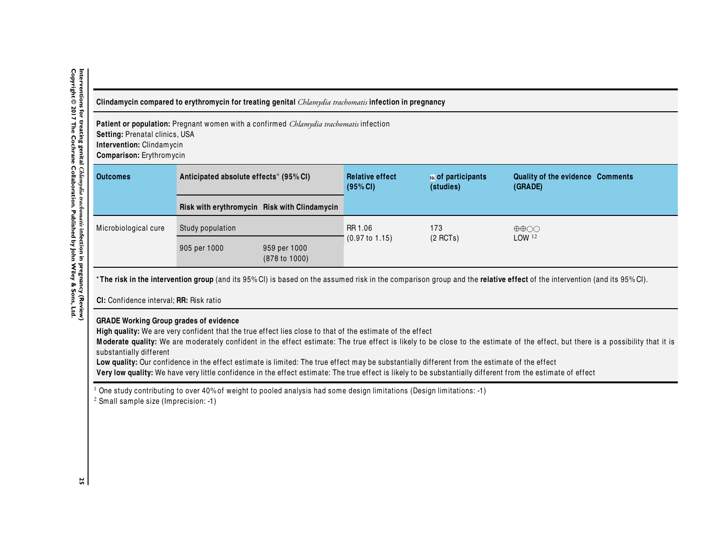<span id="page-26-0"></span>Clindamycin compared to erythromycin for treating genital *Chlamydia trachomatis* infection in pregnancy

**Patient or population:** Pregnant women with a confirmed *Chlamydia trachomatis* infection

**Setting:** Prenatal clinics, USA

**Intervention:** Clindam ycin

**Comparison:** Erythrom ycin

| Outcomes             | Anticipated absolute effects* (95% CI) |                                              | <b>Relative effect</b><br>(95% CI) | No of participants<br>(studies) | <b>Quality of the evidence Comments</b><br>(GRADE) |  |
|----------------------|----------------------------------------|----------------------------------------------|------------------------------------|---------------------------------|----------------------------------------------------|--|
|                      |                                        | Risk with erythromycin Risk with Clindamycin |                                    |                                 |                                                    |  |
| Microbiological cure | Study population                       |                                              | RR 1.06                            | 173                             | $\oplus$ $\oplus$                                  |  |
|                      | 905 per 1000                           | 959 per 1000<br>$(878 \text{ to } 1000)$     | $(0.97 \text{ to } 1.15)$          | $(2$ RCTs)                      | LOW <sup>12</sup>                                  |  |

\***The risk in the intervention group** (and its 95%Cl) is based on the assumed risk in the comparison group and the **relative effect** of the intervention (and its 95%Cl).<br>

**CI:** Conf idence interval; **RR:** Risk ratio

**GRADE Working Group grades of evidence High quality:** We are very confident that the true effect lies close to that of the estimate of the effect<br>Moderate quality: We are moderately confident in the effect estimate: The true effect is likely to b

**Moderate quality:** We are moderately confident in the effect estimate: The true effect is likely to be close to the estimate of the effect, but there is a possibility that it is<br>substantially different

substantially different<br>Low quality: Our confidence in the effect estimate is limited: The true effect may be substantially different from the estimate of the effect **Low quality:** Our confidence in the effect estimate is limited: The true effect may be substantially different from the estimate of the effect<br>Very low quality: We have very little confidence in the effect estimate: The t **Very low quality:** We have very little confidence in the effect estimate: The true effect is likely to be substantially different from the estimate of effect<br>

 $^{\rm 1}$  One study contributing to over 40% of weight to pooled analysis had some design limitations (Design limitations: -1)<br>-

2 Small sample size (Imprecision: -1)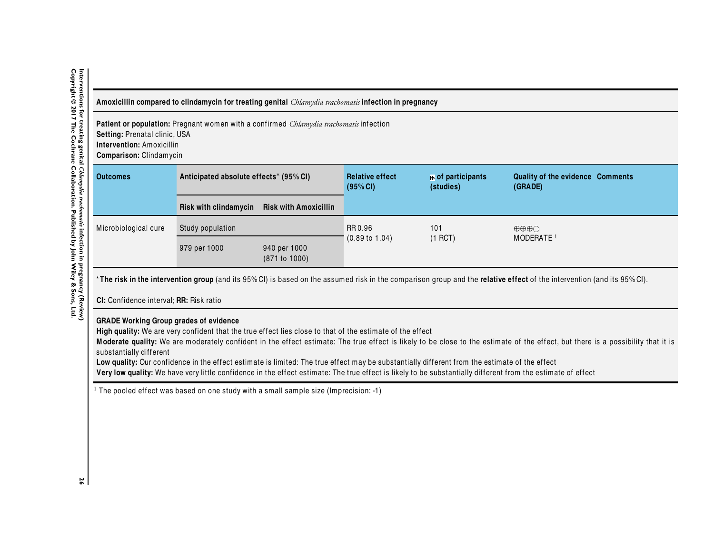<span id="page-27-0"></span>

| Amoxicillin compared to clindamycin for treating genital $\it Chamydia\, trachomatis$ infection in pregnancy |  |
|--------------------------------------------------------------------------------------------------------------|--|
|                                                                                                              |  |

**Patient or population:** Pregnant women with a confirmed *Chlamydia trachomatis* infection

**Setting:** Prenatal clinic, USA

**Intervention:** Amoxicillin

**Comparison:** Clindam ycin

| <b>Outcomes</b>      | Anticipated absolute effects* (95% CI) |                               | <b>Relative effect</b><br>(95% CI) | No of participants<br>(studies) | Quality of the evidence Comments<br>(GRADE) |  |
|----------------------|----------------------------------------|-------------------------------|------------------------------------|---------------------------------|---------------------------------------------|--|
|                      | Risk with clindamycin                  | <b>Risk with Amoxicillin</b>  |                                    |                                 |                                             |  |
| Microbiological cure | Study population                       |                               | RR 0.96                            | 101                             | $\oplus \oplus \oplus \bigcirc$             |  |
|                      | 979 per 1000                           | 940 per 1000<br>(871 to 1000) | $(0.89 \text{ to } 1.04)$          | $(1$ RCT)                       | MODERATE <sup>1</sup>                       |  |

\***The risk in the intervention group** (and its 95%Cl) is based on the assumed risk in the comparison group and the **relative effect** of the intervention (and its 95%Cl).<br>

**CI:** Conf idence interval; **RR:** Risk ratio

**GRADE Working Group grades of evidence High quality:** We are very confident that the true effect lies close to that of the estimate of the effect<br>Moderate quality: We are moderately confident in the effect estimate: The true effect is likely to b

**Moderate quality:** We are moderately confident in the effect estimate: The true effect is likely to be close to the estimate of the effect, but there is a possibility that it is<br>substantially different substantially different

Low quality: Our confidence in the effect estimate is limited: The true effect may be substantially different from the estimate of the effect **Very low quality:** We have very little confidence in the effect estimate: The true effect is likely to be substantially different from the estimate of effect

 $^{\rm 1}$  The pooled effect was based on one study with a small sample size (Imprecision: -1)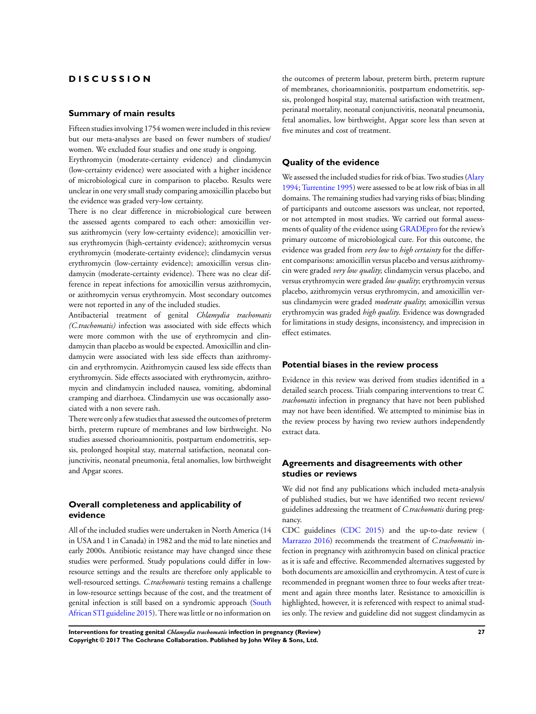## **D I S C U S S I O N**

#### **Summary of main results**

Fifteen studies involving 1754 women were included in this review but our meta-analyses are based on fewer numbers of studies/ women. We excluded four studies and one study is ongoing.

Erythromycin (moderate-certainty evidence) and clindamycin (low-certainty evidence) were associated with a higher incidence of microbiological cure in comparison to placebo. Results were unclear in one very small study comparing amoxicillin placebo but the evidence was graded very-low certainty.

There is no clear difference in microbiological cure between the assessed agents compared to each other: amoxicillin versus azithromycin (very low-certainty evidence); amoxicillin versus erythromycin (high-certainty evidence); azithromycin versus erythromycin (moderate-certainty evidence); clindamycin versus erythromycin (low-certainty evidence); amoxicillin versus clindamycin (moderate-certainty evidence). There was no clear difference in repeat infections for amoxicillin versus azithromycin, or azithromycin versus erythromycin. Most secondary outcomes were not reported in any of the included studies.

Antibacterial treatment of genital *Chlamydia trachomatis (C.trachomatis)* infection was associated with side effects which were more common with the use of erythromycin and clindamycin than placebo as would be expected. Amoxicillin and clindamycin were associated with less side effects than azithromycin and erythromycin. Azithromycin caused less side effects than erythromycin. Side effects associated with erythromycin, azithromycin and clindamycin included nausea, vomiting, abdominal cramping and diarrhoea. Clindamycin use was occasionally associated with a non severe rash.

There were only afew studies that assessed the outcomes of preterm birth, preterm rupture of membranes and low birthweight. No studies assessed chorioamnionitis, postpartum endometritis, sepsis, prolonged hospital stay, maternal satisfaction, neonatal conjunctivitis, neonatal pneumonia, fetal anomalies, low birthweight and Apgar scores.

## **Overall completeness and applicability of evidence**

All of the included studies were undertaken in North America (14 in USA and 1 in Canada) in 1982 and the mid to late nineties and early 2000s. Antibiotic resistance may have changed since these studies were performed. Study populations could differ in lowresource settings and the results are therefore only applicable to well-resourced settings. *C.trachomatis* testing remains a challenge in low-resource settings because of the cost, and the treatment of genital infection is still based on a syndromic approach ([South](#page-29-0) [African STI guideline 2015](#page-29-0)). There was little or no information on

the outcomes of preterm labour, preterm birth, preterm rupture of membranes, chorioamnionitis, postpartum endometritis, sepsis, prolonged hospital stay, maternal satisfaction with treatment, perinatal mortality, neonatal conjunctivitis, neonatal pneumonia, fetal anomalies, low birthweight, Apgar score less than seven at five minutes and cost of treatment.

## **Quality of the evidence**

We assessed the included studies for risk of bias. Two studies ([Alary](#page-29-0) [1994](#page-29-0); [Turrentine 1995\)](#page-29-0) were assessed to be at low risk of bias in all domains. The remaining studies had varying risks of bias; blinding of participants and outcome assessors was unclear, not reported, or not attempted in most studies. We carried out formal assessments of quality of the evidence using [GRADEpro](https://gradepro.org/) for the review's primary outcome of microbiological cure. For this outcome, the evidence was graded from *very low* to *high certainty* for the different comparisons: amoxicillin versus placebo and versus azithromycin were graded *very low quality*; clindamycin versus placebo, and versus erythromycin were graded *low quality*; erythromycin versus placebo, azithromycin versus erythromycin, and amoxicillin versus clindamycin were graded *moderate quality*; amoxicillin versus erythromycin was graded *high quality*. Evidence was downgraded for limitations in study designs, inconsistency, and imprecision in effect estimates.

### **Potential biases in the review process**

Evidence in this review was derived from studies identified in a detailed search process. Trials comparing interventions to treat *C. trachomatis* infection in pregnancy that have not been published may not have been identified. We attempted to minimise bias in the review process by having two review authors independently extract data.

### **Agreements and disagreements with other studies or reviews**

We did not find any publications which included meta-analysis of published studies, but we have identified two recent reviews/ guidelines addressing the treatment of *C.trachomatis* during pregnancy.

CDC guidelines ([CDC 2015\)](#page-29-0) and the up-to-date review ( [Marrazzo 2016](#page-29-0)) recommends the treatment of *C.trachomatis* infection in pregnancy with azithromycin based on clinical practice as it is safe and effective. Recommended alternatives suggested by both documents are amoxicillin and erythromycin. A test of cure is recommended in pregnant women three to four weeks after treatment and again three months later. Resistance to amoxicillin is highlighted, however, it is referenced with respect to animal studies only. The review and guideline did not suggest clindamycin as

**Interventions for treating genital** *Chlamydia trachomatis* **infection in pregnancy (Review) 27 Copyright © 2017 The Cochrane Collaboration. Published by John Wiley & Sons, Ltd.**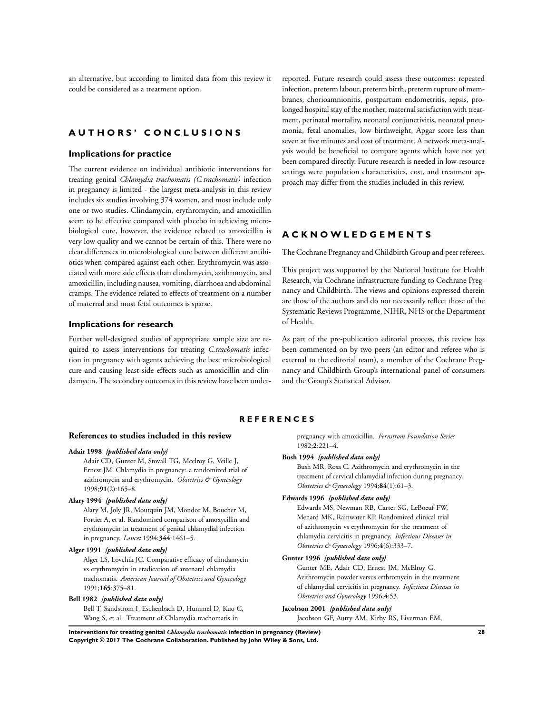<span id="page-29-0"></span>an alternative, but according to limited data from this review it could be considered as a treatment option.

## **A U T H O R S ' C O N C L U S I O N S**

#### **Implications for practice**

The current evidence on individual antibiotic interventions for treating genital *Chlamydia trachomatis (C.trachomatis)* infection in pregnancy is limited - the largest meta-analysis in this review includes six studies involving 374 women, and most include only one or two studies. Clindamycin, erythromycin, and amoxicillin seem to be effective compared with placebo in achieving microbiological cure, however, the evidence related to amoxicillin is very low quality and we cannot be certain of this. There were no clear differences in microbiological cure between different antibiotics when compared against each other. Erythromycin was associated with more side effects than clindamycin, azithromycin, and amoxicillin, including nausea, vomiting, diarrhoea and abdominal cramps. The evidence related to effects of treatment on a number of maternal and most fetal outcomes is sparse.

#### **Implications for research**

Further well-designed studies of appropriate sample size are required to assess interventions for treating *C.trachomatis* infection in pregnancy with agents achieving the best microbiological cure and causing least side effects such as amoxicillin and clindamycin. The secondary outcomes in this review have been underreported. Future research could assess these outcomes: repeated infection, preterm labour, preterm birth, preterm rupture of membranes, chorioamnionitis, postpartum endometritis, sepsis, prolonged hospital stay of the mother, maternal satisfaction with treatment, perinatal mortality, neonatal conjunctivitis, neonatal pneumonia, fetal anomalies, low birthweight, Apgar score less than seven at five minutes and cost of treatment. A network meta-analysis would be beneficial to compare agents which have not yet been compared directly. Future research is needed in low-resource settings were population characteristics, cost, and treatment approach may differ from the studies included in this review.

## **A C K N O W L E D G E M E N T S**

The Cochrane Pregnancy and Childbirth Group and peer referees.

This project was supported by the National Institute for Health Research, via Cochrane infrastructure funding to Cochrane Pregnancy and Childbirth. The views and opinions expressed therein are those of the authors and do not necessarily reflect those of the Systematic Reviews Programme, NIHR, NHS or the Department of Health.

As part of the pre-publication editorial process, this review has been commented on by two peers (an editor and referee who is external to the editorial team), a member of the Cochrane Pregnancy and Childbirth Group's international panel of consumers and the Group's Statistical Adviser.

#### **R E F E R E N C E S**

#### **References to studies included in this review**

#### **Adair 1998** *{published data only}*

Adair CD, Gunter M, Stovall TG, Mcelroy G, Veille J, Ernest JM. Chlamydia in pregnancy: a randomized trial of azithromycin and erythromycin. *Obstetrics & Gynecology* 1998;**91**(2):165–8.

#### **Alary 1994** *{published data only}*

Alary M, Joly JR, Moutquin JM, Mondor M, Boucher M, Fortier A, et al. Randomised comparison of amoxycillin and erythromycin in treatment of genital chlamydial infection in pregnancy. *Lancet* 1994;**344**:1461–5.

#### **Alger 1991** *{published data only}*

Alger LS, Lovchik JC. Comparative efficacy of clindamycin vs erythromycin in eradication of antenatal chlamydia trachomatis. *American Journal of Obstetrics and Gynecology* 1991;**165**:375–81.

#### **Bell 1982** *{published data only}*

Bell T, Sandstrom I, Eschenbach D, Hummel D, Kuo C, Wang S, et al. Treatment of Chlamydia trachomatis in

pregnancy with amoxicillin. *Fernstrom Foundation Series* 1982;**2**:221–4.

#### **Bush 1994** *{published data only}*

Bush MR, Rosa C. Azithromycin and erythromycin in the treatment of cervical chlamydial infection during pregnancy. *Obstetrics & Gynecology* 1994;**84**(1):61–3.

#### **Edwards 1996** *{published data only}*

Edwards MS, Newman RB, Carter SG, LeBoeuf FW, Menard MK, Rainwater KP. Randomized clinical trial of azithromycin vs erythromycin for the treatment of chlamydia cervicitis in pregnancy. *Infectious Diseases in Obstetrics & Gynecology* 1996;**4**(6):333–7.

#### **Gunter 1996** *{published data only}*

Gunter ME, Adair CD, Ernest JM, McElroy G. Azithromycin powder versus erthromycin in the treatment of chlamydial cervicitis in pregnancy. *Infectious Diseases in Obstetrics and Gynecology* 1996;**4**:53.

#### **Jacobson 2001** *{published data only}*

Jacobson GF, Autry AM, Kirby RS, Liverman EM,

**Interventions for treating genital** *Chlamydia trachomatis* **infection in pregnancy (Review) 28 Copyright © 2017 The Cochrane Collaboration. Published by John Wiley & Sons, Ltd.**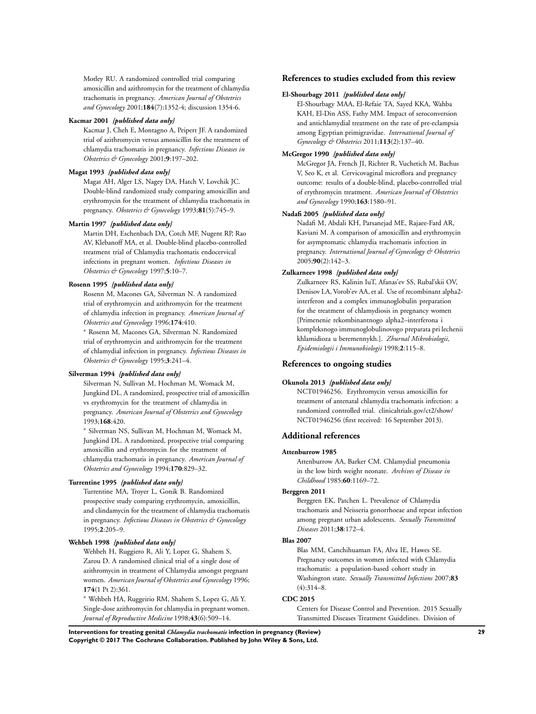Motley RU. A randomized controlled trial comparing amoxicillin and azithromycin for the treatment of chlamydia trachomatis in pregnancy. *American Journal of Obstetrics and Gynecology* 2001;**184**(7):1352-4; discussion 1354-6.

#### **Kacmar 2001** *{published data only}*

Kacmar J, Cheh E, Montagno A, Peipert JF. A randomized trial of azithromycin versus amoxicillin for the treatment of chlamydia trachomatis in pregnancy. *Infectious Diseases in Obstetrics & Gynecology* 2001;**9**:197–202.

#### **Magat 1993** *{published data only}*

Magat AH, Alger LS, Nagey DA, Hatch V, Lovchik JC. Double-blind randomized study comparing amoxicillin and erythromycin for the treatment of chlamydia trachomatis in pregnancy. *Obstetrics & Gynecology* 1993;**81**(5):745–9.

#### **Martin 1997** *{published data only}*

Martin DH, Eschenbach DA, Cotch MF, Nugent RP, Rao AV, Klebanoff MA, et al. Double-blind placebo-controlled treatment trial of Chlamydia trachomatis endocervical infections in pregnant women. *Infectious Diseases in Obstetrics & Gynecology* 1997;**5**:10–7.

#### **Rosenn 1995** *{published data only}*

Rosenn M, Macones GA, Silverman N. A randomized trial of erythromycin and azithromycin for the treatment of chlamydia infection in pregnancy. *American Journal of Obstetrics and Gynecology* 1996;**174**:410.

<sup>∗</sup> Rosenn M, Macones GA, Silverman N. Randomized trial of erythromycin and azithromycin for the treatment of chlamydial infection in pregnancy. *Infectious Diseases in Obstetrics & Gynecology* 1995;**3**:241–4.

#### **Silverman 1994** *{published data only}*

Silverman N, Sullivan M, Hochman M, Womack M, Jungkind DL. A randomized, prospective trial of amoxicillin vs erythromycin for the treatment of chlamydia in pregnancy. *American Journal of Obstetrics and Gynecology* 1993;**168**:420.

<sup>∗</sup> Silverman NS, Sullivan M, Hochman M, Womack M, Jungkind DL. A randomized, prospective trial comparing amoxicillin and erythromycin for the treatment of chlamydia trachomatis in pregnancy. *American Journal of Obstetrics and Gynecology* 1994;**170**:829–32.

#### **Turrentine 1995** *{published data only}*

Turrentine MA, Troyer L, Gonik B. Randomized prospective study comparing erythromycin, amoxicillin, and clindamycin for the treatment of chlamydia trachomatis in pregnancy. *Infectious Diseases in Obstetrics & Gynecology* 1995;**2**:205–9.

#### **Wehbeh 1998** *{published data only}*

Wehbeh H, Ruggiero R, Ali Y, Lopez G, Shahem S, Zarou D. A randomised clinical trial of a single dose of azithromycin in treatment of Chlamydia amongst pregnant women. *American Journal of Obstetrics and Gynecology* 1996; **174**(1 Pt 2):361.

<sup>∗</sup> Wehbeh HA, Ruggeirio RM, Shahem S, Lopez G, Ali Y. Single-dose azithromycin for chlamydia in pregnant women. *Journal of Reproductive Medicine* 1998;**43**(6):509–14.

#### **References to studies excluded from this review**

#### **El-Shourbagy 2011** *{published data only}*

El-Shourbagy MAA, El-Refaie TA, Sayed KKA, Wahba KAH, El-Din ASS, Fathy MM. Impact of seroconversion and antichlamydial treatment on the rate of pre-eclampsia among Egyptian primigravidae. *International Journal of Gynecology & Obstetrics* 2011;**113**(2):137–40.

#### **McGregor 1990** *{published data only}*

McGregor JA, French JI, Richter R, Vuchetich M, Bachus V, Seo K, et al. Cervicovaginal microflora and pregnancy outcome: results of a double-blind, placebo-controlled trial of erythromycin treatment. *American Journal of Obstetrics and Gynecology* 1990;**163**:1580–91.

#### **Nadafi 2005** *{published data only}*

Nadafi M, Abdali KH, Parsanejad ME, Rajaee-Fard AR, Kaviani M. A comparison of amoxicillin and erythromycin for asymptomatic chlamydia trachomatis infection in pregnancy. *International Journal of Gynecology & Obstetrics* 2005;**90**(2):142–3.

#### **Zulkarneev 1998** *{published data only}*

Zulkarneev RS, Kalinin IuT, Afanas'ev SS, Rubal'skii OV, Denisov LA, Vorob'ev AA, et al. Use of recombinant alpha2 interferon and a complex immunoglobulin preparation for the treatment of chlamydiosis in pregnancy women [Primenenie rekombinantnogo alpha2–interferona i kompleksnogo immunoglobulinovogo preparata pri lechenii khlamidioza u beremennykh.]. *Zhurnal Mikrobiologii, Epidemiologii i Immunobiologii* 1998;**2**:115–8.

#### **References to ongoing studies**

#### **Okunola 2013** *{published data only}*

NCT01946256. Erythromycin versus amoxicillin for treatment of antenatal chlamydia trachomatis infection: a randomized controlled trial. clinicaltrials.gov/ct2/show/ NCT01946256 (first received: 16 September 2013).

#### **Additional references**

#### **Attenburrow 1985**

Attenburrow AA, Barker CM. Chlamydial pneumonia in the low birth weight neonate. *Archives of Disease in Childhood* 1985;**60**:1169–72.

## **Berggren 2011**

Berggren EK, Patchen L. Prevalence of Chlamydia trachomatis and Neisseria gonorrhoeae and repeat infection among pregnant urban adolescents. *Sexually Transmitted Diseases* 2011;**38**:172–4.

#### **Blas 2007**

Blas MM, Canchihuaman FA, Alva IE, Hawes SE. Pregnancy outcomes in women infected with Chlamydia trachomatis: a population-based cohort study in Washington state. *Sexually Transmitted Infections* 2007;**83**  $(4):314-8.$ 

#### **CDC 2015**

Centers for Disease Control and Prevention. 2015 Sexually Transmitted Diseases Treatment Guidelines. Division of

**Interventions for treating genital** *Chlamydia trachomatis* **infection in pregnancy (Review) 29 Copyright © 2017 The Cochrane Collaboration. Published by John Wiley & Sons, Ltd.**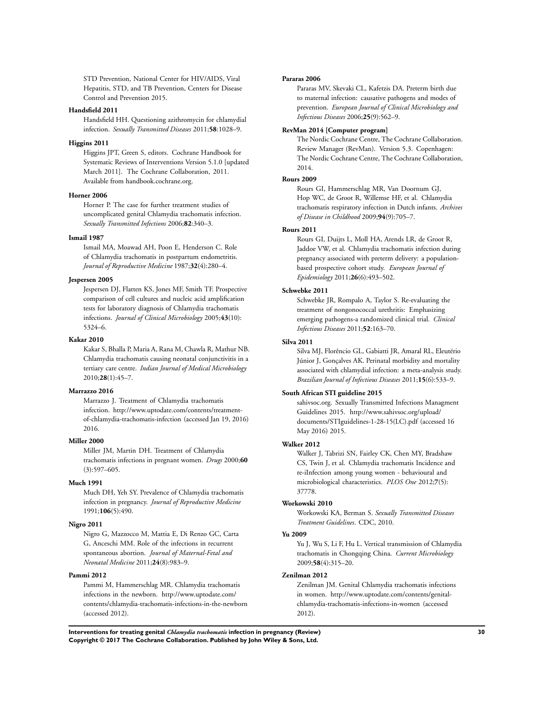STD Prevention, National Center for HIV/AIDS, Viral Hepatitis, STD, and TB Prevention, Centers for Disease Control and Prevention 2015.

#### **Handsfield 2011**

Handsfield HH. Questioning azithromycin for chlamydial infection. *Sexually Transmitted Diseases* 2011;**58**:1028–9.

#### **Higgins 2011**

Higgins JPT, Green S, editors. Cochrane Handbook for Systematic Reviews of Interventions Version 5.1.0 [updated March 2011]. The Cochrane Collaboration, 2011. Available from handbook.cochrane.org.

#### **Horner 2006**

Horner P. The case for further treatment studies of uncomplicated genital Chlamydia trachomatis infection. *Sexually Transmitted Infections* 2006;**82**:340–3.

#### **Ismail 1987**

Ismail MA, Moawad AH, Poon E, Henderson C. Role of Chlamydia trachomatis in postpartum endometritis. *Journal of Reproductive Medicine* 1987;**32**(4):280–4.

## **Jespersen 2005**

Jespersen DJ, Flatten KS, Jones MF, Smith TF. Prospective comparison of cell cultures and nucleic acid amplification tests for laboratory diagnosis of Chlamydia trachomatis infections. *Journal of Clinical Microbiology* 2005;**43**(10): 5324–6.

#### **Kakar 2010**

Kakar S, Bhalla P, Maria A, Rana M, Chawla R, Mathur NB. Chlamydia trachomatis causing neonatal conjunctivitis in a tertiary care centre. *Indian Journal of Medical Microbiology* 2010;**28**(1):45–7.

#### **Marrazzo 2016**

Marrazzo J. Treatment of Chlamydia trachomatis infection. http://www.uptodate.com/contents/treatmentof-chlamydia-trachomatis-infection (accessed Jan 19, 2016) 2016.

#### **Miller 2000**

Miller JM, Martin DH. Treatment of Chlamydia trachomatis infections in pregnant women. *Drugs* 2000;**60** (3):597–605.

#### **Much 1991**

Much DH, Yeh SY. Prevalence of Chlamydia trachomatis infection in pregnancy. *Journal of Reproductive Medicine* 1991;**106**(5):490.

## **Nigro 2011**

Nigro G, Mazzocco M, Mattia E, Di Renzo GC, Carta G, Anceschi MM. Role of the infections in recurrent spontaneous abortion. *Journal of Maternal-Fetal and Neonatal Medicine* 2011;**24**(8):983–9.

#### **Pammi 2012**

Pammi M, Hammerschlag MR. Chlamydia trachomatis infections in the newborn. http://www.uptodate.com/ contents/chlamydia-trachomatis-infections-in-the-newborn (accessed 2012).

#### **Pararas 2006**

Pararas MV, Skevaki CL, Kafetzis DA. Preterm birth due to maternal infection: causative pathogens and modes of prevention. *European Journal of Clinical Microbiology and Infectious Diseases* 2006;**25**(9):562–9.

#### **RevMan 2014 [Computer program]**

The Nordic Cochrane Centre, The Cochrane Collaboration. Review Manager (RevMan). Version 5.3. Copenhagen: The Nordic Cochrane Centre, The Cochrane Collaboration, 2014.

#### **Rours 2009**

Rours GI, Hammerschlag MR, Van Doornum GJ, Hop WC, de Groot R, Willemse HF, et al. Chlamydia trachomatis respiratory infection in Dutch infants. *Archives of Disease in Childhood* 2009;**94**(9):705–7.

#### **Rours 2011**

Rours GI, Duijts L, Moll HA, Arends LR, de Groot R, Jaddoe VW, et al. Chlamydia trachomatis infection during pregnancy associated with preterm delivery: a populationbased prospective cohort study. *European Journal of Epidemiology* 2011;**26**(6):493–502.

#### **Schwebke 2011**

Schwebke JR, Rompalo A, Taylor S. Re-evaluating the treatment of nongonococcal urethritis: Emphasizing emerging pathogens-a randomized clinical trial. *Clinical Infectious Diseases* 2011;**52**:163–70.

#### **Silva 2011**

Silva MJ, Florêncio GL, Gabiatti JR, Amaral RL, Eleutério Júnior J, Gonçalves AK. Perinatal morbidity and mortality associated with chlamydial infection: a meta-analysis study. *Brazilian Journal of Infectious Diseases* 2011;**15**(6):533–9.

#### **South African STI guideline 2015**

sahivsoc.org. Sexually Transmitted Infections Managment Guidelines 2015. http://www.sahivsoc.org/upload/ documents/STIguidelines-1-28-15(LC).pdf (accessed 16 May 2016) 2015.

#### **Walker 2012**

Walker J, Tabrizi SN, Fairley CK, Chen MY, Bradshaw CS, Twin J, et al. Chlamydia trachomatis Incidence and re-iInfection among young women - behavioural and microbiological characteristics. *PLOS One* 2012;**7**(5): 37778.

#### **Workowski 2010**

Workowski KA, Berman S. *Sexually Transmitted Diseases Treatment Guidelines*. CDC, 2010.

#### **Yu 2009**

Yu J, Wu S, Li F, Hu L. Vertical transmission of Chlamydia trachomatis in Chongqing China. *Current Microbiology* 2009;**58**(4):315–20.

#### **Zenilman 2012**

Zenilman JM. Genital Chlamydia trachomatis infections in women. http://www.uptodate.com/contents/genitalchlamydia-trachomatis-infections-in-women (accessed 2012).

**Interventions for treating genital** *Chlamydia trachomatis* **infection in pregnancy (Review) 30 Copyright © 2017 The Cochrane Collaboration. Published by John Wiley & Sons, Ltd.**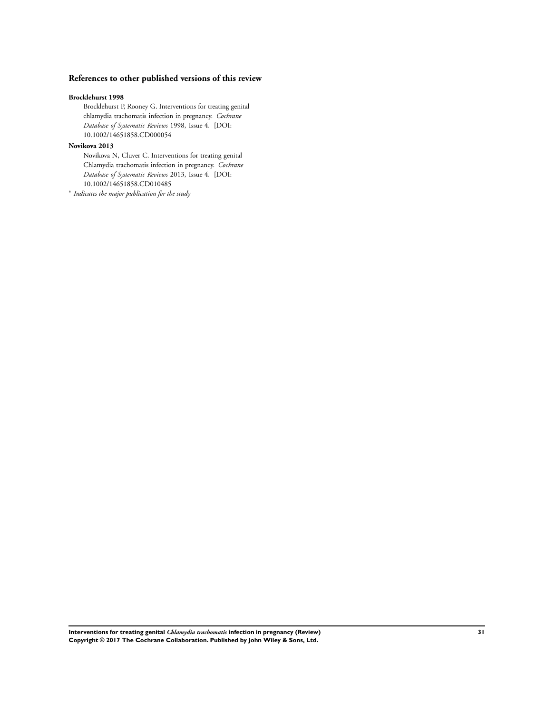## **References to other published versions of this review**

#### **Brocklehurst 1998**

Brocklehurst P, Rooney G. Interventions for treating genital chlamydia trachomatis infection in pregnancy. *Cochrane Database of Systematic Reviews* 1998, Issue 4. [DOI: 10.1002/14651858.CD000054

#### **Novikova 2013**

Novikova N, Cluver C. Interventions for treating genital Chlamydia trachomatis infection in pregnancy. *Cochrane Database of Systematic Reviews* 2013, Issue 4. [DOI: 10.1002/14651858.CD010485

∗ *Indicates the major publication for the study*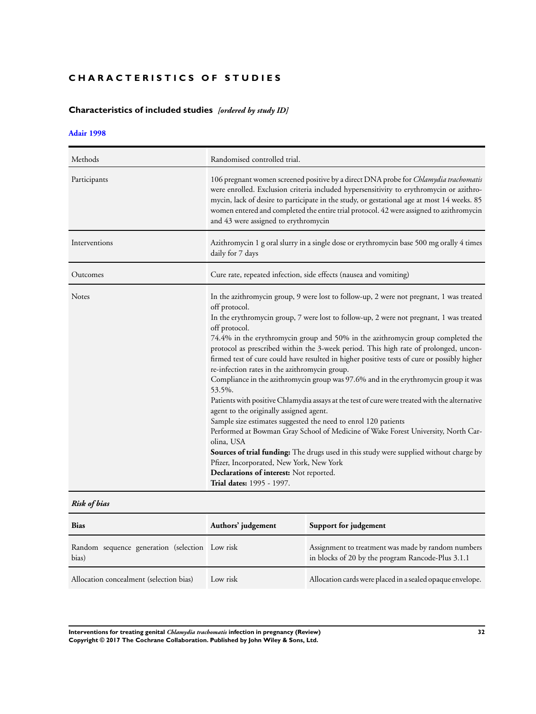## **CHARACTERISTICS OF STUDIES**

## **Characteristics of included studies** *[ordered by study ID]*

## **[Adair 1998](#page-29-0)**

| Methods       | Randomised controlled trial.                                                                                                                                                                                                                                                                                                                                                                                                                                                                                                                                                                                                                                                                                                                                                                                                                                                                                                                                                                                                                                                                                                                                                    |
|---------------|---------------------------------------------------------------------------------------------------------------------------------------------------------------------------------------------------------------------------------------------------------------------------------------------------------------------------------------------------------------------------------------------------------------------------------------------------------------------------------------------------------------------------------------------------------------------------------------------------------------------------------------------------------------------------------------------------------------------------------------------------------------------------------------------------------------------------------------------------------------------------------------------------------------------------------------------------------------------------------------------------------------------------------------------------------------------------------------------------------------------------------------------------------------------------------|
| Participants  | 106 pregnant women screened positive by a direct DNA probe for Chlamydia trachomatis<br>were enrolled. Exclusion criteria included hypersensitivity to erythromycin or azithro-<br>mycin, lack of desire to participate in the study, or gestational age at most 14 weeks. 85<br>women entered and completed the entire trial protocol. 42 were assigned to azithromycin<br>and 43 were assigned to erythromycin                                                                                                                                                                                                                                                                                                                                                                                                                                                                                                                                                                                                                                                                                                                                                                |
| Interventions | Azithromycin 1 g oral slurry in a single dose or erythromycin base 500 mg orally 4 times<br>daily for 7 days                                                                                                                                                                                                                                                                                                                                                                                                                                                                                                                                                                                                                                                                                                                                                                                                                                                                                                                                                                                                                                                                    |
| Outcomes      | Cure rate, repeated infection, side effects (nausea and vomiting)                                                                                                                                                                                                                                                                                                                                                                                                                                                                                                                                                                                                                                                                                                                                                                                                                                                                                                                                                                                                                                                                                                               |
| <b>Notes</b>  | In the azithromycin group, 9 were lost to follow-up, 2 were not pregnant, 1 was treated<br>off protocol.<br>In the erythromycin group, 7 were lost to follow-up, 2 were not pregnant, 1 was treated<br>off protocol.<br>74.4% in the erythromycin group and 50% in the azithromycin group completed the<br>protocol as prescribed within the 3-week period. This high rate of prolonged, uncon-<br>firmed test of cure could have resulted in higher positive tests of cure or possibly higher<br>re-infection rates in the azithromycin group.<br>Compliance in the azithromycin group was 97.6% and in the erythromycin group it was<br>53.5%.<br>Patients with positive Chlamydia assays at the test of cure were treated with the alternative<br>agent to the originally assigned agent.<br>Sample size estimates suggested the need to enrol 120 patients<br>Performed at Bowman Gray School of Medicine of Wake Forest University, North Car-<br>olina, USA<br>Sources of trial funding: The drugs used in this study were supplied without charge by<br>Pfizer, Incorporated, New York, New York<br>Declarations of interest: Not reported.<br>Trial dates: 1995 - 1997. |

## *Risk of bias*

| <b>Bias</b>                                             | Authors' judgement | Support for judgement                                                                                   |
|---------------------------------------------------------|--------------------|---------------------------------------------------------------------------------------------------------|
| Random sequence generation (selection Low risk<br>bias) |                    | Assignment to treatment was made by random numbers<br>in blocks of 20 by the program Rancode-Plus 3.1.1 |
| Allocation concealment (selection bias)                 | Low risk           | Allocation cards were placed in a sealed opaque envelope.                                               |

**Interventions for treating genital** *Chlamydia trachomatis* **infection in pregnancy (Review) 32 Copyright © 2017 The Cochrane Collaboration. Published by John Wiley & Sons, Ltd.**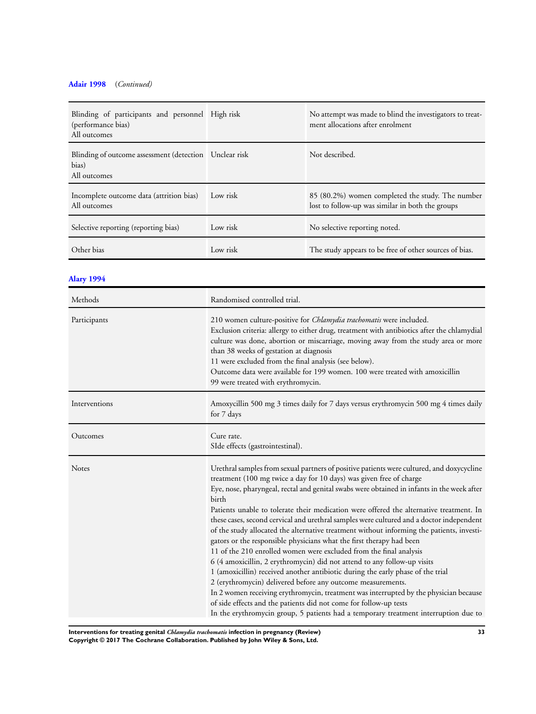## **[Adair 1998](#page-29-0)** (*Continued)*

| Blinding of participants and personnel High risk<br>(performance bias)<br>All outcomes |          | No attempt was made to blind the investigators to treat-<br>ment allocations after enrolment         |
|----------------------------------------------------------------------------------------|----------|------------------------------------------------------------------------------------------------------|
| Blinding of outcome assessment (detection Unclear risk<br>bias)<br>All outcomes        |          | Not described.                                                                                       |
| Incomplete outcome data (attrition bias)<br>All outcomes                               | Low risk | 85 (80.2%) women completed the study. The number<br>lost to follow-up was similar in both the groups |
| Selective reporting (reporting bias)                                                   | Low risk | No selective reporting noted.                                                                        |
| Other bias                                                                             | Low risk | The study appears to be free of other sources of bias.                                               |

## **[Alary 1994](#page-29-0)**

| Methods       | Randomised controlled trial.                                                                                                                                                                                                                                                                                                                                                                                                                                                                                                                                                                                                                                                                                                                                                                                                                                                                                                                                                                                                                                                                                                                                                                 |
|---------------|----------------------------------------------------------------------------------------------------------------------------------------------------------------------------------------------------------------------------------------------------------------------------------------------------------------------------------------------------------------------------------------------------------------------------------------------------------------------------------------------------------------------------------------------------------------------------------------------------------------------------------------------------------------------------------------------------------------------------------------------------------------------------------------------------------------------------------------------------------------------------------------------------------------------------------------------------------------------------------------------------------------------------------------------------------------------------------------------------------------------------------------------------------------------------------------------|
| Participants  | 210 women culture-positive for <i>Chlamydia trachomatis</i> were included.<br>Exclusion criteria: allergy to either drug, treatment with antibiotics after the chlamydial<br>culture was done, abortion or miscarriage, moving away from the study area or more<br>than 38 weeks of gestation at diagnosis<br>11 were excluded from the final analysis (see below).<br>Outcome data were available for 199 women. 100 were treated with amoxicillin<br>99 were treated with erythromycin.                                                                                                                                                                                                                                                                                                                                                                                                                                                                                                                                                                                                                                                                                                    |
| Interventions | Amoxycillin 500 mg 3 times daily for 7 days versus erythromycin 500 mg 4 times daily<br>for 7 days                                                                                                                                                                                                                                                                                                                                                                                                                                                                                                                                                                                                                                                                                                                                                                                                                                                                                                                                                                                                                                                                                           |
| Outcomes      | Cure rate.<br>SIde effects (gastrointestinal).                                                                                                                                                                                                                                                                                                                                                                                                                                                                                                                                                                                                                                                                                                                                                                                                                                                                                                                                                                                                                                                                                                                                               |
| <b>Notes</b>  | Urethral samples from sexual partners of positive patients were cultured, and doxycycline<br>treatment (100 mg twice a day for 10 days) was given free of charge<br>Eye, nose, pharyngeal, rectal and genital swabs were obtained in infants in the week after<br>birth<br>Patients unable to tolerate their medication were offered the alternative treatment. In<br>these cases, second cervical and urethral samples were cultured and a doctor independent<br>of the study allocated the alternative treatment without informing the patients, investi-<br>gators or the responsible physicians what the first therapy had been<br>11 of the 210 enrolled women were excluded from the final analysis<br>6 (4 amoxicillin, 2 erythromycin) did not attend to any follow-up visits<br>1 (amoxicillin) received another antibiotic during the early phase of the trial<br>2 (erythromycin) delivered before any outcome measurements.<br>In 2 women receiving erythromycin, treatment was interrupted by the physician because<br>of side effects and the patients did not come for follow-up tests<br>In the erythromycin group, 5 patients had a temporary treatment interruption due to |

**Interventions for treating genital** *Chlamydia trachomatis* **infection in pregnancy (Review) 33 Copyright © 2017 The Cochrane Collaboration. Published by John Wiley & Sons, Ltd.**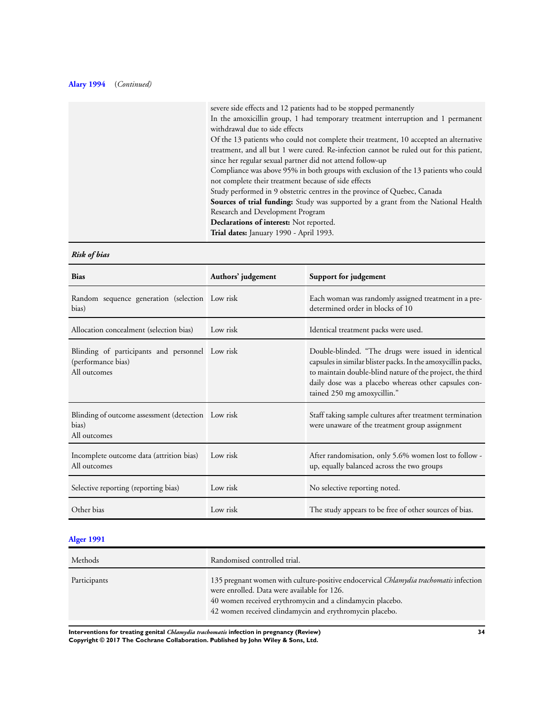## **[Alary 1994](#page-29-0)** (*Continued)*

| severe side effects and 12 patients had to be stopped permanently                                                  |
|--------------------------------------------------------------------------------------------------------------------|
| In the amoxicillin group, 1 had temporary treatment interruption and 1 permanent<br>withdrawal due to side effects |
| Of the 13 patients who could not complete their treatment, 10 accepted an alternative                              |
| treatment, and all but 1 were cured. Re-infection cannot be ruled out for this patient,                            |
| since her regular sexual partner did not attend follow-up                                                          |
| Compliance was above 95% in both groups with exclusion of the 13 patients who could                                |
| not complete their treatment because of side effects                                                               |
| Study performed in 9 obstetric centres in the province of Quebec, Canada                                           |
| <b>Sources of trial funding:</b> Study was supported by a grant from the National Health                           |
| Research and Development Program                                                                                   |
| Declarations of interest: Not reported.                                                                            |
| Trial dates: January 1990 - April 1993.                                                                            |
|                                                                                                                    |

## *Risk of bias*

| <b>Bias</b>                                                                           | Authors' judgement | Support for judgement                                                                                                                                                                                                                                                   |
|---------------------------------------------------------------------------------------|--------------------|-------------------------------------------------------------------------------------------------------------------------------------------------------------------------------------------------------------------------------------------------------------------------|
| Random sequence generation (selection Low risk<br>bias)                               |                    | Each woman was randomly assigned treatment in a pre-<br>determined order in blocks of 10                                                                                                                                                                                |
| Allocation concealment (selection bias)                                               | Low risk           | Identical treatment packs were used.                                                                                                                                                                                                                                    |
| Blinding of participants and personnel Low risk<br>(performance bias)<br>All outcomes |                    | Double-blinded. "The drugs were issued in identical<br>capsules in similar blister packs. In the amoxycillin packs,<br>to maintain double-blind nature of the project, the third<br>daily dose was a placebo whereas other capsules con-<br>tained 250 mg amoxycillin." |
| Blinding of outcome assessment (detection Low risk<br>bias)<br>All outcomes           |                    | Staff taking sample cultures after treatment termination<br>were unaware of the treatment group assignment                                                                                                                                                              |
| Incomplete outcome data (attrition bias)<br>All outcomes                              | Low risk           | After randomisation, only 5.6% women lost to follow -<br>up, equally balanced across the two groups                                                                                                                                                                     |
| Selective reporting (reporting bias)                                                  | Low risk           | No selective reporting noted.                                                                                                                                                                                                                                           |
| Other bias                                                                            | Low risk           | The study appears to be free of other sources of bias.                                                                                                                                                                                                                  |

## **[Alger 1991](#page-29-0)**

| Methods      | Randomised controlled trial.                                                                                                                                                                                                                                 |
|--------------|--------------------------------------------------------------------------------------------------------------------------------------------------------------------------------------------------------------------------------------------------------------|
| Participants | 135 pregnant women with culture-positive endocervical Chlamydia trachomatis infection<br>were enrolled. Data were available for 126.<br>40 women received erythromycin and a clindamycin placebo.<br>42 women received clindamycin and erythromycin placebo. |

**Interventions for treating genital** *Chlamydia trachomatis* **infection in pregnancy (Review) 34 Copyright © 2017 The Cochrane Collaboration. Published by John Wiley & Sons, Ltd.**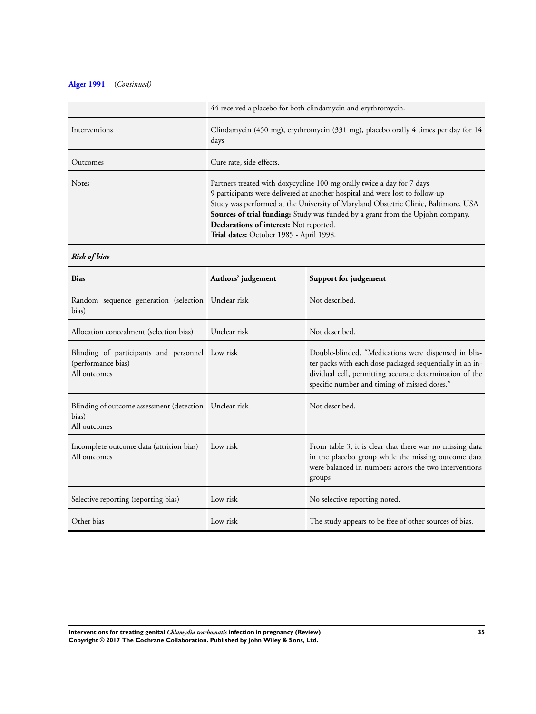## **[Alger 1991](#page-29-0)** (*Continued)*

|               | 44 received a placebo for both clindamycin and erythromycin.                                                                                                                                                                                                                                                                                                                                                         |
|---------------|----------------------------------------------------------------------------------------------------------------------------------------------------------------------------------------------------------------------------------------------------------------------------------------------------------------------------------------------------------------------------------------------------------------------|
| Interventions | Clindamycin (450 mg), erythromycin (331 mg), placebo orally 4 times per day for 14<br>days                                                                                                                                                                                                                                                                                                                           |
| Outcomes      | Cure rate, side effects.                                                                                                                                                                                                                                                                                                                                                                                             |
| <b>Notes</b>  | Partners treated with doxycycline 100 mg orally twice a day for 7 days<br>9 participants were delivered at another hospital and were lost to follow-up<br>Study was performed at the University of Maryland Obstetric Clinic, Baltimore, USA<br>Sources of trial funding: Study was funded by a grant from the Upjohn company.<br>Declarations of interest: Not reported.<br>Trial dates: October 1985 - April 1998. |

*Risk of bias*

| <b>Bias</b>                                                                           | Authors' judgement | Support for judgement                                                                                                                                                                                                       |
|---------------------------------------------------------------------------------------|--------------------|-----------------------------------------------------------------------------------------------------------------------------------------------------------------------------------------------------------------------------|
| Random sequence generation (selection Unclear risk<br>bias)                           |                    | Not described.                                                                                                                                                                                                              |
| Allocation concealment (selection bias)                                               | Unclear risk       | Not described.                                                                                                                                                                                                              |
| Blinding of participants and personnel Low risk<br>(performance bias)<br>All outcomes |                    | Double-blinded. "Medications were dispensed in blis-<br>ter packs with each dose packaged sequentially in an in-<br>dividual cell, permitting accurate determination of the<br>specific number and timing of missed doses." |
| Blinding of outcome assessment (detection Unclear risk<br>bias)<br>All outcomes       |                    | Not described.                                                                                                                                                                                                              |
| Incomplete outcome data (attrition bias)<br>All outcomes                              | Low risk           | From table 3, it is clear that there was no missing data<br>in the placebo group while the missing outcome data<br>were balanced in numbers across the two interventions<br>groups                                          |
| Selective reporting (reporting bias)                                                  | Low risk           | No selective reporting noted.                                                                                                                                                                                               |
| Other bias                                                                            | Low risk           | The study appears to be free of other sources of bias.                                                                                                                                                                      |

**Interventions for treating genital** *Chlamydia trachomatis* **infection in pregnancy (Review) 35 Copyright © 2017 The Cochrane Collaboration. Published by John Wiley & Sons, Ltd.**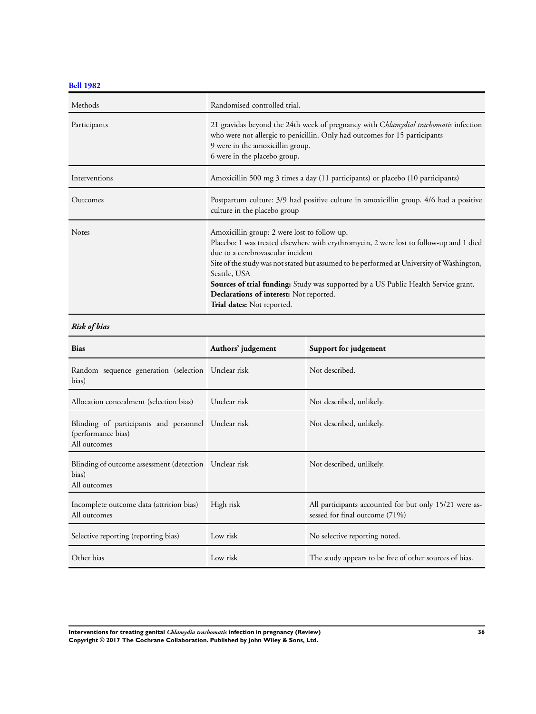**[Bell 1982](#page-29-0)**

| Methods       | Randomised controlled trial.                                                                                                                                                                                                                                                                                                                                                                                                                                    |
|---------------|-----------------------------------------------------------------------------------------------------------------------------------------------------------------------------------------------------------------------------------------------------------------------------------------------------------------------------------------------------------------------------------------------------------------------------------------------------------------|
| Participants  | 21 gravidas beyond the 24th week of pregnancy with Chlamydial trachomatis infection<br>who were not allergic to penicillin. Only had outcomes for 15 participants<br>9 were in the amoxicillin group.<br>6 were in the placebo group.                                                                                                                                                                                                                           |
| Interventions | Amoxicillin 500 mg 3 times a day (11 participants) or placebo (10 participants)                                                                                                                                                                                                                                                                                                                                                                                 |
| Outcomes      | Postpartum culture: 3/9 had positive culture in amoxicillin group. 4/6 had a positive<br>culture in the placebo group                                                                                                                                                                                                                                                                                                                                           |
| <b>Notes</b>  | Amoxicillin group: 2 were lost to follow-up.<br>Placebo: 1 was treated elsewhere with erythromycin, 2 were lost to follow-up and 1 died<br>due to a cerebrovascular incident<br>Site of the study was not stated but assumed to be performed at University of Washington,<br>Seattle, USA<br><b>Sources of trial funding:</b> Study was supported by a US Public Health Service grant.<br>Declarations of interest: Not reported.<br>Trial dates: Not reported. |

## *Risk of bias*

| <b>Bias</b>                                                                               | Authors' judgement | Support for judgement                                                                    |
|-------------------------------------------------------------------------------------------|--------------------|------------------------------------------------------------------------------------------|
| Random sequence generation (selection Unclear risk<br>bias)                               |                    | Not described.                                                                           |
| Allocation concealment (selection bias)                                                   | Unclear risk       | Not described, unlikely.                                                                 |
| Blinding of participants and personnel Unclear risk<br>(performance bias)<br>All outcomes |                    | Not described, unlikely.                                                                 |
| Blinding of outcome assessment (detection Unclear risk<br>bias)<br>All outcomes           |                    | Not described, unlikely.                                                                 |
| Incomplete outcome data (attrition bias)<br>All outcomes                                  | High risk          | All participants accounted for but only 15/21 were as-<br>sessed for final outcome (71%) |
| Selective reporting (reporting bias)                                                      | Low risk           | No selective reporting noted.                                                            |
| Other bias                                                                                | Low risk           | The study appears to be free of other sources of bias.                                   |

**Interventions for treating genital** *Chlamydia trachomatis* **infection in pregnancy (Review) 36 Copyright © 2017 The Cochrane Collaboration. Published by John Wiley & Sons, Ltd.**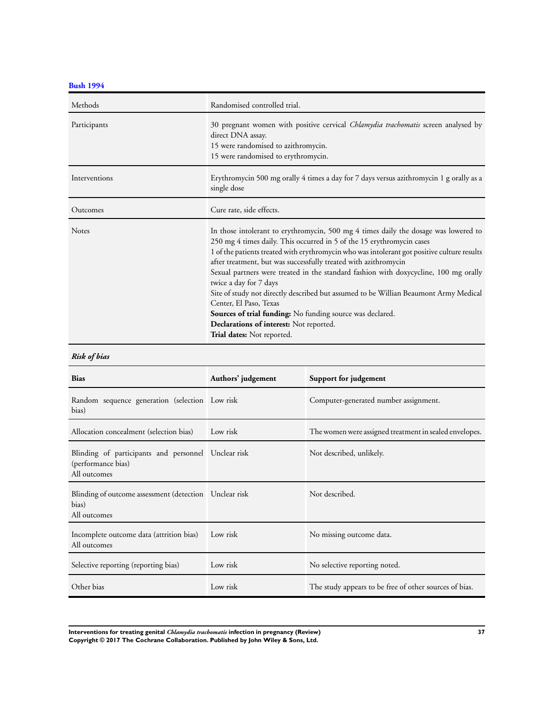**[Bush 1994](#page-29-0)**

| Methods       | Randomised controlled trial.                                                                                                                                                                                                                                                                                                                                                                                                                                                                                                                                                                                                                                                                                    |
|---------------|-----------------------------------------------------------------------------------------------------------------------------------------------------------------------------------------------------------------------------------------------------------------------------------------------------------------------------------------------------------------------------------------------------------------------------------------------------------------------------------------------------------------------------------------------------------------------------------------------------------------------------------------------------------------------------------------------------------------|
| Participants  | 30 pregnant women with positive cervical Chlamydia trachomatis screen analysed by<br>direct DNA assay.<br>15 were randomised to azithromycin.<br>15 were randomised to erythromycin.                                                                                                                                                                                                                                                                                                                                                                                                                                                                                                                            |
| Interventions | Erythromycin 500 mg orally 4 times a day for 7 days versus azithromycin 1 g orally as a<br>single dose                                                                                                                                                                                                                                                                                                                                                                                                                                                                                                                                                                                                          |
| Outcomes      | Cure rate, side effects.                                                                                                                                                                                                                                                                                                                                                                                                                                                                                                                                                                                                                                                                                        |
| <b>Notes</b>  | In those intolerant to erythromycin, 500 mg 4 times daily the dosage was lowered to<br>250 mg 4 times daily. This occurred in 5 of the 15 erythromycin cases<br>1 of the patients treated with erythromycin who was intolerant got positive culture results<br>after treatment, but was successfully treated with azithromycin<br>Sexual partners were treated in the standard fashion with doxycycline, 100 mg orally<br>twice a day for 7 days<br>Site of study not directly described but assumed to be Willian Beaumont Army Medical<br>Center, El Paso, Texas<br><b>Sources of trial funding:</b> No funding source was declared.<br>Declarations of interest: Not reported.<br>Trial dates: Not reported. |

## *Risk of bias*

| <b>Bias</b>                                                                               | Authors' judgement | Support for judgement                                  |
|-------------------------------------------------------------------------------------------|--------------------|--------------------------------------------------------|
| Random sequence generation (selection Low risk<br>bias)                                   |                    | Computer-generated number assignment.                  |
| Allocation concealment (selection bias)                                                   | Low risk           | The women were assigned treatment in sealed envelopes. |
| Blinding of participants and personnel Unclear risk<br>(performance bias)<br>All outcomes |                    | Not described, unlikely.                               |
| Blinding of outcome assessment (detection Unclear risk<br>bias)<br>All outcomes           |                    | Not described.                                         |
| Incomplete outcome data (attrition bias)<br>All outcomes                                  | Low risk           | No missing outcome data.                               |
| Selective reporting (reporting bias)                                                      | Low risk           | No selective reporting noted.                          |
| Other bias                                                                                | Low risk           | The study appears to be free of other sources of bias. |

**Interventions for treating genital** *Chlamydia trachomatis* **infection in pregnancy (Review) 37 Copyright © 2017 The Cochrane Collaboration. Published by John Wiley & Sons, Ltd.**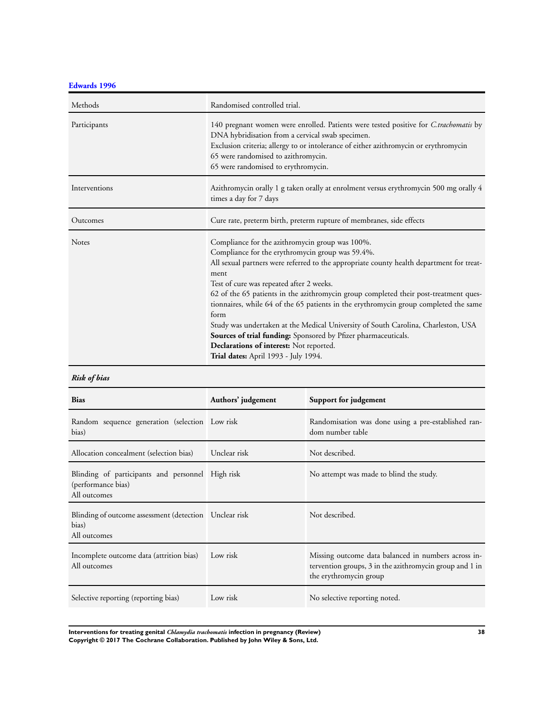**[Edwards 1996](#page-29-0)**

| Methods       | Randomised controlled trial.                                                                                                                                                                                                                                                                                                                                                                                                                                                                                                                                                                                                                                                          |
|---------------|---------------------------------------------------------------------------------------------------------------------------------------------------------------------------------------------------------------------------------------------------------------------------------------------------------------------------------------------------------------------------------------------------------------------------------------------------------------------------------------------------------------------------------------------------------------------------------------------------------------------------------------------------------------------------------------|
| Participants  | 140 pregnant women were enrolled. Patients were tested positive for <i>C.trachomatis</i> by<br>DNA hybridisation from a cervical swab specimen.<br>Exclusion criteria; allergy to or intolerance of either azithromycin or erythromycin<br>65 were randomised to azithromycin.<br>65 were randomised to erythromycin.                                                                                                                                                                                                                                                                                                                                                                 |
| Interventions | Azithromycin orally 1 g taken orally at enrolment versus erythromycin 500 mg orally 4<br>times a day for 7 days                                                                                                                                                                                                                                                                                                                                                                                                                                                                                                                                                                       |
| Outcomes      | Cure rate, preterm birth, preterm rupture of membranes, side effects                                                                                                                                                                                                                                                                                                                                                                                                                                                                                                                                                                                                                  |
| <b>Notes</b>  | Compliance for the azithromycin group was 100%.<br>Compliance for the erythromycin group was 59.4%.<br>All sexual partners were referred to the appropriate county health department for treat-<br>ment<br>Test of cure was repeated after 2 weeks.<br>62 of the 65 patients in the azithromycin group completed their post-treatment ques-<br>tionnaires, while 64 of the 65 patients in the erythromycin group completed the same<br>form<br>Study was undertaken at the Medical University of South Carolina, Charleston, USA<br>Sources of trial funding: Sponsored by Pfizer pharmaceuticals.<br>Declarations of interest: Not reported.<br>Trial dates: April 1993 - July 1994. |

## *Risk of bias*

| <b>Bias</b>                                                                            | Authors' judgement | Support for judgement                                                                                                                    |
|----------------------------------------------------------------------------------------|--------------------|------------------------------------------------------------------------------------------------------------------------------------------|
| Random sequence generation (selection Low risk<br>bias)                                |                    | Randomisation was done using a pre-established ran-<br>dom number table                                                                  |
| Allocation concealment (selection bias)                                                | Unclear risk       | Not described.                                                                                                                           |
| Blinding of participants and personnel High risk<br>(performance bias)<br>All outcomes |                    | No attempt was made to blind the study.                                                                                                  |
| Blinding of outcome assessment (detection   Unclear risk<br>bias)<br>All outcomes      |                    | Not described.                                                                                                                           |
| Incomplete outcome data (attrition bias)<br>All outcomes                               | Low risk           | Missing outcome data balanced in numbers across in-<br>tervention groups, 3 in the azithromycin group and 1 in<br>the erythromycin group |
| Selective reporting (reporting bias)                                                   | Low risk           | No selective reporting noted.                                                                                                            |

**Interventions for treating genital** *Chlamydia trachomatis* **infection in pregnancy (Review) 38 Copyright © 2017 The Cochrane Collaboration. Published by John Wiley & Sons, Ltd.**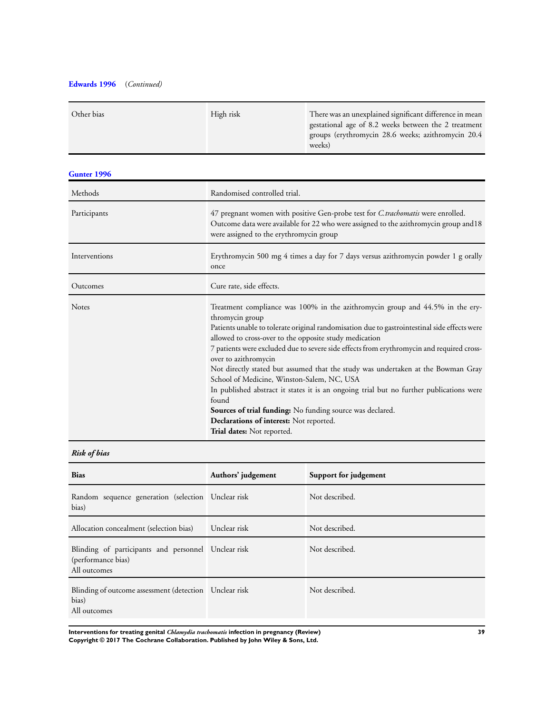## **[Edwards 1996](#page-29-0)** (*Continued)*

| Other bias    | High risk                                                                                                                                                                                                                                                                                                                                                                                                                                                                                                                                                                                                                                                                                                                                                   | There was an unexplained significant difference in mean<br>gestational age of 8.2 weeks between the 2 treatment<br>groups (erythromycin 28.6 weeks; azithromycin 20.4<br>weeks) |
|---------------|-------------------------------------------------------------------------------------------------------------------------------------------------------------------------------------------------------------------------------------------------------------------------------------------------------------------------------------------------------------------------------------------------------------------------------------------------------------------------------------------------------------------------------------------------------------------------------------------------------------------------------------------------------------------------------------------------------------------------------------------------------------|---------------------------------------------------------------------------------------------------------------------------------------------------------------------------------|
| Gunter 1996   |                                                                                                                                                                                                                                                                                                                                                                                                                                                                                                                                                                                                                                                                                                                                                             |                                                                                                                                                                                 |
| Methods       | Randomised controlled trial.                                                                                                                                                                                                                                                                                                                                                                                                                                                                                                                                                                                                                                                                                                                                |                                                                                                                                                                                 |
| Participants  | 47 pregnant women with positive Gen-probe test for <i>C. trachomatis</i> were enrolled.<br>Outcome data were available for 22 who were assigned to the azithromycin group and 18<br>were assigned to the erythromycin group                                                                                                                                                                                                                                                                                                                                                                                                                                                                                                                                 |                                                                                                                                                                                 |
| Interventions | Erythromycin 500 mg 4 times a day for 7 days versus azithromycin powder 1 g orally<br>once                                                                                                                                                                                                                                                                                                                                                                                                                                                                                                                                                                                                                                                                  |                                                                                                                                                                                 |
| Outcomes      | Cure rate, side effects.                                                                                                                                                                                                                                                                                                                                                                                                                                                                                                                                                                                                                                                                                                                                    |                                                                                                                                                                                 |
| <b>Notes</b>  | Treatment compliance was 100% in the azithromycin group and 44.5% in the ery-<br>thromycin group<br>Patients unable to tolerate original randomisation due to gastrointestinal side effects were<br>allowed to cross-over to the opposite study medication<br>7 patients were excluded due to severe side effects from erythromycin and required cross-<br>over to azithromycin<br>Not directly stated but assumed that the study was undertaken at the Bowman Gray<br>School of Medicine, Winston-Salem, NC, USA<br>In published abstract it states it is an ongoing trial but no further publications were<br>found<br>Sources of trial funding: No funding source was declared.<br>Declarations of interest: Not reported.<br>Trial dates: Not reported. |                                                                                                                                                                                 |

## *Risk of bias*

| <b>Bias</b>                                                                               | Authors' judgement | Support for judgement |
|-------------------------------------------------------------------------------------------|--------------------|-----------------------|
| Random sequence generation (selection Unclear risk<br>bias)                               |                    | Not described.        |
| Allocation concealment (selection bias)                                                   | Unclear risk       | Not described.        |
| Blinding of participants and personnel Unclear risk<br>(performance bias)<br>All outcomes |                    | Not described.        |
| Blinding of outcome assessment (detection Unclear risk<br>bias)<br>All outcomes           |                    | Not described.        |

**Interventions for treating genital** *Chlamydia trachomatis* **infection in pregnancy (Review) 39 Copyright © 2017 The Cochrane Collaboration. Published by John Wiley & Sons, Ltd.**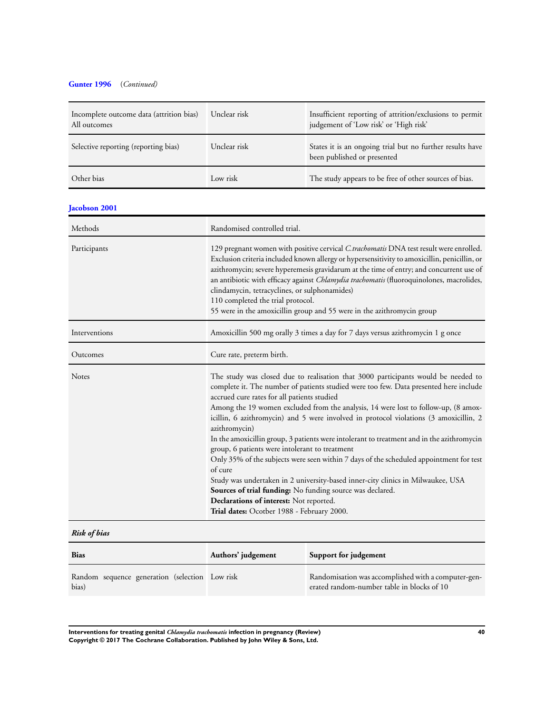## **[Gunter 1996](#page-29-0)** (*Continued)*

| Incomplete outcome data (attrition bias)<br>All outcomes | Unclear risk | Insufficient reporting of attrition/exclusions to permit<br>judgement of 'Low risk' or 'High risk' |
|----------------------------------------------------------|--------------|----------------------------------------------------------------------------------------------------|
| Selective reporting (reporting bias)                     | Unclear risk | States it is an ongoing trial but no further results have<br>been published or presented           |
| Other bias                                               | Low risk     | The study appears to be free of other sources of bias.                                             |

## **[Jacobson 2001](#page-29-0)**

| Methods       | Randomised controlled trial.                                                                                                                                                                                                                                                                                                                                                                                                                                                                                                                                                                                                                                                                                                                                                                                                                                                                                           |
|---------------|------------------------------------------------------------------------------------------------------------------------------------------------------------------------------------------------------------------------------------------------------------------------------------------------------------------------------------------------------------------------------------------------------------------------------------------------------------------------------------------------------------------------------------------------------------------------------------------------------------------------------------------------------------------------------------------------------------------------------------------------------------------------------------------------------------------------------------------------------------------------------------------------------------------------|
| Participants  | 129 pregnant women with positive cervical <i>C.trachomatis</i> DNA test result were enrolled.<br>Exclusion criteria included known allergy or hypersensitivity to amoxicillin, penicillin, or<br>azithromycin; severe hyperemesis gravidarum at the time of entry; and concurrent use of<br>an antibiotic with efficacy against Chlamydia trachomatis (fluoroquinolones, macrolides,<br>clindamycin, tetracyclines, or sulphonamides)<br>110 completed the trial protocol.<br>55 were in the amoxicillin group and 55 were in the azithromycin group                                                                                                                                                                                                                                                                                                                                                                   |
| Interventions | Amoxicillin 500 mg orally 3 times a day for 7 days versus azithromycin 1 g once                                                                                                                                                                                                                                                                                                                                                                                                                                                                                                                                                                                                                                                                                                                                                                                                                                        |
| Outcomes      | Cure rate, preterm birth.                                                                                                                                                                                                                                                                                                                                                                                                                                                                                                                                                                                                                                                                                                                                                                                                                                                                                              |
| <b>Notes</b>  | The study was closed due to realisation that 3000 participants would be needed to<br>complete it. The number of patients studied were too few. Data presented here include<br>accrued cure rates for all patients studied<br>Among the 19 women excluded from the analysis, 14 were lost to follow-up, (8 amox-<br>icillin, 6 azithromycin) and 5 were involved in protocol violations (3 amoxicillin, 2<br>azithromycin)<br>In the amoxicillin group, 3 patients were intolerant to treatment and in the azithromycin<br>group, 6 patients were intolerant to treatment<br>Only 35% of the subjects were seen within 7 days of the scheduled appointment for test<br>of cure<br>Study was undertaken in 2 university-based inner-city clinics in Milwaukee, USA<br>Sources of trial funding: No funding source was declared.<br>Declarations of interest: Not reported.<br>Trial dates: Ocotber 1988 - February 2000. |

## *Risk of bias*

| <b>Bias</b>                                             | Authors' judgement | Support for judgement                                                                             |
|---------------------------------------------------------|--------------------|---------------------------------------------------------------------------------------------------|
| Random sequence generation (selection Low risk<br>bias) |                    | Randomisation was accomplished with a computer-gen-<br>erated random-number table in blocks of 10 |

**Interventions for treating genital** *Chlamydia trachomatis* **infection in pregnancy (Review) 40 Copyright © 2017 The Cochrane Collaboration. Published by John Wiley & Sons, Ltd.**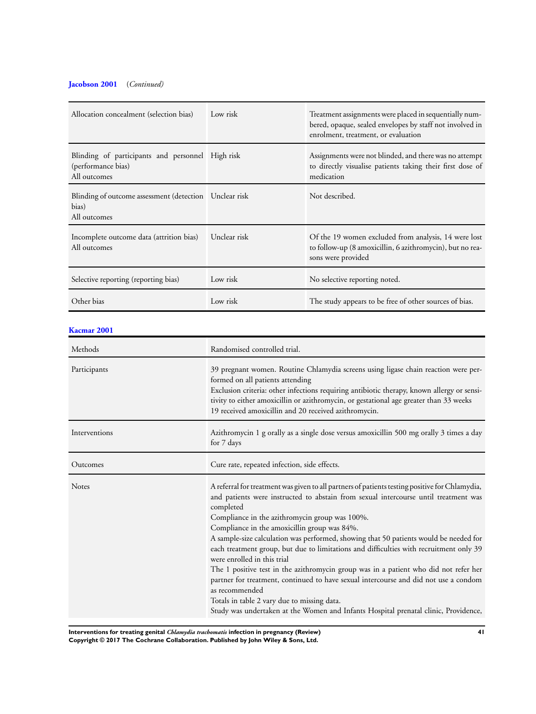## **[Jacobson 2001](#page-29-0)** (*Continued)*

| Allocation concealment (selection bias)                                                | Low risk     | Treatment assignments were placed in sequentially num-<br>bered, opaque, sealed envelopes by staff not involved in<br>enrolment, treatment, or evaluation |
|----------------------------------------------------------------------------------------|--------------|-----------------------------------------------------------------------------------------------------------------------------------------------------------|
| Blinding of participants and personnel High risk<br>(performance bias)<br>All outcomes |              | Assignments were not blinded, and there was no attempt<br>to directly visualise patients taking their first dose of<br>medication                         |
| Blinding of outcome assessment (detection   Unclear risk<br>bias)<br>All outcomes      |              | Not described.                                                                                                                                            |
| Incomplete outcome data (attrition bias)<br>All outcomes                               | Unclear risk | Of the 19 women excluded from analysis, 14 were lost<br>to follow-up (8 amoxicillin, 6 azithromycin), but no rea-<br>sons were provided                   |
| Selective reporting (reporting bias)                                                   | Low risk     | No selective reporting noted.                                                                                                                             |
| Other bias                                                                             | Low risk     | The study appears to be free of other sources of bias.                                                                                                    |

## **[Kacmar 2001](#page-29-0)**

| Methods       | Randomised controlled trial.                                                                                                                                                                                                                                                                                                                                                                                                                                                                                                                                                                                                                                                                                                                                                                                                                                   |
|---------------|----------------------------------------------------------------------------------------------------------------------------------------------------------------------------------------------------------------------------------------------------------------------------------------------------------------------------------------------------------------------------------------------------------------------------------------------------------------------------------------------------------------------------------------------------------------------------------------------------------------------------------------------------------------------------------------------------------------------------------------------------------------------------------------------------------------------------------------------------------------|
| Participants  | 39 pregnant women. Routine Chlamydia screens using ligase chain reaction were per-<br>formed on all patients attending<br>Exclusion criteria: other infections requiring antibiotic therapy, known allergy or sensi-<br>tivity to either amoxicillin or azithromycin, or gestational age greater than 33 weeks<br>19 received amoxicillin and 20 received azithromycin.                                                                                                                                                                                                                                                                                                                                                                                                                                                                                        |
| Interventions | Azithromycin 1 g orally as a single dose versus amoxicillin 500 mg orally 3 times a day<br>for 7 days                                                                                                                                                                                                                                                                                                                                                                                                                                                                                                                                                                                                                                                                                                                                                          |
| Outcomes      | Cure rate, repeated infection, side effects.                                                                                                                                                                                                                                                                                                                                                                                                                                                                                                                                                                                                                                                                                                                                                                                                                   |
| <b>Notes</b>  | A referral for treatment was given to all partners of patients testing positive for Chlamydia,<br>and patients were instructed to abstain from sexual intercourse until treatment was<br>completed<br>Compliance in the azithromycin group was 100%.<br>Compliance in the amoxicillin group was 84%.<br>A sample-size calculation was performed, showing that 50 patients would be needed for<br>each treatment group, but due to limitations and difficulties with recruitment only 39<br>were enrolled in this trial<br>The 1 positive test in the azithromycin group was in a patient who did not refer her<br>partner for treatment, continued to have sexual intercourse and did not use a condom<br>as recommended<br>Totals in table 2 vary due to missing data.<br>Study was undertaken at the Women and Infants Hospital prenatal clinic, Providence, |

**Interventions for treating genital** *Chlamydia trachomatis* **infection in pregnancy (Review) 41**

**Copyright © 2017 The Cochrane Collaboration. Published by John Wiley & Sons, Ltd.**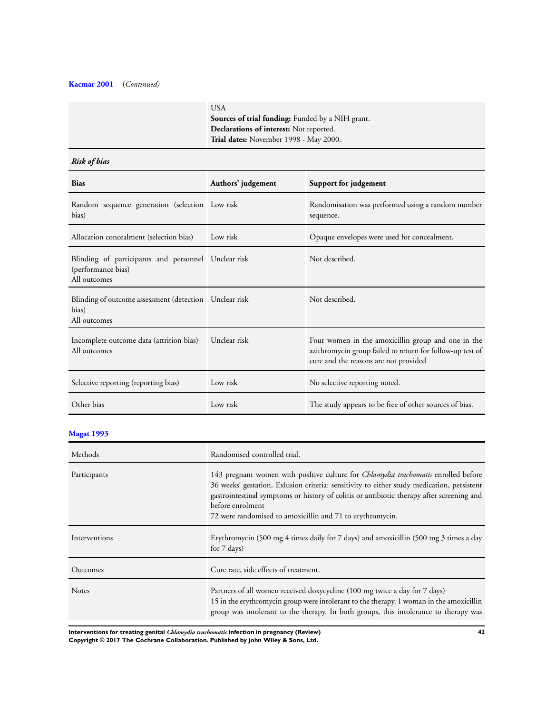## **[Kacmar 2001](#page-29-0)** (*Continued)*

| <b>USA</b>                                       |
|--------------------------------------------------|
| Sources of trial funding: Funded by a NIH grant. |
| Declarations of interest: Not reported.          |
| Trial dates: November 1998 - May 2000.           |

## *Risk of bias*

| <b>Bias</b>                                                                               | Authors' judgement | Support for judgement                                                                                                                                    |
|-------------------------------------------------------------------------------------------|--------------------|----------------------------------------------------------------------------------------------------------------------------------------------------------|
| Random sequence generation (selection Low risk<br>bias)                                   |                    | Randomisation was performed using a random number<br>sequence.                                                                                           |
| Allocation concealment (selection bias)                                                   | Low risk           | Opaque envelopes were used for concealment.                                                                                                              |
| Blinding of participants and personnel Unclear risk<br>(performance bias)<br>All outcomes |                    | Not described.                                                                                                                                           |
| Blinding of outcome assessment (detection   Unclear risk<br>bias)<br>All outcomes         |                    | Not described.                                                                                                                                           |
| Incomplete outcome data (attrition bias)<br>All outcomes                                  | Unclear risk       | Four women in the amoxicillin group and one in the<br>azithromycin group failed to return for follow-up test of<br>cure and the reasons are not provided |
| Selective reporting (reporting bias)                                                      | Low risk           | No selective reporting noted.                                                                                                                            |
| Other bias                                                                                | Low risk           | The study appears to be free of other sources of bias.                                                                                                   |

## **[Magat 1993](#page-29-0)**

| Methods       | Randomised controlled trial.                                                                                                                                                                                                                                                                                                                                          |
|---------------|-----------------------------------------------------------------------------------------------------------------------------------------------------------------------------------------------------------------------------------------------------------------------------------------------------------------------------------------------------------------------|
| Participants  | 143 pregnant women with positive culture for <i>Chlamydia trachomatis</i> enrolled before<br>36 weeks' gestation. Exlusion criteria: sensitivity to either study medication, persistent<br>gastrointestinal symptoms or history of colitis or antibiotic therapy after screening and<br>before enrolment<br>72 were randomised to amoxicillin and 71 to erythromycin. |
| Interventions | Erythromycin (500 mg 4 times daily for 7 days) and amoxicillin (500 mg 3 times a day<br>for 7 days)                                                                                                                                                                                                                                                                   |
| Outcomes      | Cure rate, side effects of treatment.                                                                                                                                                                                                                                                                                                                                 |
| <b>Notes</b>  | Partners of all women received doxycycline (100 mg twice a day for 7 days)<br>15 in the erythromycin group were intolerant to the therapy. 1 woman in the amoxicillin<br>group was intolerant to the therapy. In both groups, this intolerance to therapy was                                                                                                         |

**Interventions for treating genital** *Chlamydia trachomatis* **infection in pregnancy (Review) 42 Copyright © 2017 The Cochrane Collaboration. Published by John Wiley & Sons, Ltd.**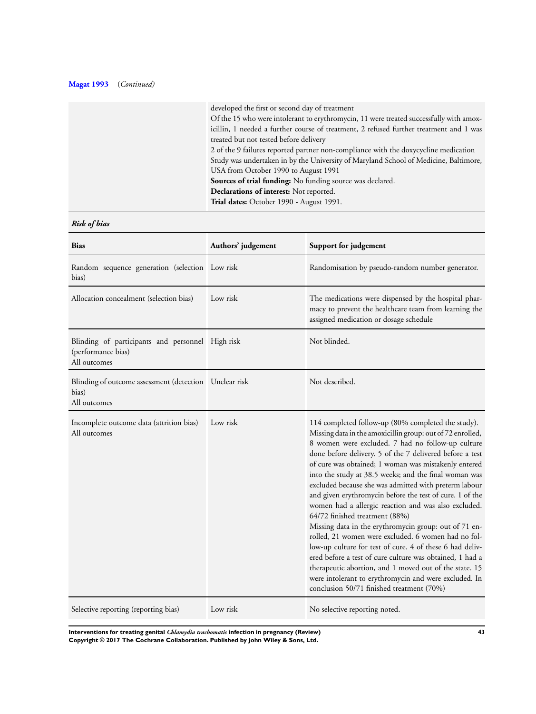## **[Magat 1993](#page-29-0)** (*Continued)*

| developed the first or second day of treatment                                         |
|----------------------------------------------------------------------------------------|
| Of the 15 who were intolerant to erythromycin, 11 were treated successfully with amox- |
| icillin, 1 needed a further course of treatment, 2 refused further treatment and 1 was |
| treated but not tested before delivery                                                 |
| 2 of the 9 failures reported partner non-compliance with the doxycycline medication    |
| Study was undertaken in by the University of Maryland School of Medicine, Baltimore,   |
| USA from October 1990 to August 1991                                                   |
| Sources of trial funding: No funding source was declared.                              |
| Declarations of interest: Not reported.                                                |
| Trial dates: October 1990 - August 1991.                                               |
|                                                                                        |

## *Risk of bias*

| <b>Bias</b>                                                                            | Authors' judgement | Support for judgement                                                                                                                                                                                                                                                                                                                                                                                                                                                                                                                                                                                                                                                                                                                                                                                                                                                                                                                                                     |
|----------------------------------------------------------------------------------------|--------------------|---------------------------------------------------------------------------------------------------------------------------------------------------------------------------------------------------------------------------------------------------------------------------------------------------------------------------------------------------------------------------------------------------------------------------------------------------------------------------------------------------------------------------------------------------------------------------------------------------------------------------------------------------------------------------------------------------------------------------------------------------------------------------------------------------------------------------------------------------------------------------------------------------------------------------------------------------------------------------|
| Random sequence generation (selection Low risk<br>bias)                                |                    | Randomisation by pseudo-random number generator.                                                                                                                                                                                                                                                                                                                                                                                                                                                                                                                                                                                                                                                                                                                                                                                                                                                                                                                          |
| Allocation concealment (selection bias)                                                | Low risk           | The medications were dispensed by the hospital phar-<br>macy to prevent the healthcare team from learning the<br>assigned medication or dosage schedule                                                                                                                                                                                                                                                                                                                                                                                                                                                                                                                                                                                                                                                                                                                                                                                                                   |
| Blinding of participants and personnel High risk<br>(performance bias)<br>All outcomes |                    | Not blinded.                                                                                                                                                                                                                                                                                                                                                                                                                                                                                                                                                                                                                                                                                                                                                                                                                                                                                                                                                              |
| Blinding of outcome assessment (detection Unclear risk<br>bias)<br>All outcomes        |                    | Not described.                                                                                                                                                                                                                                                                                                                                                                                                                                                                                                                                                                                                                                                                                                                                                                                                                                                                                                                                                            |
| Incomplete outcome data (attrition bias)<br>All outcomes                               | Low risk           | 114 completed follow-up (80% completed the study).<br>Missing data in the amoxicillin group: out of 72 enrolled,<br>8 women were excluded. 7 had no follow-up culture<br>done before delivery. 5 of the 7 delivered before a test<br>of cure was obtained; 1 woman was mistakenly entered<br>into the study at 38.5 weeks; and the final woman was<br>excluded because she was admitted with preterm labour<br>and given erythromycin before the test of cure. 1 of the<br>women had a allergic reaction and was also excluded.<br>64/72 finished treatment (88%)<br>Missing data in the erythromycin group: out of 71 en-<br>rolled, 21 women were excluded. 6 women had no fol-<br>low-up culture for test of cure. 4 of these 6 had deliv-<br>ered before a test of cure culture was obtained, 1 had a<br>therapeutic abortion, and 1 moved out of the state. 15<br>were intolerant to erythromycin and were excluded. In<br>conclusion 50/71 finished treatment (70%) |
| Selective reporting (reporting bias)                                                   | Low risk           | No selective reporting noted.                                                                                                                                                                                                                                                                                                                                                                                                                                                                                                                                                                                                                                                                                                                                                                                                                                                                                                                                             |

**Interventions for treating genital** *Chlamydia trachomatis* **infection in pregnancy (Review) 43 Copyright © 2017 The Cochrane Collaboration. Published by John Wiley & Sons, Ltd.**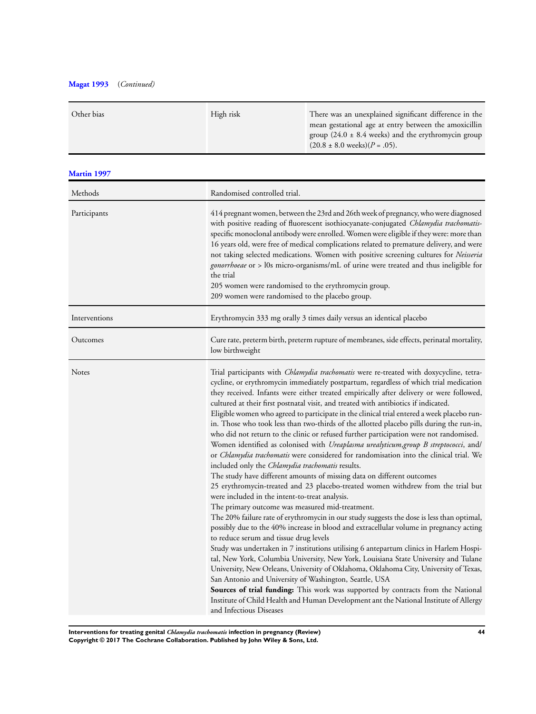## **[Magat 1993](#page-29-0)** (*Continued)*

| Other bias | High risk | There was an unexplained significant difference in the  |
|------------|-----------|---------------------------------------------------------|
|            |           | mean gestational age at entry between the amoxicillin   |
|            |           | group $(24.0 \pm 8.4$ weeks) and the erythromycin group |
|            |           | $(20.8 \pm 8.0 \text{ weeks})(P = .05).$                |
|            |           |                                                         |

## **[Martin 1997](#page-29-0)**

| Methods       | Randomised controlled trial.                                                                                                                                                                                                                                                                                                                                                                                                                                                                                                                                                                                                                                                                                                                                                                                                                                                                                                                                                                                                                                                                                                                                                                                                                                                                                                                                                                                                                                                                                                                                                                                                                                                                                                                                                                                                                                                                                                                       |
|---------------|----------------------------------------------------------------------------------------------------------------------------------------------------------------------------------------------------------------------------------------------------------------------------------------------------------------------------------------------------------------------------------------------------------------------------------------------------------------------------------------------------------------------------------------------------------------------------------------------------------------------------------------------------------------------------------------------------------------------------------------------------------------------------------------------------------------------------------------------------------------------------------------------------------------------------------------------------------------------------------------------------------------------------------------------------------------------------------------------------------------------------------------------------------------------------------------------------------------------------------------------------------------------------------------------------------------------------------------------------------------------------------------------------------------------------------------------------------------------------------------------------------------------------------------------------------------------------------------------------------------------------------------------------------------------------------------------------------------------------------------------------------------------------------------------------------------------------------------------------------------------------------------------------------------------------------------------------|
| Participants  | 414 pregnant women, between the 23rd and 26th week of pregnancy, who were diagnosed<br>with positive reading of fluorescent isothiocyanate-conjugated Chlamydia trachomatis-<br>specific monoclonal antibody were enrolled. Women were eligible if they were: more than<br>16 years old, were free of medical complications related to premature delivery, and were<br>not taking selected medications. Women with positive screening cultures for Neisseria<br>gonorrhoeae or > l0s micro-organisms/mL of urine were treated and thus ineligible for<br>the trial<br>205 women were randomised to the erythromycin group.<br>209 women were randomised to the placebo group.                                                                                                                                                                                                                                                                                                                                                                                                                                                                                                                                                                                                                                                                                                                                                                                                                                                                                                                                                                                                                                                                                                                                                                                                                                                                      |
| Interventions | Erythromycin 333 mg orally 3 times daily versus an identical placebo                                                                                                                                                                                                                                                                                                                                                                                                                                                                                                                                                                                                                                                                                                                                                                                                                                                                                                                                                                                                                                                                                                                                                                                                                                                                                                                                                                                                                                                                                                                                                                                                                                                                                                                                                                                                                                                                               |
| Outcomes      | Cure rate, preterm birth, preterm rupture of membranes, side effects, perinatal mortality,<br>low birthweight                                                                                                                                                                                                                                                                                                                                                                                                                                                                                                                                                                                                                                                                                                                                                                                                                                                                                                                                                                                                                                                                                                                                                                                                                                                                                                                                                                                                                                                                                                                                                                                                                                                                                                                                                                                                                                      |
| <b>Notes</b>  | Trial participants with <i>Chlamydia trachomatis</i> were re-treated with doxycycline, tetra-<br>cycline, or erythromycin immediately postpartum, regardless of which trial medication<br>they received. Infants were either treated empirically after delivery or were followed,<br>cultured at their first postnatal visit, and treated with antibiotics if indicated.<br>Eligible women who agreed to participate in the clinical trial entered a week placebo run-<br>in. Those who took less than two-thirds of the allotted placebo pills during the run-in,<br>who did not return to the clinic or refused further participation were not randomised.<br>Women identified as colonised with Ureaplasma urealyticum, group B streptococci, and/<br>or Chlamydia trachomatis were considered for randomisation into the clinical trial. We<br>included only the Chlamydia trachomatis results.<br>The study have different amounts of missing data on different outcomes<br>25 erythromycin-treated and 23 placebo-treated women withdrew from the trial but<br>were included in the intent-to-treat analysis.<br>The primary outcome was measured mid-treatment.<br>The 20% failure rate of erythromycin in our study suggests the dose is less than optimal,<br>possibly due to the 40% increase in blood and extracellular volume in pregnancy acting<br>to reduce serum and tissue drug levels<br>Study was undertaken in 7 institutions utilising 6 antepartum clinics in Harlem Hospi-<br>tal, New York, Columbia University, New York, Louisiana State University and Tulane<br>University, New Orleans, University of Oklahoma, Oklahoma City, University of Texas,<br>San Antonio and University of Washington, Seattle, USA<br>Sources of trial funding: This work was supported by contracts from the National<br>Institute of Child Health and Human Development ant the National Institute of Allergy<br>and Infectious Diseases |

**Interventions for treating genital** *Chlamydia trachomatis* **infection in pregnancy (Review) 44 Copyright © 2017 The Cochrane Collaboration. Published by John Wiley & Sons, Ltd.**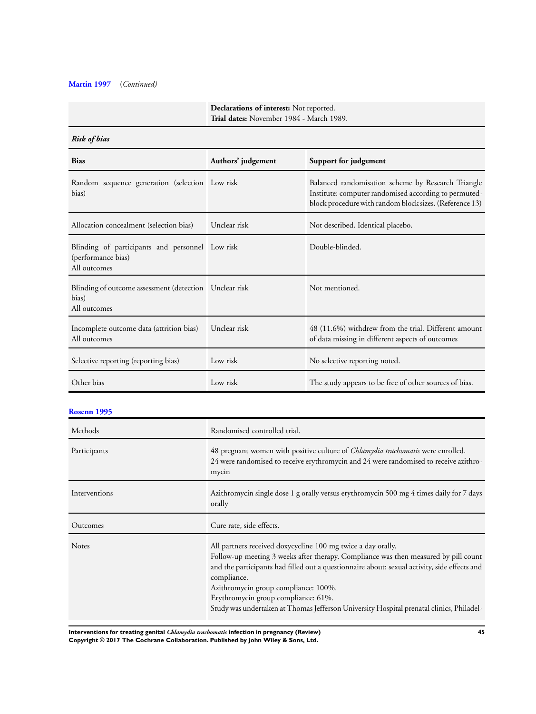## **[Martin 1997](#page-29-0)** (*Continued)*

## **Declarations of interest:** Not reported. **Trial dates:** November 1984 - March 1989.

## *Risk of bias*

| <b>Bias</b>                                                                           | Authors' judgement | Support for judgement                                                                                                                                                  |
|---------------------------------------------------------------------------------------|--------------------|------------------------------------------------------------------------------------------------------------------------------------------------------------------------|
| Random sequence generation (selection Low risk<br>bias)                               |                    | Balanced randomisation scheme by Research Triangle<br>Institute: computer randomised according to permuted-<br>block procedure with random block sizes. (Reference 13) |
| Allocation concealment (selection bias)                                               | Unclear risk       | Not described. Identical placebo.                                                                                                                                      |
| Blinding of participants and personnel Low risk<br>(performance bias)<br>All outcomes |                    | Double-blinded.                                                                                                                                                        |
| Blinding of outcome assessment (detection Unclear risk<br>bias)<br>All outcomes       |                    | Not mentioned.                                                                                                                                                         |
| Incomplete outcome data (attrition bias)<br>All outcomes                              | Unclear risk       | 48 (11.6%) withdrew from the trial. Different amount<br>of data missing in different aspects of outcomes                                                               |
| Selective reporting (reporting bias)                                                  | Low risk           | No selective reporting noted.                                                                                                                                          |
| Other bias                                                                            | Low risk           | The study appears to be free of other sources of bias.                                                                                                                 |

## **[Rosenn 1995](#page-29-0)**

| Methods       | Randomised controlled trial.                                                                                                                                                                                                                                                                                                                                                                                                                  |
|---------------|-----------------------------------------------------------------------------------------------------------------------------------------------------------------------------------------------------------------------------------------------------------------------------------------------------------------------------------------------------------------------------------------------------------------------------------------------|
| Participants  | 48 pregnant women with positive culture of <i>Chlamydia trachomatis</i> were enrolled.<br>24 were randomised to receive erythromycin and 24 were randomised to receive azithro-<br>mycin                                                                                                                                                                                                                                                      |
| Interventions | Azithromycin single dose 1 g orally versus erythromycin 500 mg 4 times daily for 7 days<br>orally                                                                                                                                                                                                                                                                                                                                             |
| Outcomes      | Cure rate, side effects.                                                                                                                                                                                                                                                                                                                                                                                                                      |
| <b>Notes</b>  | All partners received doxycycline 100 mg twice a day orally.<br>Follow-up meeting 3 weeks after therapy. Compliance was then measured by pill count<br>and the participants had filled out a questionnaire about: sexual activity, side effects and<br>compliance.<br>Azithromycin group compliance: 100%.<br>Erythromycin group compliance: 61%.<br>Study was undertaken at Thomas Jefferson University Hospital prenatal clinics, Philadel- |

**Interventions for treating genital** *Chlamydia trachomatis* **infection in pregnancy (Review) 45 Copyright © 2017 The Cochrane Collaboration. Published by John Wiley & Sons, Ltd.**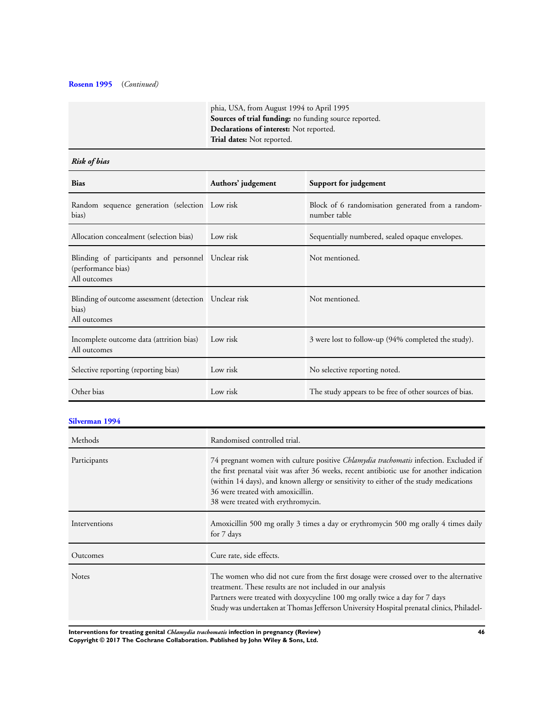## **[Rosenn 1995](#page-29-0)** (*Continued)*

| phia, USA, from August 1994 to April 1995             |
|-------------------------------------------------------|
| Sources of trial funding: no funding source reported. |
| Declarations of interest: Not reported.               |
| Trial dates: Not reported.                            |

## *Risk of bias*

| <b>Bias</b>                                                                               | Authors' judgement | Support for judgement                                             |
|-------------------------------------------------------------------------------------------|--------------------|-------------------------------------------------------------------|
| Random sequence generation (selection Low risk<br>bias)                                   |                    | Block of 6 randomisation generated from a random-<br>number table |
| Allocation concealment (selection bias)                                                   | Low risk           | Sequentially numbered, sealed opaque envelopes.                   |
| Blinding of participants and personnel Unclear risk<br>(performance bias)<br>All outcomes |                    | Not mentioned.                                                    |
| Blinding of outcome assessment (detection Unclear risk<br>bias)<br>All outcomes           |                    | Not mentioned.                                                    |
| Incomplete outcome data (attrition bias)<br>All outcomes                                  | Low risk           | 3 were lost to follow-up (94% completed the study).               |
| Selective reporting (reporting bias)                                                      | Low risk           | No selective reporting noted.                                     |
| Other bias                                                                                | Low risk           | The study appears to be free of other sources of bias.            |

## **[Silverman 1994](#page-29-0)**

| Methods       | Randomised controlled trial.                                                                                                                                                                                                                                                                                                                                 |
|---------------|--------------------------------------------------------------------------------------------------------------------------------------------------------------------------------------------------------------------------------------------------------------------------------------------------------------------------------------------------------------|
| Participants  | 74 pregnant women with culture positive <i>Chlamydia trachomatis</i> infection. Excluded if<br>the first prenatal visit was after 36 weeks, recent antibiotic use for another indication<br>(within 14 days), and known allergy or sensitivity to either of the study medications<br>36 were treated with amoxicillin.<br>38 were treated with erythromycin. |
| Interventions | Amoxicillin 500 mg orally 3 times a day or erythromycin 500 mg orally 4 times daily<br>for 7 days                                                                                                                                                                                                                                                            |
| Outcomes      | Cure rate, side effects.                                                                                                                                                                                                                                                                                                                                     |
| <b>Notes</b>  | The women who did not cure from the first dosage were crossed over to the alternative<br>treatment. These results are not included in our analysis<br>Partners were treated with doxycycline 100 mg orally twice a day for 7 days<br>Study was undertaken at Thomas Jefferson University Hospital prenatal clinics, Philadel-                                |

**Interventions for treating genital** *Chlamydia trachomatis* **infection in pregnancy (Review) 46 Copyright © 2017 The Cochrane Collaboration. Published by John Wiley & Sons, Ltd.**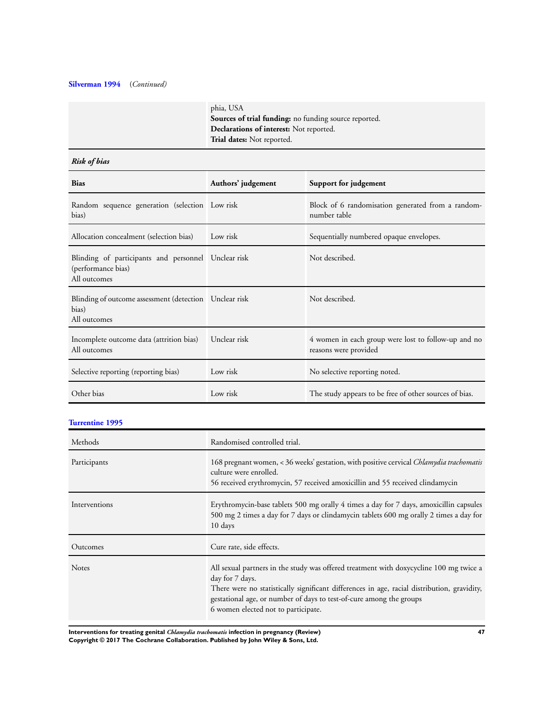## **[Silverman 1994](#page-29-0)** (*Continued)*

| phia, USA                                             |
|-------------------------------------------------------|
| Sources of trial funding: no funding source reported. |
| Declarations of interest: Not reported.               |
| <b>Trial dates:</b> Not reported.                     |

## *Risk of bias*

| <b>Bias</b>                                                                               | Authors' judgement | Support for judgement                                                        |
|-------------------------------------------------------------------------------------------|--------------------|------------------------------------------------------------------------------|
| Random sequence generation (selection Low risk<br>bias)                                   |                    | Block of 6 randomisation generated from a random-<br>number table            |
| Allocation concealment (selection bias)                                                   | Low risk           | Sequentially numbered opaque envelopes.                                      |
| Blinding of participants and personnel Unclear risk<br>(performance bias)<br>All outcomes |                    | Not described.                                                               |
| Blinding of outcome assessment (detection Unclear risk<br>bias)<br>All outcomes           |                    | Not described.                                                               |
| Incomplete outcome data (attrition bias)<br>All outcomes                                  | Unclear risk       | 4 women in each group were lost to follow-up and no<br>reasons were provided |
| Selective reporting (reporting bias)                                                      | Low risk           | No selective reporting noted.                                                |
| Other bias                                                                                | Low risk           | The study appears to be free of other sources of bias.                       |

## **[Turrentine 1995](#page-29-0)**

| Methods       | Randomised controlled trial.                                                                                                                                                                                                                                                                                           |
|---------------|------------------------------------------------------------------------------------------------------------------------------------------------------------------------------------------------------------------------------------------------------------------------------------------------------------------------|
| Participants  | 168 pregnant women, < 36 weeks' gestation, with positive cervical <i>Chlamydia trachomatis</i><br>culture were enrolled.<br>56 received erythromycin, 57 received amoxicillin and 55 received clindamycin                                                                                                              |
| Interventions | Erythromycin-base tablets 500 mg orally 4 times a day for 7 days, amoxicillin capsules<br>500 mg 2 times a day for 7 days or clindamycin tablets 600 mg orally 2 times a day for<br>10 days                                                                                                                            |
| Outcomes      | Cure rate, side effects.                                                                                                                                                                                                                                                                                               |
| <b>Notes</b>  | All sexual partners in the study was offered treatment with doxycycline 100 mg twice a<br>day for 7 days.<br>There were no statistically significant differences in age, racial distribution, gravidity,<br>gestational age, or number of days to test-of-cure among the groups<br>6 women elected not to participate. |

**Interventions for treating genital** *Chlamydia trachomatis* **infection in pregnancy (Review) 47 Copyright © 2017 The Cochrane Collaboration. Published by John Wiley & Sons, Ltd.**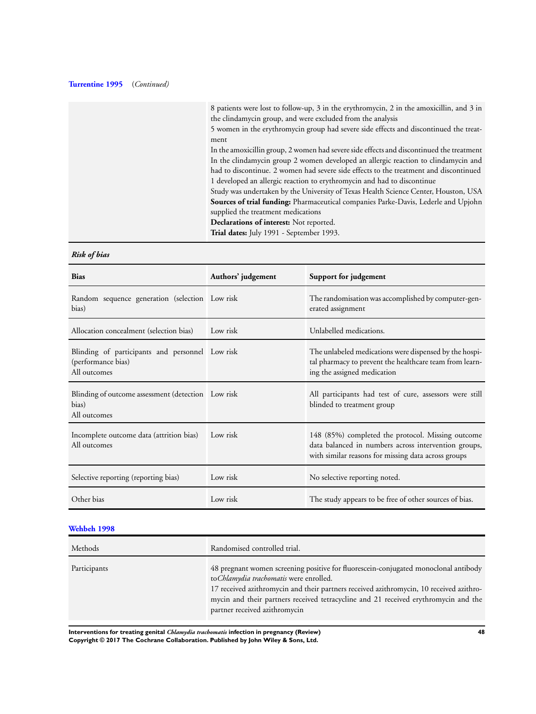## **[Turrentine 1995](#page-29-0)** (*Continued)*

| 8 patients were lost to follow-up, 3 in the erythromycin, 2 in the amoxicillin, and 3 in<br>the clindamycin group, and were excluded from the analysis |
|--------------------------------------------------------------------------------------------------------------------------------------------------------|
| 5 women in the erythromycin group had severe side effects and discontinued the treat-                                                                  |
| ment                                                                                                                                                   |
| In the amoxicillin group, 2 women had severe side effects and discontinued the treatment                                                               |
| In the clindamycin group 2 women developed an allergic reaction to clindamycin and                                                                     |
| had to discontinue. 2 women had severe side effects to the treatment and discontinued                                                                  |
| 1 developed an allergic reaction to erythromycin and had to discontinue                                                                                |
| Study was undertaken by the University of Texas Health Science Center, Houston, USA                                                                    |
| <b>Sources of trial funding:</b> Pharmaceutical companies Parke-Davis, Lederle and Upjohn                                                              |
| supplied the treatment medications                                                                                                                     |
| Declarations of interest: Not reported.                                                                                                                |
| Trial dates: July 1991 - September 1993.                                                                                                               |
|                                                                                                                                                        |

## *Risk of bias*

| <b>Bias</b>                                                                           | Authors' judgement | Support for judgement                                                                                                                                            |
|---------------------------------------------------------------------------------------|--------------------|------------------------------------------------------------------------------------------------------------------------------------------------------------------|
| Random sequence generation (selection Low risk<br>bias)                               |                    | The randomisation was accomplished by computer-gen-<br>erated assignment                                                                                         |
| Allocation concealment (selection bias)                                               | Low risk           | Unlabelled medications.                                                                                                                                          |
| Blinding of participants and personnel Low risk<br>(performance bias)<br>All outcomes |                    | The unlabeled medications were dispensed by the hospi-<br>tal pharmacy to prevent the healthcare team from learn-<br>ing the assigned medication                 |
| Blinding of outcome assessment (detection Low risk<br>bias)<br>All outcomes           |                    | All participants had test of cure, assessors were still<br>blinded to treatment group                                                                            |
| Incomplete outcome data (attrition bias)<br>All outcomes                              | Low risk           | 148 (85%) completed the protocol. Missing outcome<br>data balanced in numbers across intervention groups,<br>with similar reasons for missing data across groups |
| Selective reporting (reporting bias)                                                  | Low risk           | No selective reporting noted.                                                                                                                                    |
| Other bias                                                                            | Low risk           | The study appears to be free of other sources of bias.                                                                                                           |

## **[Wehbeh 1998](#page-29-0)**

| Methods      | Randomised controlled trial.                                                                                                                                                                                                                                                                                                                      |
|--------------|---------------------------------------------------------------------------------------------------------------------------------------------------------------------------------------------------------------------------------------------------------------------------------------------------------------------------------------------------|
| Participants | 48 pregnant women screening positive for fluorescein-conjugated monoclonal antibody<br>to Chlamydia trachomatis were enrolled.<br>17 received azithromycin and their partners received azithromycin, 10 received azithro-<br>mycin and their partners received tetracycline and 21 received erythromycin and the<br>partner received azithromycin |

**Interventions for treating genital** *Chlamydia trachomatis* **infection in pregnancy (Review) 48 Copyright © 2017 The Cochrane Collaboration. Published by John Wiley & Sons, Ltd.**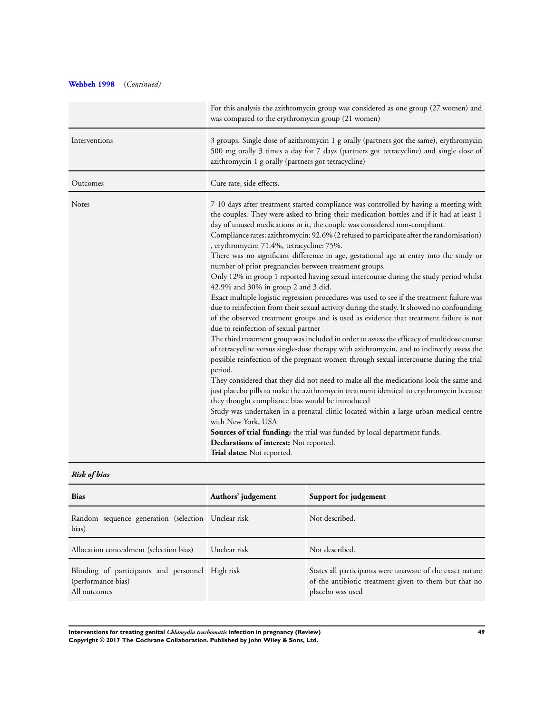## **[Wehbeh 1998](#page-29-0)** (*Continued)*

|               | For this analysis the azithromycin group was considered as one group (27 women) and<br>was compared to the erythromycin group (21 women)                                                                                                                                                                                                                                                                                                                                                                                                                                                                                                                                                                                                                                                                                                                                                                                                                                                                                                                                                                                                                                                                                                                                                                                                                                                                                                                                                                                                                                                                                                                                                                                                                                                                                          |
|---------------|-----------------------------------------------------------------------------------------------------------------------------------------------------------------------------------------------------------------------------------------------------------------------------------------------------------------------------------------------------------------------------------------------------------------------------------------------------------------------------------------------------------------------------------------------------------------------------------------------------------------------------------------------------------------------------------------------------------------------------------------------------------------------------------------------------------------------------------------------------------------------------------------------------------------------------------------------------------------------------------------------------------------------------------------------------------------------------------------------------------------------------------------------------------------------------------------------------------------------------------------------------------------------------------------------------------------------------------------------------------------------------------------------------------------------------------------------------------------------------------------------------------------------------------------------------------------------------------------------------------------------------------------------------------------------------------------------------------------------------------------------------------------------------------------------------------------------------------|
| Interventions | 3 groups. Single dose of azithromycin 1 g orally (partners got the same), erythromycin<br>500 mg orally 3 times a day for 7 days (partners got tetracycline) and single dose of<br>azithromycin 1 g orally (partners got tetracycline)                                                                                                                                                                                                                                                                                                                                                                                                                                                                                                                                                                                                                                                                                                                                                                                                                                                                                                                                                                                                                                                                                                                                                                                                                                                                                                                                                                                                                                                                                                                                                                                            |
| Outcomes      | Cure rate, side effects.                                                                                                                                                                                                                                                                                                                                                                                                                                                                                                                                                                                                                                                                                                                                                                                                                                                                                                                                                                                                                                                                                                                                                                                                                                                                                                                                                                                                                                                                                                                                                                                                                                                                                                                                                                                                          |
| Notes         | 7-10 days after treatment started compliance was controlled by having a meeting with<br>the couples. They were asked to bring their medication bottles and if it had at least 1<br>day of unused medications in it, the couple was considered non-compliant.<br>Compliance rates: azithromycin: 92.6% (2 refused to participate after the randomisation)<br>, erythromycin: 71.4%, tetracycline: 75%.<br>There was no significant difference in age, gestational age at entry into the study or<br>number of prior pregnancies between treatment groups.<br>Only 12% in group 1 reported having sexual intercourse during the study period whilst<br>42.9% and 30% in group 2 and 3 did.<br>Exact multiple logistic regression procedures was used to see if the treatment failure was<br>due to reinfection from their sexual activity during the study. It showed no confounding<br>of the observed treatment groups and is used as evidence that treatment failure is not<br>due to reinfection of sexual partner<br>The third treatment group was included in order to assess the efficacy of multidose course<br>of tetracycline versus single-dose therapy with azithromycin, and to indirectly assess the<br>possible reinfection of the pregnant women through sexual intercourse during the trial<br>period.<br>They considered that they did not need to make all the medications look the same and<br>just placebo pills to make the azithromycin treatment identical to erythromycin because<br>they thought compliance bias would be introduced<br>Study was undertaken in a prenatal clinic located within a large urban medical centre<br>with New York, USA<br>Sources of trial funding: the trial was funded by local department funds.<br>Declarations of interest: Not reported.<br>Trial dates: Not reported. |

*Risk of bias*

| <b>Bias</b>                                                                            | Authors' judgement | Support for judgement                                                                                                                 |
|----------------------------------------------------------------------------------------|--------------------|---------------------------------------------------------------------------------------------------------------------------------------|
| Random sequence generation (selection Unclear risk<br>bias)                            |                    | Not described.                                                                                                                        |
| Allocation concealment (selection bias)                                                | Unclear risk       | Not described.                                                                                                                        |
| Blinding of participants and personnel High risk<br>(performance bias)<br>All outcomes |                    | States all participants were unaware of the exact nature<br>of the antibiotic treatment given to them but that no<br>placebo was used |

**Interventions for treating genital** *Chlamydia trachomatis* **infection in pregnancy (Review) 49 Copyright © 2017 The Cochrane Collaboration. Published by John Wiley & Sons, Ltd.**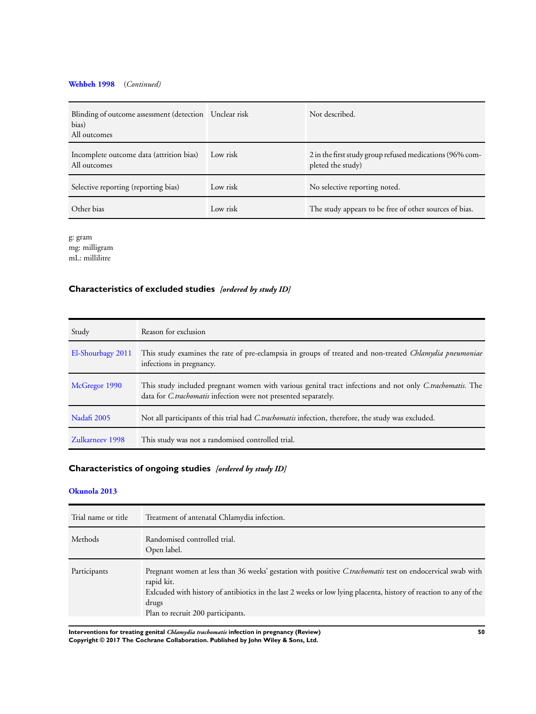## **[Wehbeh 1998](#page-29-0)** (*Continued)*

| Blinding of outcome assessment (detection Unclear risk<br>bias)<br>All outcomes |          | Not described.                                                                |
|---------------------------------------------------------------------------------|----------|-------------------------------------------------------------------------------|
| Incomplete outcome data (attrition bias)<br>All outcomes                        | Low risk | 2 in the first study group refused medications (96% com-<br>pleted the study) |
| Selective reporting (reporting bias)                                            | Low risk | No selective reporting noted.                                                 |
| Other bias                                                                      | Low risk | The study appears to be free of other sources of bias.                        |

g: gram mg: milligram mL: millilitre

## **Characteristics of excluded studies** *[ordered by study ID]*

| Study              | Reason for exclusion                                                                                                                                                                       |
|--------------------|--------------------------------------------------------------------------------------------------------------------------------------------------------------------------------------------|
| El-Shourbagy 2011  | This study examines the rate of pre-eclampsia in groups of treated and non-treated Chlamydia pneumoniae<br>infections in pregnancy.                                                        |
| McGregor 1990      | This study included pregnant women with various genital tract infections and not only <i>C.trachomatis</i> . The<br>data for <i>C.trachomatis</i> infection were not presented separately. |
| <b>Nadafi 2005</b> | Not all participants of this trial had <i>C.trachomatis</i> infection, therefore, the study was excluded.                                                                                  |
| Zulkarneev 1998    | This study was not a randomised controlled trial.                                                                                                                                          |

## **Characteristics of ongoing studies** *[ordered by study ID]*

## **[Okunola 2013](#page-29-0)**

| Trial name or title | Treatment of antenatal Chlamydia infection.                                                                                                                                                                                                                                                        |
|---------------------|----------------------------------------------------------------------------------------------------------------------------------------------------------------------------------------------------------------------------------------------------------------------------------------------------|
| Methods             | Randomised controlled trial.<br>Open label.                                                                                                                                                                                                                                                        |
| Participants        | Pregnant women at less than 36 weeks' gestation with positive <i>C.trachomatis</i> test on endocervical swab with<br>rapid kit.<br>Excluded with history of antibiotics in the last 2 weeks or low lying placenta, history of reaction to any of the<br>drugs<br>Plan to recruit 200 participants. |

**Interventions for treating genital** *Chlamydia trachomatis* **infection in pregnancy (Review) 50 Copyright © 2017 The Cochrane Collaboration. Published by John Wiley & Sons, Ltd.**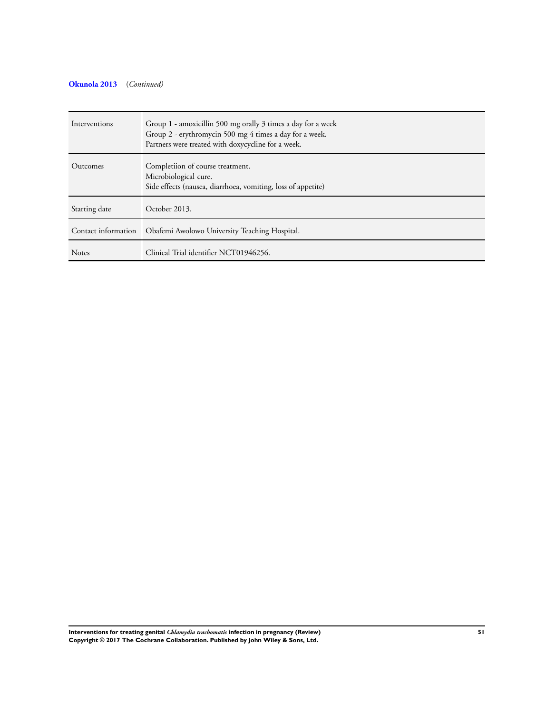## **[Okunola 2013](#page-29-0)** (*Continued)*

| Interventions       | Group 1 - amoxicillin 500 mg orally 3 times a day for a week<br>Group 2 - erythromycin 500 mg 4 times a day for a week.<br>Partners were treated with doxycycline for a week. |
|---------------------|-------------------------------------------------------------------------------------------------------------------------------------------------------------------------------|
| Outcomes            | Completiion of course treatment.<br>Microbiological cure.<br>Side effects (nausea, diarrhoea, vomiting, loss of appetite)                                                     |
| Starting date       | October 2013.                                                                                                                                                                 |
| Contact information | Obafemi Awolowo University Teaching Hospital.                                                                                                                                 |
| <b>Notes</b>        | Clinical Trial identifier NCT01946256.                                                                                                                                        |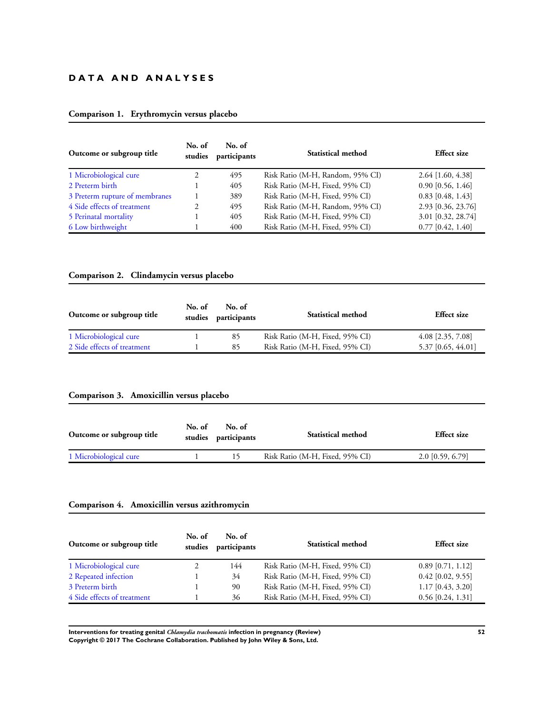## **D A T A A N D A N A L Y S E S**

| Outcome or subgroup title      | No. of<br>studies | No. of<br>participants | <b>Statistical method</b>        | <b>Effect</b> size  |
|--------------------------------|-------------------|------------------------|----------------------------------|---------------------|
| 1 Microbiological cure         |                   | 495                    | Risk Ratio (M-H, Random, 95% CI) | $2.64$ [1.60, 4.38] |
| 2 Preterm birth                |                   | 405                    | Risk Ratio (M-H, Fixed, 95% CI)  | $0.90$ [0.56, 1.46] |
| 3 Preterm rupture of membranes |                   | 389                    | Risk Ratio (M-H, Fixed, 95% CI)  | $0.83$ [0.48, 1.43] |
| 4 Side effects of treatment    | ↑                 | 495                    | Risk Ratio (M-H, Random, 95% CI) | 2.93 [0.36, 23.76]  |
| 5 Perinatal mortality          |                   | 405                    | Risk Ratio (M-H, Fixed, 95% CI)  | 3.01 [0.32, 28.74]  |
| 6 Low birthweight              |                   | 400                    | Risk Ratio (M-H, Fixed, 95% CI)  | $0.77$ [0.42, 1.40] |

## **Comparison 1. Erythromycin versus placebo**

## **Comparison 2. Clindamycin versus placebo**

| Outcome or subgroup title   | No. of | No. of<br>studies participants | <b>Statistical method</b>       | <b>Effect</b> size  |
|-----------------------------|--------|--------------------------------|---------------------------------|---------------------|
| 1 Microbiological cure      |        | 85                             | Risk Ratio (M-H, Fixed, 95% CI) | $4.08$ [2.35, 7.08] |
| 2 Side effects of treatment |        | 85                             | Risk Ratio (M-H, Fixed, 95% CI) | 5.37 [0.65, 44.01]  |

## **Comparison 3. Amoxicillin versus placebo**

| Outcome or subgroup title | No. of | No. of<br>studies participants | <b>Statistical method</b>       | <b>Effect</b> size |
|---------------------------|--------|--------------------------------|---------------------------------|--------------------|
| 1 Microbiological cure    |        |                                | Risk Ratio (M-H, Fixed, 95% CI) | $2.0$ [0.59, 6.79] |

## **Comparison 4. Amoxicillin versus azithromycin**

| Outcome or subgroup title   | No. of<br>studies | No. of<br>participants | <b>Statistical method</b>       | <b>Effect</b> size  |
|-----------------------------|-------------------|------------------------|---------------------------------|---------------------|
| 1 Microbiological cure      |                   | 144                    | Risk Ratio (M-H, Fixed, 95% CI) | $0.89$ [0.71, 1.12] |
| 2 Repeated infection        |                   | 34                     | Risk Ratio (M-H, Fixed, 95% CI) | $0.42$ [0.02, 9.55] |
| 3 Preterm birth             |                   | 90                     | Risk Ratio (M-H, Fixed, 95% CI) | $1.17$ [0.43, 3.20] |
| 4 Side effects of treatment |                   | 36                     | Risk Ratio (M-H, Fixed, 95% CI) | $0.56$ [0.24, 1.31] |

**Interventions for treating genital** *Chlamydia trachomatis* **infection in pregnancy (Review) 52 Copyright © 2017 The Cochrane Collaboration. Published by John Wiley & Sons, Ltd.**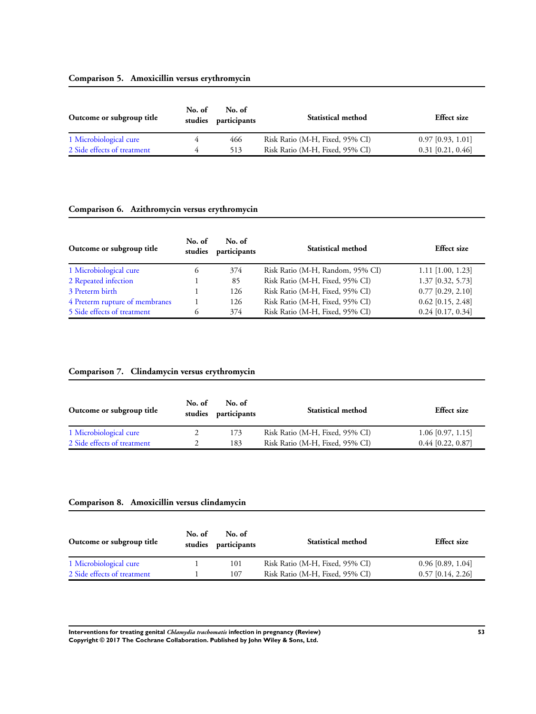## **Comparison 5. Amoxicillin versus erythromycin**

| Outcome or subgroup title   | No. of<br>studies | No. of<br>participants | <b>Statistical method</b>       | Effect size         |
|-----------------------------|-------------------|------------------------|---------------------------------|---------------------|
| 1 Microbiological cure      |                   | 466                    | Risk Ratio (M-H, Fixed, 95% CI) | $0.97$ [0.93, 1.01] |
| 2 Side effects of treatment |                   | 513                    | Risk Ratio (M-H, Fixed, 95% CI) | $0.31$ [0.21, 0.46] |

## **Comparison 6. Azithromycin versus erythromycin**

| Outcome or subgroup title      | No. of<br>studies | No. of<br>participants | <b>Statistical method</b>        | <b>Effect</b> size  |
|--------------------------------|-------------------|------------------------|----------------------------------|---------------------|
| 1 Microbiological cure         | $^{(1)}$          | 374                    | Risk Ratio (M-H, Random, 95% CI) | $1.11$ [1.00, 1.23] |
| 2 Repeated infection           |                   | 85                     | Risk Ratio (M-H, Fixed, 95% CI)  | $1.37$ [0.32, 5.73] |
| 3 Preterm birth                |                   | 126                    | Risk Ratio (M-H, Fixed, 95% CI)  | $0.77$ [0.29, 2.10] |
| 4 Preterm rupture of membranes |                   | 126                    | Risk Ratio (M-H, Fixed, 95% CI)  | $0.62$ [0.15, 2.48] |
| 5 Side effects of treatment    | $^{(1)}$          | 374                    | Risk Ratio (M-H, Fixed, 95% CI)  | $0.24$ [0.17, 0.34] |

## **Comparison 7. Clindamycin versus erythromycin**

| Outcome or subgroup title   | No. of | No. of<br>studies participants | <b>Statistical method</b>       | <b>Effect</b> size  |
|-----------------------------|--------|--------------------------------|---------------------------------|---------------------|
| 1 Microbiological cure      |        | 173                            | Risk Ratio (M-H, Fixed, 95% CI) | $1.06$ [0.97, 1.15] |
| 2 Side effects of treatment |        | 183                            | Risk Ratio (M-H, Fixed, 95% CI) | $0.44$ [0.22, 0.87] |

## **Comparison 8. Amoxicillin versus clindamycin**

| Outcome or subgroup title   | No. of | No. of<br>studies participants | <b>Statistical method</b>       | <b>Effect</b> size  |
|-----------------------------|--------|--------------------------------|---------------------------------|---------------------|
| 1 Microbiological cure      |        | 101                            | Risk Ratio (M-H, Fixed, 95% CI) | $0.96$ [0.89, 1.04] |
| 2 Side effects of treatment |        | 107                            | Risk Ratio (M-H, Fixed, 95% CI) | $0.57$ [0.14, 2.26] |

**Interventions for treating genital** *Chlamydia trachomatis* **infection in pregnancy (Review) 53 Copyright © 2017 The Cochrane Collaboration. Published by John Wiley & Sons, Ltd.**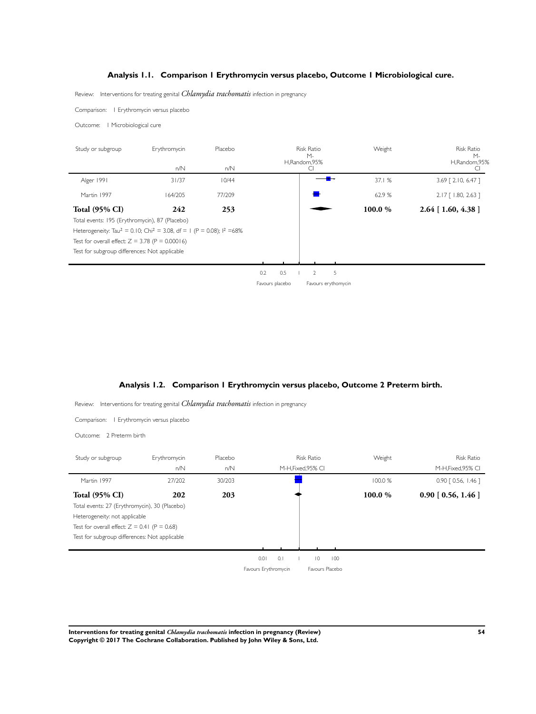## **Analysis 1.1. Comparison 1 Erythromycin versus placebo, Outcome 1 Microbiological cure.**

<span id="page-55-0"></span>Review: Interventions for treating genital *Chlamydia trachomatis* infection in pregnancy

Comparison: 1 Erythromycin versus placebo

Outcome: 1 Microbiological cure

| Study or subgroup                                 | Erythromycin<br>Placebo<br>n/N<br>n/N                                                          |        |                 | <b>Risk Ratio</b><br>$M -$ | Weight | Risk Ratio<br>$M -$   |
|---------------------------------------------------|------------------------------------------------------------------------------------------------|--------|-----------------|----------------------------|--------|-----------------------|
|                                                   |                                                                                                |        |                 | H,Random,95%<br>CI         |        | H,Random,95%<br>CI    |
| Alger 1991                                        | 31/37                                                                                          | 10/44  |                 | $\blacksquare$             | 37.1 % | 3.69 [ 2.10, 6.47 ]   |
| Martin 1997                                       | 164/205                                                                                        | 77/209 |                 |                            | 62.9%  | 2.17 [ 1.80, 2.63 ]   |
| <b>Total (95% CI)</b>                             | 242                                                                                            | 253    |                 |                            | 100.0% | $2.64$ [ 1.60, 4.38 ] |
| Total events: 195 (Erythromycin), 87 (Placebo)    |                                                                                                |        |                 |                            |        |                       |
|                                                   | Heterogeneity: Tau <sup>2</sup> = 0.10; Chi <sup>2</sup> = 3.08, df = 1 (P = 0.08); $1^2$ =68% |        |                 |                            |        |                       |
| Test for overall effect: $Z = 3.78$ (P = 0.00016) |                                                                                                |        |                 |                            |        |                       |
| Test for subgroup differences: Not applicable     |                                                                                                |        |                 |                            |        |                       |
|                                                   |                                                                                                |        |                 |                            |        |                       |
|                                                   |                                                                                                |        | 0.5<br>0.2      | 5<br>$\overline{2}$        |        |                       |
|                                                   |                                                                                                |        | Favours placebo | Favours erythomycin        |        |                       |
|                                                   |                                                                                                |        |                 |                            |        |                       |
|                                                   |                                                                                                |        |                 |                            |        |                       |
|                                                   |                                                                                                |        |                 |                            |        |                       |
|                                                   |                                                                                                |        |                 |                            |        |                       |



Review: Interventions for treating genital *Chlamydia trachomatis* infection in pregnancy

| Comparison:                                    | I Erythromycin versus placebo |                |                      |     |                                         |     |         |                                         |
|------------------------------------------------|-------------------------------|----------------|----------------------|-----|-----------------------------------------|-----|---------|-----------------------------------------|
| Outcome: 2 Preterm birth                       |                               |                |                      |     |                                         |     |         |                                         |
| Study or subgroup                              | Erythromycin<br>n/N           | Placebo<br>n/N |                      |     | <b>Risk Ratio</b><br>M-H, Fixed, 95% CI |     | Weight  | <b>Risk Ratio</b><br>M-H, Fixed, 95% CI |
| Martin 1997                                    | 27/202                        | 30/203         |                      |     |                                         |     | 100.0 % | $0.90$ $[0.56, 1.46]$                   |
| <b>Total (95% CI)</b>                          | 202                           | 203            |                      |     |                                         |     | 100.0 % | $0.90$ [ $0.56$ , 1.46 ]                |
| Total events: 27 (Erythromycin), 30 (Placebo)  |                               |                |                      |     |                                         |     |         |                                         |
| Heterogeneity: not applicable                  |                               |                |                      |     |                                         |     |         |                                         |
| Test for overall effect: $Z = 0.41$ (P = 0.68) |                               |                |                      |     |                                         |     |         |                                         |
| Test for subgroup differences: Not applicable  |                               |                |                      |     |                                         |     |         |                                         |
|                                                |                               |                |                      |     |                                         |     |         |                                         |
|                                                |                               |                | 0.01                 | 0.1 | $\overline{0}$                          | 100 |         |                                         |
|                                                |                               |                | Favours Erythromycin |     | Favours Placebo                         |     |         |                                         |
|                                                |                               |                |                      |     |                                         |     |         |                                         |
|                                                |                               |                |                      |     |                                         |     |         |                                         |
|                                                |                               |                |                      |     |                                         |     |         |                                         |

**Interventions for treating genital** *Chlamydia trachomatis* **infection in pregnancy (Review) 54 Copyright © 2017 The Cochrane Collaboration. Published by John Wiley & Sons, Ltd.**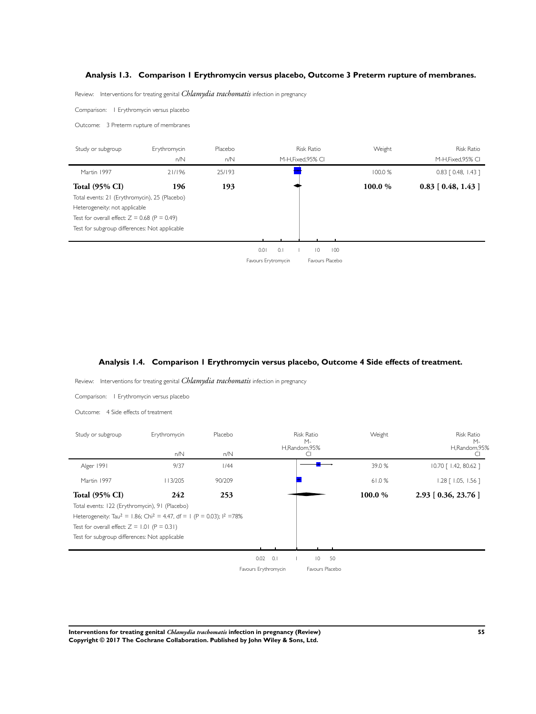### <span id="page-56-0"></span>**Analysis 1.3. Comparison 1 Erythromycin versus placebo, Outcome 3 Preterm rupture of membranes.**

Review: Interventions for treating genital *Chlamydia trachomatis* infection in pregnancy

Comparison: 1 Erythromycin versus placebo

Outcome: 3 Preterm rupture of membranes



#### **Analysis 1.4. Comparison 1 Erythromycin versus placebo, Outcome 4 Side effects of treatment.**

Review: Interventions for treating genital *Chlamydia trachomatis* infection in pregnancy Comparison: 1 Erythromycin versus placebo Outcome: 4 Side effects of treatment Study or subgroup Erythromycin Placebo Risk Ratio Neight Weight Risk Ratio Risk Ratio n/N n/N M-H,Random,95% CI M-H,Random,95% Alger 1991 9937 9937 1/44 1/44 1/45 139.0 10.70 [ 1.42, 80.62 ] Martin 1997 113/205 90/209 12.28 [ 1.05, 1.56 ] **Total (95% CI)** 242 253 100.0 % 2.93 [ 0.36, 23.76 ] Total events: 122 (Erythromycin), 91 (Placebo) Heterogeneity: Tau<sup>2</sup> = 1.86; Chi<sup>2</sup> = 4.47, df = 1 (P = 0.03); l<sup>2</sup> =78% Test for overall effect:  $Z = 1.01$  (P = 0.31) Test for subgroup differences: Not applicable  $0.02 \quad 0.1 \quad 10.50$ Favours Erythromycin Favours Placebo

**Interventions for treating genital** *Chlamydia trachomatis* **infection in pregnancy (Review) 55 Copyright © 2017 The Cochrane Collaboration. Published by John Wiley & Sons, Ltd.**

CI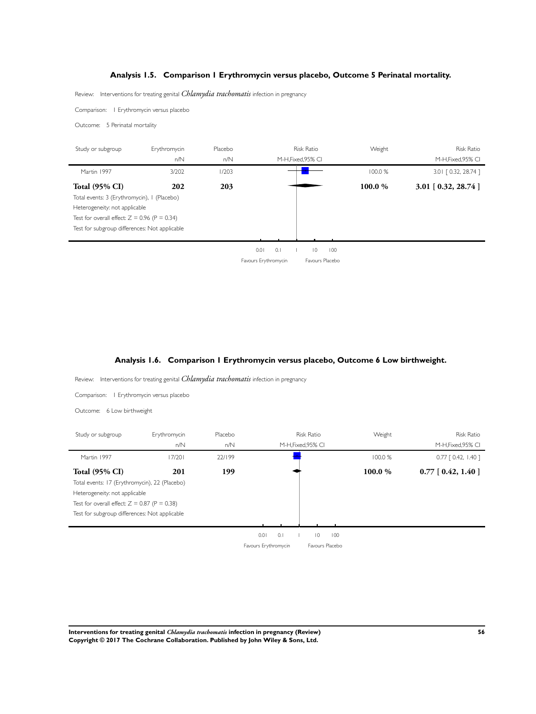## **Analysis 1.5. Comparison 1 Erythromycin versus placebo, Outcome 5 Perinatal mortality.**

<span id="page-57-0"></span>Review: Interventions for treating genital *Chlamydia trachomatis* infection in pregnancy

Comparison: 1 Erythromycin versus placebo

Outcome: 5 Perinatal mortality



### **Analysis 1.6. Comparison 1 Erythromycin versus placebo, Outcome 6 Low birthweight.**

Review: Interventions for treating genital *Chlamydia trachomatis* infection in pregnancy

| Comparison: |  | I Erythromycin versus placebo |  |  |
|-------------|--|-------------------------------|--|--|
|-------------|--|-------------------------------|--|--|

#### Outcome: 6 Low birthweight

| Study or subgroup                                                                                                                                                                                          | Erythromycin<br>n/N | Placebo<br>n/N | <b>Risk Ratio</b><br>M-H, Fixed, 95% CI                                         | Weight  | Risk Ratio<br>M-H, Fixed, 95% CI |
|------------------------------------------------------------------------------------------------------------------------------------------------------------------------------------------------------------|---------------------|----------------|---------------------------------------------------------------------------------|---------|----------------------------------|
| Martin 1997                                                                                                                                                                                                | 17/201              | 22/199         |                                                                                 | 100.0 % | $0.77$ $[0.42, 1.40]$            |
| <b>Total (95% CI)</b><br>Total events: 17 (Erythromycin), 22 (Placebo)<br>Heterogeneity: not applicable<br>Test for overall effect: $Z = 0.87$ (P = 0.38)<br>Test for subgroup differences: Not applicable | <b>201</b>          | 199            |                                                                                 | 100.0 % | $0.77$ [ $0.42$ , 1.40 ]         |
|                                                                                                                                                                                                            |                     |                | 0.1<br>0.01<br>$\overline{0}$<br>100<br>Favours Erythromycin<br>Favours Placebo |         |                                  |

**Interventions for treating genital** *Chlamydia trachomatis* **infection in pregnancy (Review) 56 Copyright © 2017 The Cochrane Collaboration. Published by John Wiley & Sons, Ltd.**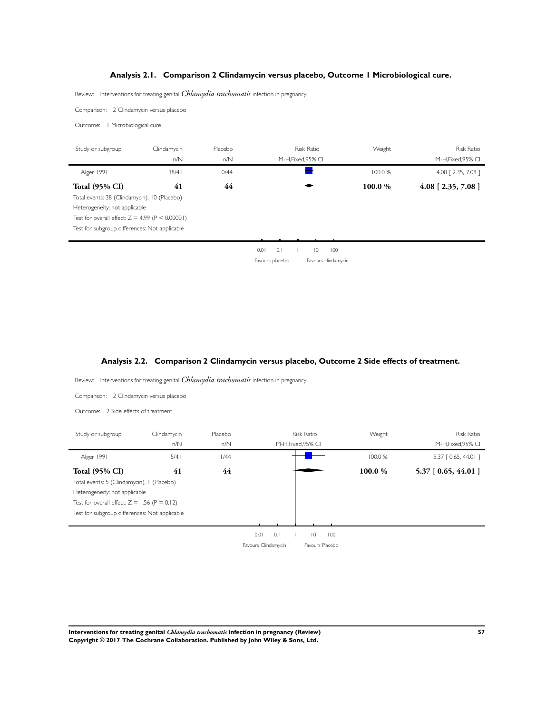## **Analysis 2.1. Comparison 2 Clindamycin versus placebo, Outcome 1 Microbiological cure.**

<span id="page-58-0"></span>Review: Interventions for treating genital *Chlamydia trachomatis* infection in pregnancy

Comparison: 2 Clindamycin versus placebo

Outcome: 1 Microbiological cure



#### **Analysis 2.2. Comparison 2 Clindamycin versus placebo, Outcome 2 Side effects of treatment.**

Review: Interventions for treating genital *Chlamydia trachomatis* infection in pregnancy

| Comparison: 2 Clindamycin versus placebo                                                                                                                                                                |                    |                |                                                                         |         |                                  |
|---------------------------------------------------------------------------------------------------------------------------------------------------------------------------------------------------------|--------------------|----------------|-------------------------------------------------------------------------|---------|----------------------------------|
| Outcome: 2 Side effects of treatment                                                                                                                                                                    |                    |                |                                                                         |         |                                  |
| Study or subgroup                                                                                                                                                                                       | Clindamycin<br>n/N | Placebo<br>n/N | Risk Ratio<br>M-H, Fixed, 95% CI                                        | Weight  | Risk Ratio<br>M-H, Fixed, 95% CI |
| Alger 1991                                                                                                                                                                                              | 5/4                | 1/44           |                                                                         | 100.0 % | 5.37 [0.65, 44.01]               |
| <b>Total (95% CI)</b><br>Total events: 5 (Clindamycin), 1 (Placebo)<br>Heterogeneity: not applicable<br>Test for overall effect: $Z = 1.56$ (P = 0.12)<br>Test for subgroup differences: Not applicable | 41                 | 44             |                                                                         | 100.0%  | 5.37 [0.65, 44.01]               |
|                                                                                                                                                                                                         |                    |                | 0.1<br>0.01<br>$\overline{0}$<br>Favours Clindamycin<br>Favours Placebo | 100     |                                  |

**Interventions for treating genital** *Chlamydia trachomatis* **infection in pregnancy (Review) 57 Copyright © 2017 The Cochrane Collaboration. Published by John Wiley & Sons, Ltd.**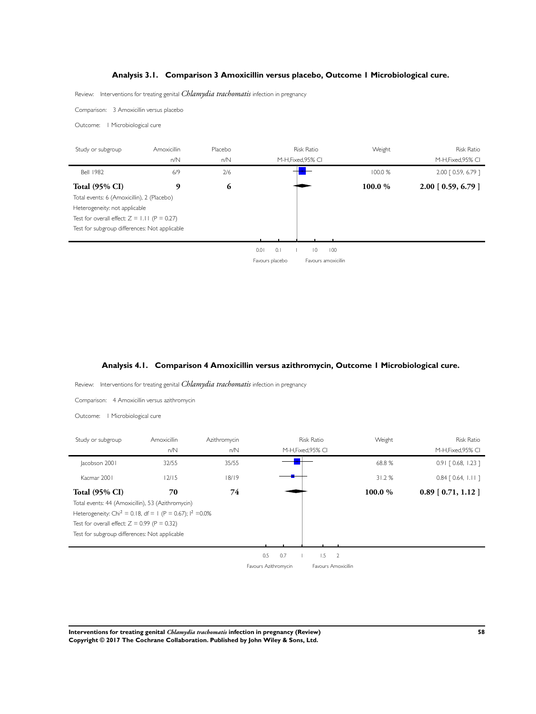## **Analysis 3.1. Comparison 3 Amoxicillin versus placebo, Outcome 1 Microbiological cure.**

<span id="page-59-0"></span>Review: Interventions for treating genital *Chlamydia trachomatis* infection in pregnancy

Comparison: 3 Amoxicillin versus placebo

Outcome: 1 Microbiological cure



## **Analysis 4.1. Comparison 4 Amoxicillin versus azithromycin, Outcome 1 Microbiological cure.**

Review: Interventions for treating genital *Chlamydia trachomatis* infection in pregnancy

Comparison: 4 Amoxicillin versus azithromycin

Outcome: 1 Microbiological cure

| Study or subgroup                                                      | Amoxicillin | Azithromycin |                      |     | <b>Risk Ratio</b>  |     |                     | Weight | <b>Risk Ratio</b>        |
|------------------------------------------------------------------------|-------------|--------------|----------------------|-----|--------------------|-----|---------------------|--------|--------------------------|
|                                                                        | n/N         | n/N          |                      |     | M-H, Fixed, 95% CI |     |                     |        | M-H, Fixed, 95% CI       |
| Jacobson 2001                                                          | 32/55       | 35/55        |                      |     |                    |     |                     | 68.8%  | $0.91$ $[0.68, 1.23]$    |
| Kacmar 2001                                                            | 12/15       | 18/19        |                      |     |                    |     |                     | 31.2%  | $0.84$ $[0.64, 1.11]$    |
| <b>Total (95% CI)</b>                                                  | 70          | 74           |                      |     |                    |     |                     | 100.0% | $0.89$ [ $0.71$ , 1.12 ] |
| Total events: 44 (Amoxicillin), 53 (Azithromycin)                      |             |              |                      |     |                    |     |                     |        |                          |
| Heterogeneity: Chi <sup>2</sup> = 0.18, df = 1 (P = 0.67); $1^2$ =0.0% |             |              |                      |     |                    |     |                     |        |                          |
| Test for overall effect: $Z = 0.99$ (P = 0.32)                         |             |              |                      |     |                    |     |                     |        |                          |
| Test for subgroup differences: Not applicable                          |             |              |                      |     |                    |     |                     |        |                          |
|                                                                        |             |              |                      |     |                    |     |                     |        |                          |
|                                                                        |             |              | 0.5                  | 0.7 |                    | 1.5 | $\overline{2}$      |        |                          |
|                                                                        |             |              | Favours Azithromycin |     |                    |     | Favours Amoxicillin |        |                          |
|                                                                        |             |              |                      |     |                    |     |                     |        |                          |

**Interventions for treating genital** *Chlamydia trachomatis* **infection in pregnancy (Review) 58 Copyright © 2017 The Cochrane Collaboration. Published by John Wiley & Sons, Ltd.**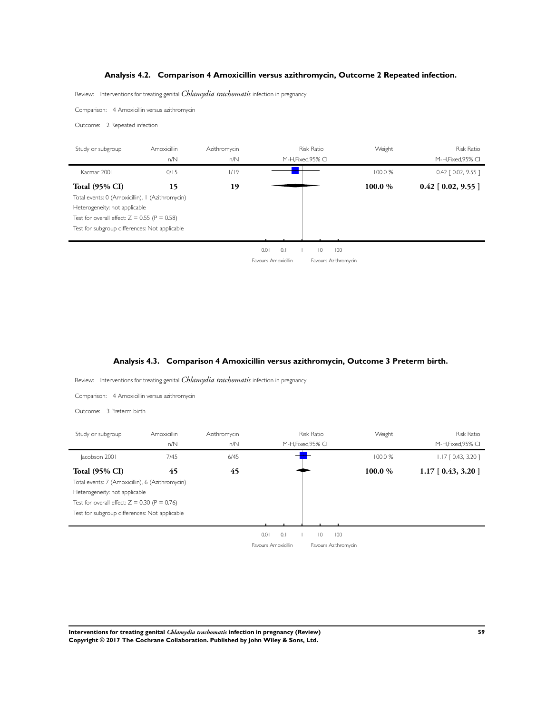## **Analysis 4.2. Comparison 4 Amoxicillin versus azithromycin, Outcome 2 Repeated infection.**

<span id="page-60-0"></span>Review: Interventions for treating genital *Chlamydia trachomatis* infection in pregnancy

Comparison: 4 Amoxicillin versus azithromycin

Outcome: 2 Repeated infection



#### **Analysis 4.3. Comparison 4 Amoxicillin versus azithromycin, Outcome 3 Preterm birth.**

Review: Interventions for treating genital *Chlamydia trachomatis* infection in pregnancy

Comparison: 4 Amoxicillin versus azithromycin

Outcome: 3 Preterm birth

| Study or subgroup                               | Amoxicillin | Azithromycin |                     |     | <b>Risk Ratio</b> |                      | Weight | Risk Ratio            |
|-------------------------------------------------|-------------|--------------|---------------------|-----|-------------------|----------------------|--------|-----------------------|
|                                                 | n/N         | n/N          |                     |     | M-H.Fixed.95% CI  |                      |        | M-H, Fixed, 95% CI    |
| Jacobson 2001                                   | 7/45        | 6/45         |                     |     |                   |                      | 100.0% | $1.17$ $[0.43, 3.20]$ |
| <b>Total (95% CI)</b>                           | 45          | 45           |                     |     |                   |                      | 100.0% | $1.17$ [ 0.43, 3.20 ] |
| Total events: 7 (Amoxicillin), 6 (Azithromycin) |             |              |                     |     |                   |                      |        |                       |
| Heterogeneity: not applicable                   |             |              |                     |     |                   |                      |        |                       |
| Test for overall effect: $Z = 0.30$ (P = 0.76)  |             |              |                     |     |                   |                      |        |                       |
| Test for subgroup differences: Not applicable   |             |              |                     |     |                   |                      |        |                       |
|                                                 |             |              |                     |     |                   |                      |        |                       |
|                                                 |             |              | 0.01                | 0.1 | $\overline{0}$    | 100                  |        |                       |
|                                                 |             |              | Favours Amoxicillin |     |                   | Favours Azithromycin |        |                       |
|                                                 |             |              |                     |     |                   |                      |        |                       |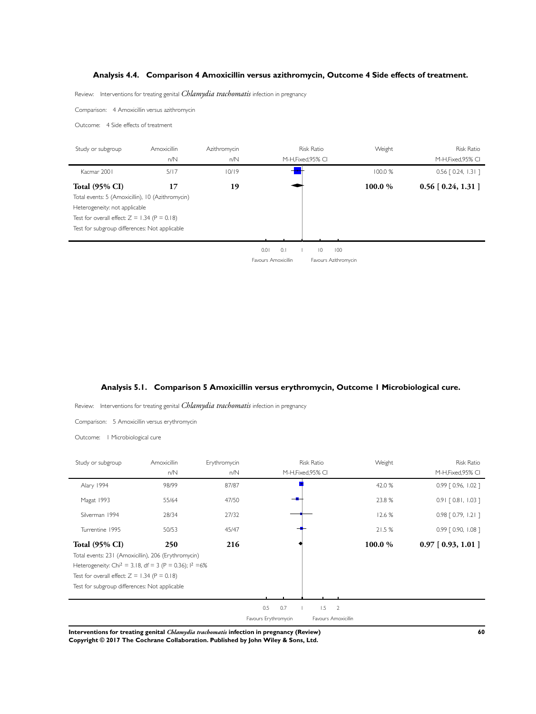## **Analysis 4.4. Comparison 4 Amoxicillin versus azithromycin, Outcome 4 Side effects of treatment.**

<span id="page-61-0"></span>Review: Interventions for treating genital *Chlamydia trachomatis* infection in pregnancy

Comparison: 4 Amoxicillin versus azithromycin

Outcome: 4 Side effects of treatment

| Study or subgroup                                | Amoxicillin<br>Azithromycin |       | <b>Risk Ratio</b>   |     | Weight           | <b>Risk Ratio</b>    |         |                          |
|--------------------------------------------------|-----------------------------|-------|---------------------|-----|------------------|----------------------|---------|--------------------------|
|                                                  | n/N                         | n/N   |                     |     | M-H.Fixed.95% CI |                      |         | M-H, Fixed, 95% CI       |
| Kacmar 2001                                      | 5/17                        | 10/19 |                     |     |                  |                      | 100.0 % | $0.56$ $[0.24, 1.31]$    |
| <b>Total (95% CI)</b>                            | 17                          | 19    |                     |     |                  |                      | 100.0%  | $0.56$ [ $0.24$ , 1.31 ] |
| Total events: 5 (Amoxicillin), 10 (Azithromycin) |                             |       |                     |     |                  |                      |         |                          |
| Heterogeneity: not applicable                    |                             |       |                     |     |                  |                      |         |                          |
| Test for overall effect: $Z = 1.34$ (P = 0.18)   |                             |       |                     |     |                  |                      |         |                          |
| Test for subgroup differences: Not applicable    |                             |       |                     |     |                  |                      |         |                          |
|                                                  |                             |       |                     |     |                  |                      |         |                          |
|                                                  |                             |       | 0.01                | 0.1 | $\overline{0}$   | 100                  |         |                          |
|                                                  |                             |       | Favours Amoxicillin |     |                  | Favours Azithromycin |         |                          |

#### **Analysis 5.1. Comparison 5 Amoxicillin versus erythromycin, Outcome 1 Microbiological cure.**

Review: Interventions for treating genital *Chlamydia trachomatis* infection in pregnancy

Comparison: 5 Amoxicillin versus erythromycin

Outcome: 1 Microbiological cure

| Study or subgroup                                                    | Amoxicillin | Erythromycin |                      |                    | <b>Risk Ratio</b>   |                | Weight | <b>Risk Ratio</b>     |
|----------------------------------------------------------------------|-------------|--------------|----------------------|--------------------|---------------------|----------------|--------|-----------------------|
|                                                                      | n/N         | n/N          |                      | M-H, Fixed, 95% CI |                     |                |        | M-H, Fixed, 95% CI    |
| Alary 1994                                                           | 98/99       | 87/87        |                      |                    |                     |                | 42.0 % | $0.99$ $[0.96, 1.02]$ |
| Magat 1993                                                           | 55/64       | 47/50        |                      |                    |                     |                | 23.8 % | $0.91$ $[0.81, 1.03]$ |
| Silverman 1994                                                       | 28/34       | 27/32        |                      |                    |                     |                | 12.6%  | $0.98$ $[0.79, 1.21]$ |
| Turrentine 1995                                                      | 50/53       | 45/47        |                      |                    |                     |                | 21.5 % | $0.99$ $[0.90, 1.08]$ |
| <b>Total (95% CI)</b>                                                | 250         | 216          |                      |                    |                     |                | 100.0% | $0.97$ [ 0.93, 1.01 ] |
| Total events: 231 (Amoxicillin), 206 (Erythromycin)                  |             |              |                      |                    |                     |                |        |                       |
| Heterogeneity: Chi <sup>2</sup> = 3.18, df = 3 (P = 0.36); $1^2$ =6% |             |              |                      |                    |                     |                |        |                       |
| Test for overall effect: $Z = 1.34$ (P = 0.18)                       |             |              |                      |                    |                     |                |        |                       |
| Test for subgroup differences: Not applicable                        |             |              |                      |                    |                     |                |        |                       |
|                                                                      |             |              |                      |                    |                     |                |        |                       |
|                                                                      |             |              | 0.5                  | 0.7                | 1.5                 | $\overline{2}$ |        |                       |
|                                                                      |             |              | Favours Erythromycin |                    | Favours Amoxicillin |                |        |                       |

**Interventions for treating genital** *Chlamydia trachomatis* **infection in pregnancy (Review) 60 Copyright © 2017 The Cochrane Collaboration. Published by John Wiley & Sons, Ltd.**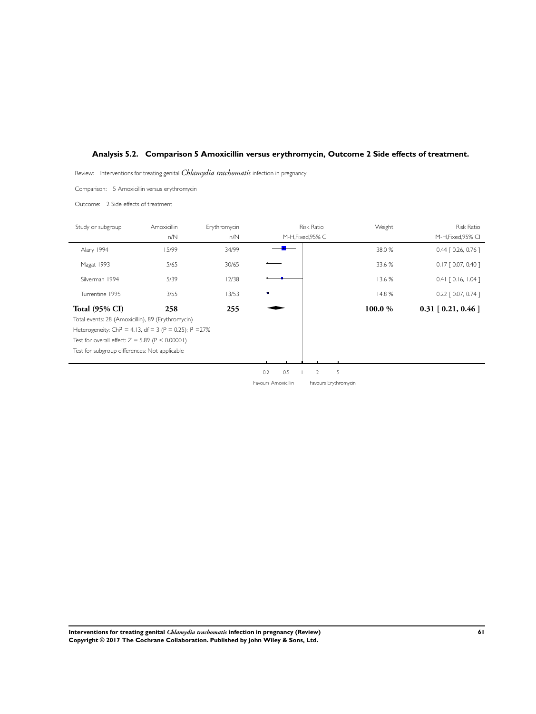## <span id="page-62-0"></span>**Analysis 5.2. Comparison 5 Amoxicillin versus erythromycin, Outcome 2 Side effects of treatment.**

Review: Interventions for treating genital *Chlamydia trachomatis* infection in pregnancy

Comparison: 5 Amoxicillin versus erythromycin

Outcome: 2 Side effects of treatment

| Study or subgroup                                                                                                                                                                                                                 | Amoxicillin | Erythromycin |                     | Risk Ratio           | Weight     | Risk Ratio              |
|-----------------------------------------------------------------------------------------------------------------------------------------------------------------------------------------------------------------------------------|-------------|--------------|---------------------|----------------------|------------|-------------------------|
|                                                                                                                                                                                                                                   | $n/N$       | $n/N$        |                     | M-H,Fixed,95% Cl     |            | M-H,Fixed,95% Cl        |
| Alary 1994                                                                                                                                                                                                                        | 15/99       | 34/99        | H                   |                      | 38.0%      | $0.44$ $[ 0.26, 0.76 ]$ |
| Magat 1993                                                                                                                                                                                                                        | 5/65        | 30/65        |                     |                      | 33.6 %     | $0.17$ [ 0.07, 0.40 ]   |
| Silverman 1994                                                                                                                                                                                                                    | 5/39        | 12/38        |                     |                      | 13.6 %     | $0.41$ [ 0.16, 1.04 ]   |
| Turrentine 1995                                                                                                                                                                                                                   | 3/55        | 13/53        |                     |                      | $14.8~\%$  | 0.22 [ 0.07, 0.74 ]     |
| <b>Total (95% CI)</b>                                                                                                                                                                                                             | 258         | 255          |                     |                      | $100.0 \%$ | $0.31$ [ $0.21, 0.46$ ] |
| Total events: 28 (Amoxicillin), 89 (Erythromycin)<br>Heterogeneity: Chi <sup>2</sup> = 4.13, df = 3 (P = 0.25); $1^2$ = 27%<br>Test for overall effect: $Z = 5.89$ (P < 0.00001)<br>Test for subgroup differences: Not applicable |             |              |                     |                      |            |                         |
|                                                                                                                                                                                                                                   |             |              | 0.2<br>$0.5\,$      | $\sqrt{2}$<br>5      |            |                         |
|                                                                                                                                                                                                                                   |             |              | Favours Amoxicillin | Favours Erythromycin |            |                         |
|                                                                                                                                                                                                                                   |             |              |                     |                      |            |                         |
|                                                                                                                                                                                                                                   |             |              |                     |                      |            |                         |
|                                                                                                                                                                                                                                   |             |              |                     |                      |            |                         |
|                                                                                                                                                                                                                                   |             |              |                     |                      |            |                         |
|                                                                                                                                                                                                                                   |             |              |                     |                      |            |                         |
|                                                                                                                                                                                                                                   |             |              |                     |                      |            |                         |
|                                                                                                                                                                                                                                   |             |              |                     |                      |            |                         |
|                                                                                                                                                                                                                                   |             |              |                     |                      |            |                         |
|                                                                                                                                                                                                                                   |             |              |                     |                      |            |                         |
|                                                                                                                                                                                                                                   |             |              |                     |                      |            |                         |
|                                                                                                                                                                                                                                   |             |              |                     |                      |            |                         |
|                                                                                                                                                                                                                                   |             |              |                     |                      |            |                         |
|                                                                                                                                                                                                                                   |             |              |                     |                      |            |                         |
|                                                                                                                                                                                                                                   |             |              |                     |                      |            |                         |
|                                                                                                                                                                                                                                   |             |              |                     |                      |            |                         |
|                                                                                                                                                                                                                                   |             |              |                     |                      |            |                         |
|                                                                                                                                                                                                                                   |             |              |                     |                      |            |                         |
|                                                                                                                                                                                                                                   |             |              |                     |                      |            |                         |
|                                                                                                                                                                                                                                   |             |              |                     |                      |            |                         |

**Interventions for treating genital** *Chlamydia trachomatis* **infection in pregnancy (Review) 61 Copyright © 2017 The Cochrane Collaboration. Published by John Wiley & Sons, Ltd.**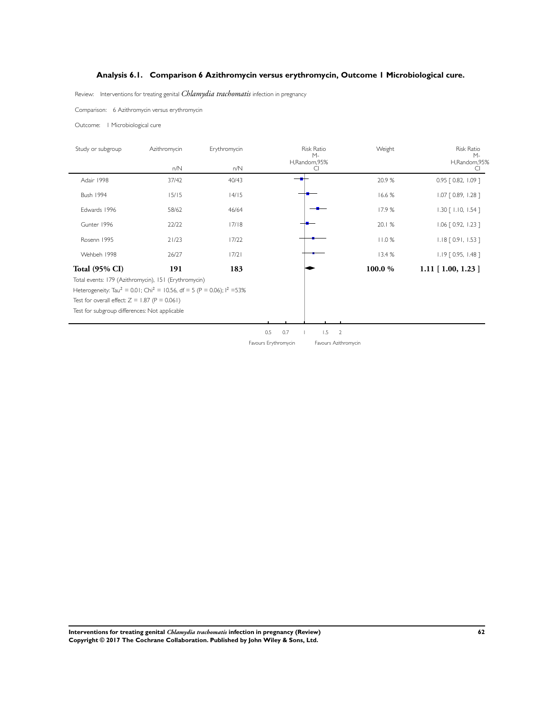## **Analysis 6.1. Comparison 6 Azithromycin versus erythromycin, Outcome 1 Microbiological cure.**

<span id="page-63-0"></span>Review: Interventions for treating genital *Chlamydia trachomatis* infection in pregnancy

Comparison: 6 Azithromycin versus erythromycin

Outcome: 1 Microbiological cure

| Study or subgroup                                                                                | Azithromycin | Erythromycin |     |     | <b>Risk Ratio</b><br>$M -$<br>H,Random,95% | Weight | <b>Risk Ratio</b><br>$M -$<br>H,Random,95% |
|--------------------------------------------------------------------------------------------------|--------------|--------------|-----|-----|--------------------------------------------|--------|--------------------------------------------|
|                                                                                                  | n/N          | n/N          |     |     | CI                                         |        |                                            |
| Adair 1998                                                                                       | 37/42        | 40/43        |     |     |                                            | 20.9%  | 0.95 [ 0.82, 1.09 ]                        |
| <b>Bush 1994</b>                                                                                 | 15/15        | 14/15        |     |     |                                            | 16.6 % | 1.07 [ 0.89, 1.28 ]                        |
| Edwards 1996                                                                                     | 58/62        | 46/64        |     |     |                                            | 17.9%  | $1.30$ $[$ $1.10$ , $1.54$ $]$             |
| Gunter 1996                                                                                      | 22/22        | 17/18        |     |     |                                            | 20.1%  | $1.06$ $[0.92, 1.23]$                      |
| Rosenn 1995                                                                                      | 21/23        | 17/22        |     |     |                                            | 11.0%  | $1.18$ $[0.91, 1.53]$                      |
| Wehbeh 1998                                                                                      | 26/27        | 17/21        |     |     |                                            | 13.4 % | $1.19$ $[0.95, 1.48]$                      |
| <b>Total (95% CI)</b>                                                                            | 191          | 183          |     |     |                                            | 100.0% | $1.11$ [ 1.00, 1.23 ]                      |
| Total events: 179 (Azithromycin), 151 (Erythromycin)                                             |              |              |     |     |                                            |        |                                            |
| Heterogeneity: Tau <sup>2</sup> = 0.01; Chi <sup>2</sup> = 10.56, df = 5 (P = 0.06); $1^2$ = 53% |              |              |     |     |                                            |        |                                            |
| Test for overall effect: $Z = 1.87$ (P = 0.061)                                                  |              |              |     |     |                                            |        |                                            |
| Test for subgroup differences: Not applicable                                                    |              |              |     |     |                                            |        |                                            |
|                                                                                                  |              |              |     |     |                                            |        |                                            |
|                                                                                                  |              |              | 0.5 | 0.7 | 1.5<br>2                                   |        |                                            |

Favours Erythromycin Favours Azithromycin

**Interventions for treating genital** *Chlamydia trachomatis* **infection in pregnancy (Review) 62 Copyright © 2017 The Cochrane Collaboration. Published by John Wiley & Sons, Ltd.**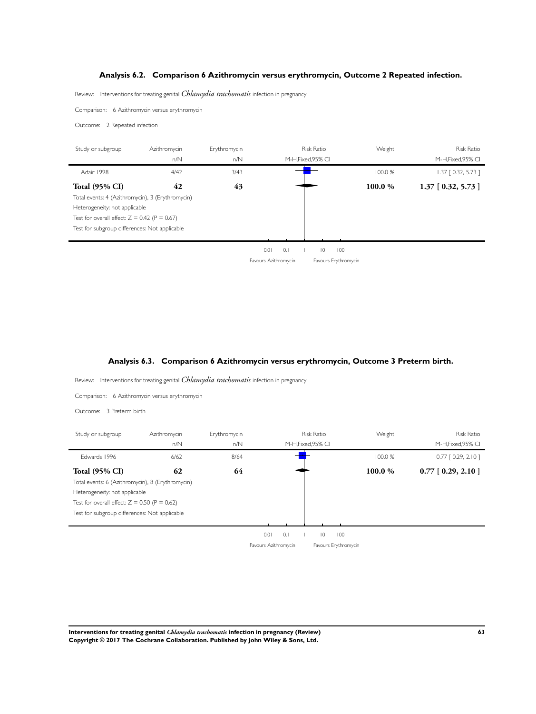## **Analysis 6.2. Comparison 6 Azithromycin versus erythromycin, Outcome 2 Repeated infection.**

<span id="page-64-0"></span>Review: Interventions for treating genital *Chlamydia trachomatis* infection in pregnancy

Comparison: 6 Azithromycin versus erythromycin

Outcome: 2 Repeated infection



#### **Analysis 6.3. Comparison 6 Azithromycin versus erythromycin, Outcome 3 Preterm birth.**

| Review: Interventions for treating genital <i>Chlamydia trachomatis</i> infection in pregnancy                                                                                                                                                                                                                                   |                     |                     |                                              |         |                                         |
|----------------------------------------------------------------------------------------------------------------------------------------------------------------------------------------------------------------------------------------------------------------------------------------------------------------------------------|---------------------|---------------------|----------------------------------------------|---------|-----------------------------------------|
| Comparison: 6 Azithromycin versus erythromycin                                                                                                                                                                                                                                                                                   |                     |                     |                                              |         |                                         |
| Outcome: 3 Preterm birth                                                                                                                                                                                                                                                                                                         |                     |                     |                                              |         |                                         |
| Study or subgroup                                                                                                                                                                                                                                                                                                                | Azithromycin<br>n/N | Erythromycin<br>n/N | <b>Risk Ratio</b><br>M-H, Fixed, 95% CI      | Weight  | <b>Risk Ratio</b><br>M-H, Fixed, 95% CI |
| Edwards 1996                                                                                                                                                                                                                                                                                                                     | 6/62                | 8/64                |                                              | 100.0 % | $0.77$ $[0.29, 2.10]$                   |
| <b>Total (95% CI)</b>                                                                                                                                                                                                                                                                                                            | 62                  | 64                  |                                              | 100.0%  | $0.77$ [ $0.29$ , $2.10$ ]              |
| Total events: 6 (Azithromycin), 8 (Erythromycin)                                                                                                                                                                                                                                                                                 |                     |                     |                                              |         |                                         |
| Heterogeneity: not applicable                                                                                                                                                                                                                                                                                                    |                     |                     |                                              |         |                                         |
| Test for overall effect: $Z = 0.50$ (P = 0.62)                                                                                                                                                                                                                                                                                   |                     |                     |                                              |         |                                         |
| Test for subgroup differences: Not applicable                                                                                                                                                                                                                                                                                    |                     |                     |                                              |         |                                         |
|                                                                                                                                                                                                                                                                                                                                  |                     |                     |                                              |         |                                         |
|                                                                                                                                                                                                                                                                                                                                  |                     |                     | 100<br>0.01<br>0.1<br>$ 0\rangle$            |         |                                         |
|                                                                                                                                                                                                                                                                                                                                  |                     |                     | Favours Azithromycin<br>Favours Erythromycin |         |                                         |
|                                                                                                                                                                                                                                                                                                                                  |                     |                     |                                              |         |                                         |
|                                                                                                                                                                                                                                                                                                                                  |                     |                     |                                              |         |                                         |
|                                                                                                                                                                                                                                                                                                                                  |                     |                     |                                              |         |                                         |
|                                                                                                                                                                                                                                                                                                                                  |                     |                     |                                              |         |                                         |
|                                                                                                                                                                                                                                                                                                                                  |                     |                     |                                              |         |                                         |
|                                                                                                                                                                                                                                                                                                                                  |                     |                     |                                              |         |                                         |
|                                                                                                                                                                                                                                                                                                                                  |                     |                     |                                              |         |                                         |
| $lution$ $for$ $f$ $or$ $f$ $or$ $f$ $or$ $f$ $or$ $f$ $or$ $f$ $or$ $f$ $or$ $f$ $or$ $f$ $or$ $f$ $or$ $f$ $or$ $f$ $or$ $f$ $or$ $f$ $or$ $f$ $or$ $f$ $or$ $f$ $or$ $f$ $or$ $f$ $or$ $f$ $or$ $f$ $or$ $f$ $or$ $f$ $or$ $f$ $or$ $f$ $or$ $f$ $or$ $f$ $or$ $f$ $or$ $f$ $or$ $f$ $or$ $f$ $or$ $f$ $or$ $f$ $or$ $f$ $or$ |                     |                     |                                              |         | 47                                      |

**Interventions for treating genital** *Chlamydia trachomatis* **infection in pregnancy (Review) 63 Copyright © 2017 The Cochrane Collaboration. Published by John Wiley & Sons, Ltd.**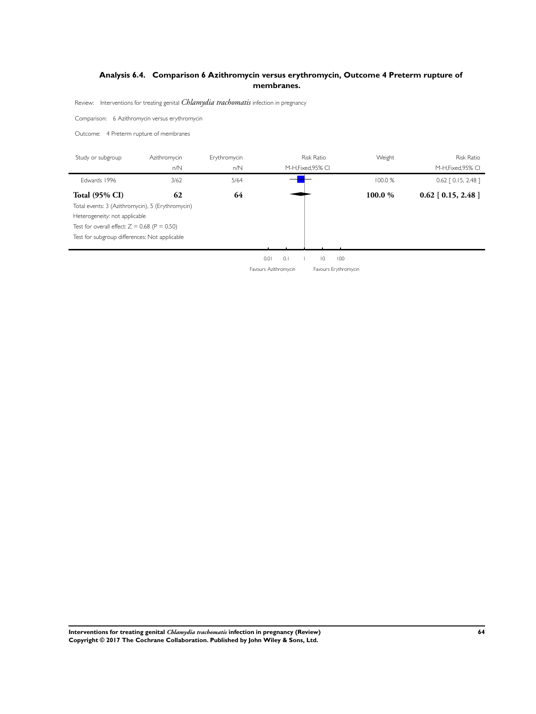## **Analysis 6.4. Comparison 6 Azithromycin versus erythromycin, Outcome 4 Preterm rupture of membranes.**

Review: Interventions for treating genital *Chlamydia trachomatis* infection in pregnancy

Comparison: 6 Azithromycin versus erythromycin

Outcome: 4 Preterm rupture of membranes

| Study or subgroup                                | Azithromycin | Erythromycin | <b>Risk Ratio</b>    |                      | Weight  | <b>Risk Ratio</b>     |  |
|--------------------------------------------------|--------------|--------------|----------------------|----------------------|---------|-----------------------|--|
|                                                  | n/N          | n/N          |                      | M-H, Fixed, 95% CI   |         | M-H, Fixed, 95% CI    |  |
| Edwards 1996                                     | 3/62         | 5/64         |                      |                      | 100.0 % | $0.62$ $[0.15, 2.48]$ |  |
| <b>Total (95% CI)</b>                            | 62           | 64           |                      |                      | 100.0%  | $0.62$ [ 0.15, 2.48 ] |  |
| Total events: 3 (Azithromycin), 5 (Erythromycin) |              |              |                      |                      |         |                       |  |
| Heterogeneity: not applicable                    |              |              |                      |                      |         |                       |  |
| Test for overall effect: $Z = 0.68$ (P = 0.50)   |              |              |                      |                      |         |                       |  |
| Test for subgroup differences: Not applicable    |              |              |                      |                      |         |                       |  |
|                                                  |              |              |                      |                      |         |                       |  |
|                                                  |              |              | 0.01<br>0.1          | $\overline{0}$       | 100     |                       |  |
|                                                  |              |              | Favours Azithromycin | Favours Erythromycin |         |                       |  |
|                                                  |              |              |                      |                      |         |                       |  |
|                                                  |              |              |                      |                      |         |                       |  |

**Interventions for treating genital** *Chlamydia trachomatis* **infection in pregnancy (Review) 64 Copyright © 2017 The Cochrane Collaboration. Published by John Wiley & Sons, Ltd.**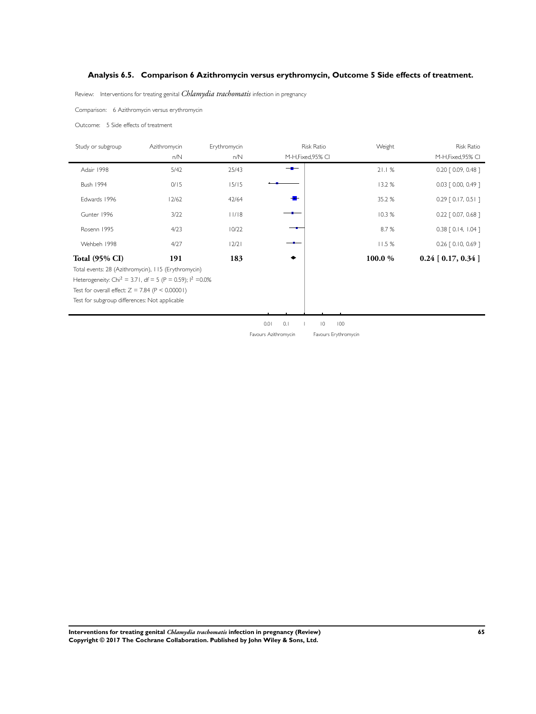## <span id="page-66-0"></span>**Analysis 6.5. Comparison 6 Azithromycin versus erythromycin, Outcome 5 Side effects of treatment.**

Review: Interventions for treating genital *Chlamydia trachomatis* infection in pregnancy

Comparison: 6 Azithromycin versus erythromycin

Outcome: 5 Side effects of treatment

| Study or subgroup                                                                                                                                                                                      | Azithromycin                                               | Erythromycin | <b>Risk Ratio</b>                            | Weight | <b>Risk Ratio</b>     |
|--------------------------------------------------------------------------------------------------------------------------------------------------------------------------------------------------------|------------------------------------------------------------|--------------|----------------------------------------------|--------|-----------------------|
|                                                                                                                                                                                                        | n/N                                                        | n/N          | M-H, Fixed, 95% CI                           |        | M-H, Fixed, 95% CI    |
| Adair 1998                                                                                                                                                                                             | 5/42                                                       | 25/43        |                                              | 21.1%  | $0.20$ $[0.09, 0.48]$ |
| <b>Bush 1994</b>                                                                                                                                                                                       | 0/15                                                       | 15/15        |                                              | 13.2%  | $0.03$ $[0.00, 0.49]$ |
| Edwards 1996                                                                                                                                                                                           | 12/62                                                      | 42/64        |                                              | 35.2 % | $0.29$ $[0.17, 0.51]$ |
| Gunter 1996                                                                                                                                                                                            | 3/22                                                       | 11/18        |                                              | 10.3%  | $0.22$ $[0.07, 0.68]$ |
| Rosenn 1995                                                                                                                                                                                            | 4/23                                                       | 10/22        |                                              | 8.7%   | $0.38$ $[0.14, 1.04]$ |
| Wehbeh 1998                                                                                                                                                                                            | 4/27                                                       | $12/21$      |                                              | 11.5%  | $0.26$ $[0.10, 0.69]$ |
| <b>Total (95% CI)</b><br>Heterogeneity: Chi <sup>2</sup> = 3.71, df = 5 (P = 0.59); $1^2$ = 0.0%<br>Test for overall effect: $Z = 7.84$ (P < 0.00001)<br>Test for subgroup differences: Not applicable | 191<br>Total events: 28 (Azithromycin), 115 (Erythromycin) | 183          |                                              | 100.0% | $0.24$ [ 0.17, 0.34 ] |
|                                                                                                                                                                                                        |                                                            |              | 0.01<br>0.1<br>$\overline{0}$<br>100         |        |                       |
|                                                                                                                                                                                                        |                                                            |              | Favours Azithromycin<br>Favours Erythromycin |        |                       |

**Interventions for treating genital** *Chlamydia trachomatis* **infection in pregnancy (Review) 65 Copyright © 2017 The Cochrane Collaboration. Published by John Wiley & Sons, Ltd.**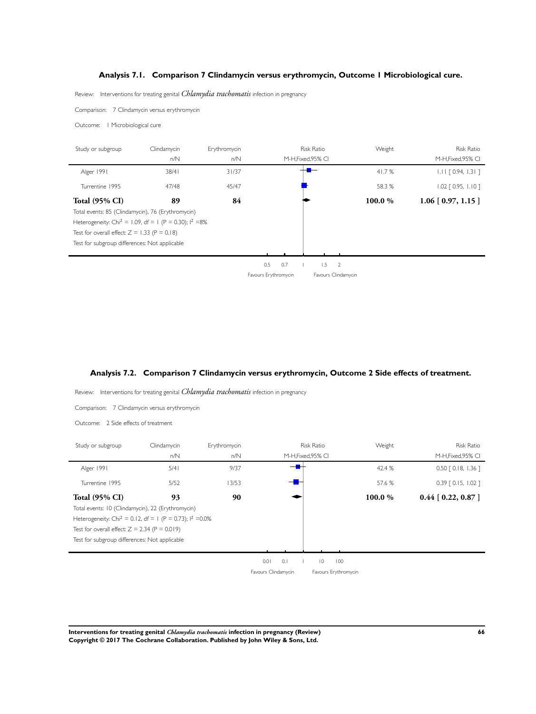## **Analysis 7.1. Comparison 7 Clindamycin versus erythromycin, Outcome 1 Microbiological cure.**

<span id="page-67-0"></span>Review: Interventions for treating genital *Chlamydia trachomatis* infection in pregnancy

Comparison: 7 Clindamycin versus erythromycin

Outcome: 1 Microbiological cure

÷,

| Study or subgroup                                                      | Clindamycin<br>n/N | Erythromycin<br>n/N |                      | <b>Risk Ratio</b><br>M-H, Fixed, 95% CI | Weight | <b>Risk Ratio</b><br>M-H, Fixed, 95% CI |
|------------------------------------------------------------------------|--------------------|---------------------|----------------------|-----------------------------------------|--------|-----------------------------------------|
|                                                                        |                    |                     |                      |                                         |        |                                         |
| Alger 1991                                                             | 38/41              | 31/37               |                      |                                         | 41.7%  | $1.11$ $[0.94, 1.31]$                   |
| Turrentine 1995                                                        | 47/48              | 45/47               |                      |                                         | 58.3 % | $1.02$ $[0.95, 1.10]$                   |
| <b>Total (95% CI)</b>                                                  | 89                 | 84                  |                      |                                         | 100.0% | $1.06$ [ 0.97, 1.15 ]                   |
| Total events: 85 (Clindamycin), 76 (Erythromycin)                      |                    |                     |                      |                                         |        |                                         |
| Heterogeneity: Chi <sup>2</sup> = 1.09, df = 1 (P = 0.30); $1^2 = 8\%$ |                    |                     |                      |                                         |        |                                         |
| Test for overall effect: $Z = 1.33$ (P = 0.18)                         |                    |                     |                      |                                         |        |                                         |
| Test for subgroup differences: Not applicable                          |                    |                     |                      |                                         |        |                                         |
|                                                                        |                    |                     |                      |                                         |        |                                         |
|                                                                        |                    |                     | 0.5<br>0.7           | 1.5<br>$\overline{2}$                   |        |                                         |
|                                                                        |                    |                     | Favours Erythromycin | Favours Clindamycin                     |        |                                         |
|                                                                        |                    |                     |                      |                                         |        |                                         |
|                                                                        |                    |                     |                      |                                         |        |                                         |

## **Analysis 7.2. Comparison 7 Clindamycin versus erythromycin, Outcome 2 Side effects of treatment.**

Review: Interventions for treating genital *Chlamydia trachomatis* infection in pregnancy

Comparison: 7 Clindamycin versus erythromycin

Outcome: 2 Side effects of treatment

| Study or subgroup                                                      | Clindamycin | Erythromycin |                     |     | <b>Risk Ratio</b>  |                      | Weight | <b>Risk Ratio</b>     |
|------------------------------------------------------------------------|-------------|--------------|---------------------|-----|--------------------|----------------------|--------|-----------------------|
|                                                                        | n/N         | n/N          |                     |     | M-H, Fixed, 95% CI |                      |        | M-H, Fixed, 95% CI    |
| Alger 1991                                                             | 5/41        | 9/37         |                     |     |                    |                      | 42.4 % | $0.50$ $[0.18, 1.36]$ |
| Turrentine 1995                                                        | 5/52        | 13/53        |                     |     |                    |                      | 57.6 % | $0.39$ $[0.15, 1.02]$ |
| <b>Total (95% CI)</b>                                                  | 93          | 90           |                     |     |                    |                      | 100.0% | $0.44$ [ 0.22, 0.87 ] |
| Total events: 10 (Clindamycin), 22 (Erythromycin)                      |             |              |                     |     |                    |                      |        |                       |
| Heterogeneity: Chi <sup>2</sup> = 0.12, df = 1 (P = 0.73); $1^2$ =0.0% |             |              |                     |     |                    |                      |        |                       |
| Test for overall effect: $Z = 2.34$ (P = 0.019)                        |             |              |                     |     |                    |                      |        |                       |
| Test for subgroup differences: Not applicable                          |             |              |                     |     |                    |                      |        |                       |
|                                                                        |             |              |                     |     |                    |                      |        |                       |
|                                                                        |             |              | 0.01                | 0.1 | $ 0\rangle$        | 100                  |        |                       |
|                                                                        |             |              | Favours Clindamycin |     |                    | Favours Erythromycin |        |                       |
|                                                                        |             |              |                     |     |                    |                      |        |                       |

**Interventions for treating genital** *Chlamydia trachomatis* **infection in pregnancy (Review) 66 Copyright © 2017 The Cochrane Collaboration. Published by John Wiley & Sons, Ltd.**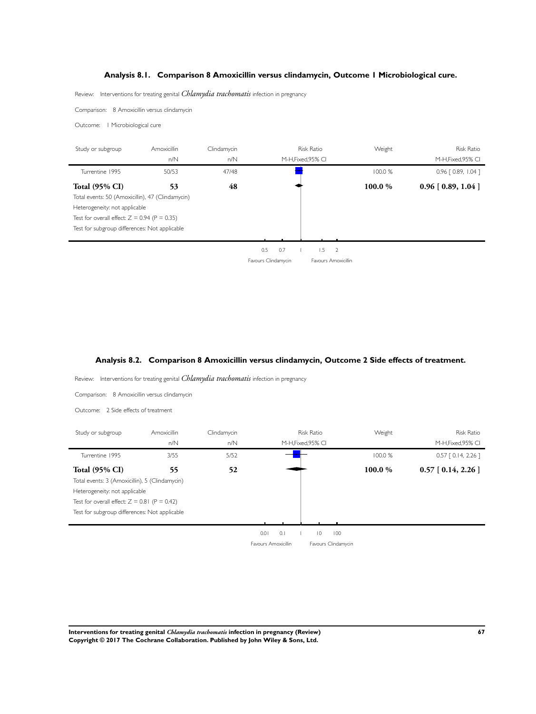## **Analysis 8.1. Comparison 8 Amoxicillin versus clindamycin, Outcome 1 Microbiological cure.**

<span id="page-68-0"></span>Review: Interventions for treating genital *Chlamydia trachomatis* infection in pregnancy

Comparison: 8 Amoxicillin versus clindamycin

Outcome: 1 Microbiological cure



#### **Analysis 8.2. Comparison 8 Amoxicillin versus clindamycin, Outcome 2 Side effects of treatment.**

Review: Interventions for treating genital *Chlamydia trachomatis* infection in pregnancy

Comparison: 8 Amoxicillin versus clindamycin

Outcome: 2 Side effects of treatment

| Study or subgroup                              | Amoxicillin | Clindamycin |                     |     | <b>Risk Ratio</b>  |                     | Weight  | <b>Risk Ratio</b>        |
|------------------------------------------------|-------------|-------------|---------------------|-----|--------------------|---------------------|---------|--------------------------|
|                                                | n/N         | n/N         |                     |     | M-H, Fixed, 95% CI |                     |         | M-H, Fixed, 95% CI       |
| Turrentine 1995                                | 3/55        | 5/52        |                     |     |                    |                     | 100.0 % | $0.57$ $[0.14, 2.26]$    |
| <b>Total (95% CI)</b>                          | 55          | 52          |                     |     |                    |                     | 100.0%  | $0.57$ [ $0.14$ , 2.26 ] |
| Total events: 3 (Amoxicillin), 5 (Clindamycin) |             |             |                     |     |                    |                     |         |                          |
| Heterogeneity: not applicable                  |             |             |                     |     |                    |                     |         |                          |
| Test for overall effect: $Z = 0.81$ (P = 0.42) |             |             |                     |     |                    |                     |         |                          |
| Test for subgroup differences: Not applicable  |             |             |                     |     |                    |                     |         |                          |
|                                                |             |             |                     |     |                    |                     |         |                          |
|                                                |             |             | 0.01                | 0.1 | $\overline{0}$     | 100                 |         |                          |
|                                                |             |             | Favours Amoxicillin |     |                    | Favours Clindamycin |         |                          |
|                                                |             |             |                     |     |                    |                     |         |                          |
|                                                |             |             |                     |     |                    |                     |         |                          |
|                                                |             |             |                     |     |                    |                     |         |                          |
|                                                |             |             |                     |     |                    |                     |         |                          |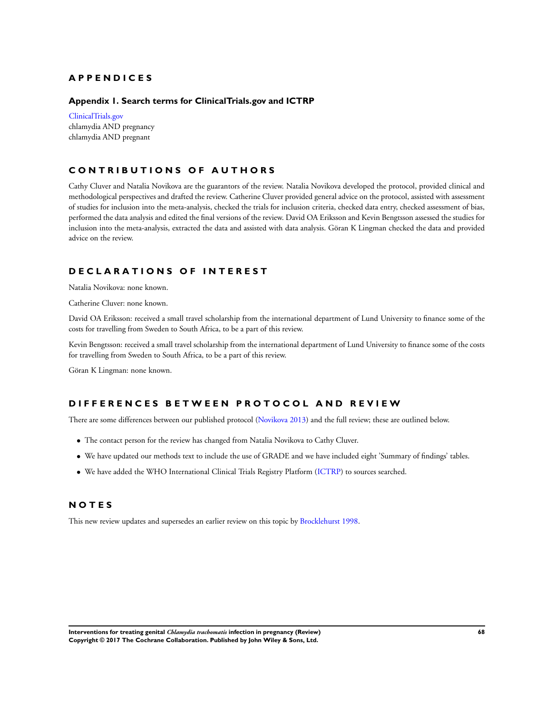## <span id="page-69-0"></span>**A P P E N D I C E S**

## **Appendix 1. Search terms for ClinicalTrials.gov and ICTRP**

[ClinicalTrials.gov](http://clinicaltrials.gov/ct2/home) chlamydia AND pregnancy chlamydia AND pregnant

## **C O N T R I B U T I O N S O F A U T H O R S**

Cathy Cluver and Natalia Novikova are the guarantors of the review. Natalia Novikova developed the protocol, provided clinical and methodological perspectives and drafted the review. Catherine Cluver provided general advice on the protocol, assisted with assessment of studies for inclusion into the meta-analysis, checked the trials for inclusion criteria, checked data entry, checked assessment of bias, performed the data analysis and edited the final versions of the review. David OA Eriksson and Kevin Bengtsson assessed the studies for inclusion into the meta-analysis, extracted the data and assisted with data analysis. Göran K Lingman checked the data and provided advice on the review.

## **D E C L A R A T I O N S O F I N T E R E S T**

Natalia Novikova: none known.

Catherine Cluver: none known.

David OA Eriksson: received a small travel scholarship from the international department of Lund University to finance some of the costs for travelling from Sweden to South Africa, to be a part of this review.

Kevin Bengtsson: received a small travel scholarship from the international department of Lund University to finance some of the costs for travelling from Sweden to South Africa, to be a part of this review.

Göran K Lingman: none known.

## **D I F F E R E N C E S B E T W E E N P R O T O C O L A N D R E V I E W**

There are some differences between our published protocol [\(Novikova 2013\)](#page-29-0) and the full review; these are outlined below.

- The contact person for the review has changed from Natalia Novikova to Cathy Cluver.
- We have updated our methods text to include the use of GRADE and we have included eight 'Summary of findings' tables.
- We have added the WHO International Clinical Trials Registry Platform [\(ICTRP](http://apps.who.int/trialsearch/)) to sources searched.

## **N O T E S**

This new review updates and supersedes an earlier review on this topic by [Brocklehurst 1998.](#page-29-0)